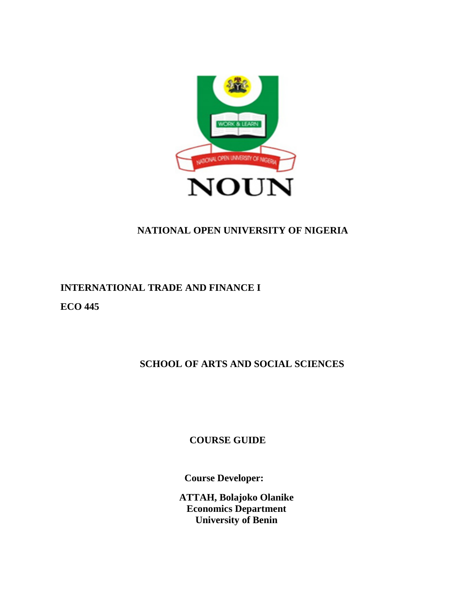

# **NATIONAL OPEN UNIVERSITY OF NIGERIA**

# **INTERNATIONAL TRADE AND FINANCE I**

**ECO 445**

 **SCHOOL OF ARTS AND SOCIAL SCIENCES**

 **COURSE GUIDE**

 **Course Developer:**

**ATTAH, Bolajoko Olanike Economics Department University of Benin**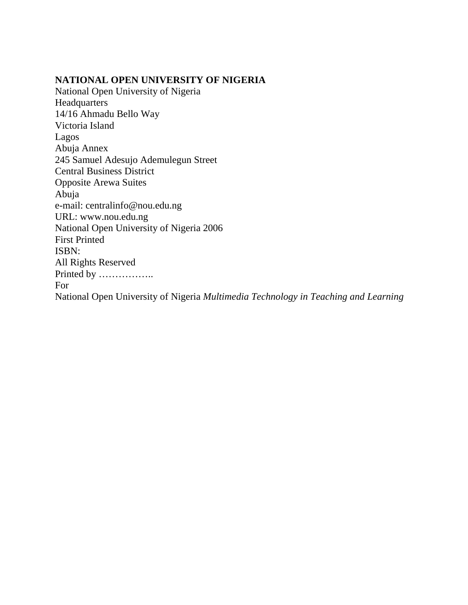#### **NATIONAL OPEN UNIVERSITY OF NIGERIA**

National Open University of Nigeria Headquarters 14/16 Ahmadu Bello Way Victoria Island Lagos Abuja Annex 245 Samuel Adesujo Ademulegun Street Central Business District Opposite Arewa Suites Abuja e-mail: centralinfo@nou.edu.ng URL: www.nou.edu.ng National Open University of Nigeria 2006 First Printed ISBN: All Rights Reserved Printed by …………….. For National Open University of Nigeria *Multimedia Technology in Teaching and Learning*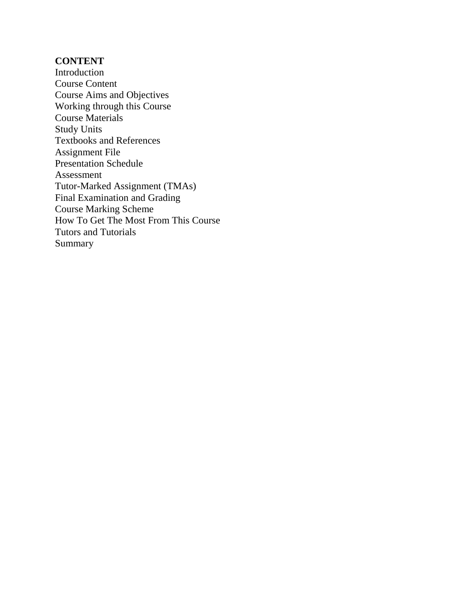# **CONTENT**

Introduction Course Content Course Aims and Objectives Working through this Course Course Materials Study Units Textbooks and References Assignment File Presentation Schedule Assessment Tutor-Marked Assignment (TMAs) Final Examination and Grading Course Marking Scheme How To Get The Most From This Course Tutors and Tutorials Summary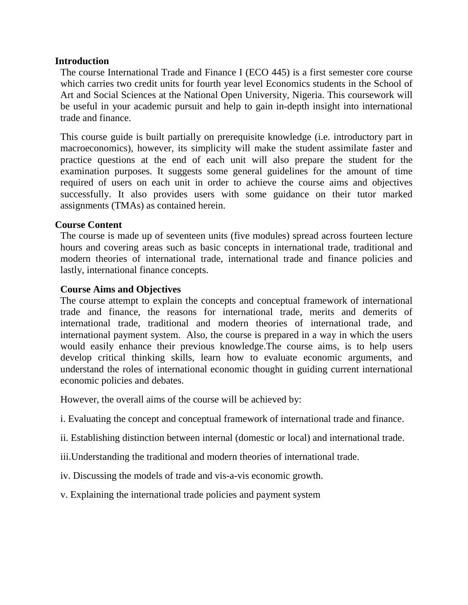### **Introduction**

The course International Trade and Finance I (ECO 445) is a first semester core course which carries two credit units for fourth year level Economics students in the School of Art and Social Sciences at the National Open University, Nigeria. This coursework will be useful in your academic pursuit and help to gain in-depth insight into international trade and finance.

This course guide is built partially on prerequisite knowledge (i.e. introductory part in macroeconomics), however, its simplicity will make the student assimilate faster and practice questions at the end of each unit will also prepare the student for the examination purposes. It suggests some general guidelines for the amount of time required of users on each unit in order to achieve the course aims and objectives successfully. It also provides users with some guidance on their tutor marked assignments (TMAs) as contained herein.

### **Course Content**

The course is made up of seventeen units (five modules) spread across fourteen lecture hours and covering areas such as basic concepts in international trade, traditional and modern theories of international trade, international trade and finance policies and lastly, international finance concepts.

### **Course Aims and Objectives**

The course attempt to explain the concepts and conceptual framework of international trade and finance, the reasons for international trade, merits and demerits of international trade, traditional and modern theories of international trade, and international payment system. Also, the course is prepared in a way in which the users would easily enhance their previous knowledge.The course aims, is to help users develop critical thinking skills, learn how to evaluate economic arguments, and understand the roles of international economic thought in guiding current international economic policies and debates.

However, the overall aims of the course will be achieved by:

i. Evaluating the concept and conceptual framework of international trade and finance.

- ii. Establishing distinction between internal (domestic or local) and international trade.
- iii.Understanding the traditional and modern theories of international trade.

iv. Discussing the models of trade and vis-a-vis economic growth.

v. Explaining the international trade policies and payment system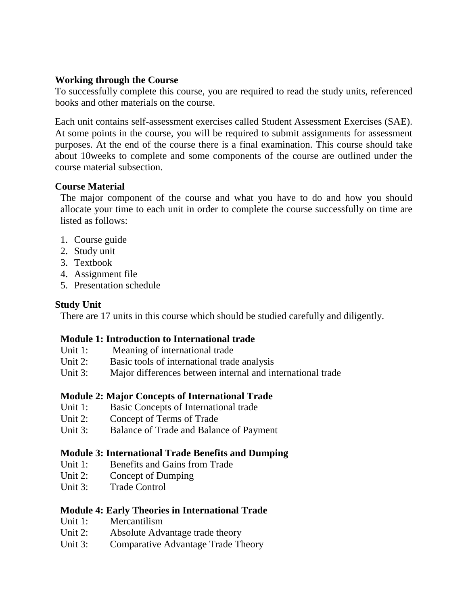### **Working through the Course**

To successfully complete this course, you are required to read the study units, referenced books and other materials on the course.

Each unit contains self-assessment exercises called Student Assessment Exercises (SAE). At some points in the course, you will be required to submit assignments for assessment purposes. At the end of the course there is a final examination. This course should take about 10weeks to complete and some components of the course are outlined under the course material subsection.

## **Course Material**

The major component of the course and what you have to do and how you should allocate your time to each unit in order to complete the course successfully on time are listed as follows:

- 1. Course guide
- 2. Study unit
- 3. Textbook
- 4. Assignment file
- 5. Presentation schedule

## **Study Unit**

There are 17 units in this course which should be studied carefully and diligently.

## **Module 1: Introduction to International trade**

- Unit 1: Meaning of international trade
- Unit 2: Basic tools of international trade analysis
- Unit 3: Major differences between internal and international trade

## **Module 2: Major Concepts of International Trade**

- Unit 1: Basic Concepts of International trade
- Unit 2: Concept of Terms of Trade
- Unit 3: Balance of Trade and Balance of Payment

## **Module 3: International Trade Benefits and Dumping**

- Unit 1: Benefits and Gains from Trade
- Unit 2: Concept of Dumping
- Unit 3: Trade Control

## **Module 4: Early Theories in International Trade**

- Unit 1: Mercantilism
- Unit 2: Absolute Advantage trade theory
- Unit 3: Comparative Advantage Trade Theory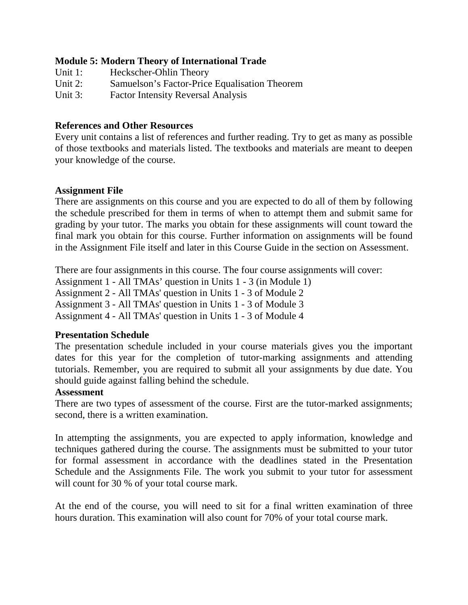### **Module 5: Modern Theory of International Trade**

- Unit 1: Heckscher-Ohlin Theory Unit 2: Samuelson's Factor-Price Equalisation Theorem
- Unit 3: Factor Intensity Reversal Analysis

### **References and Other Resources**

Every unit contains a list of references and further reading. Try to get as many as possible of those textbooks and materials listed. The textbooks and materials are meant to deepen your knowledge of the course.

### **Assignment File**

There are assignments on this course and you are expected to do all of them by following the schedule prescribed for them in terms of when to attempt them and submit same for grading by your tutor. The marks you obtain for these assignments will count toward the final mark you obtain for this course. Further information on assignments will be found in the Assignment File itself and later in this Course Guide in the section on Assessment.

There are four assignments in this course. The four course assignments will cover:

Assignment 1 - All TMAs' question in Units 1 - 3 (in Module 1)

Assignment 2 - All TMAs' question in Units 1 - 3 of Module 2

Assignment 3 - All TMAs' question in Units 1 - 3 of Module 3

Assignment 4 - All TMAs' question in Units 1 - 3 of Module 4

## **Presentation Schedule**

The presentation schedule included in your course materials gives you the important dates for this year for the completion of tutor-marking assignments and attending tutorials. Remember, you are required to submit all your assignments by due date. You should guide against falling behind the schedule.

### **Assessment**

There are two types of assessment of the course. First are the tutor-marked assignments; second, there is a written examination.

In attempting the assignments, you are expected to apply information, knowledge and techniques gathered during the course. The assignments must be submitted to your tutor for formal assessment in accordance with the deadlines stated in the Presentation Schedule and the Assignments File. The work you submit to your tutor for assessment will count for 30 % of your total course mark.

At the end of the course, you will need to sit for a final written examination of three hours duration. This examination will also count for 70% of your total course mark.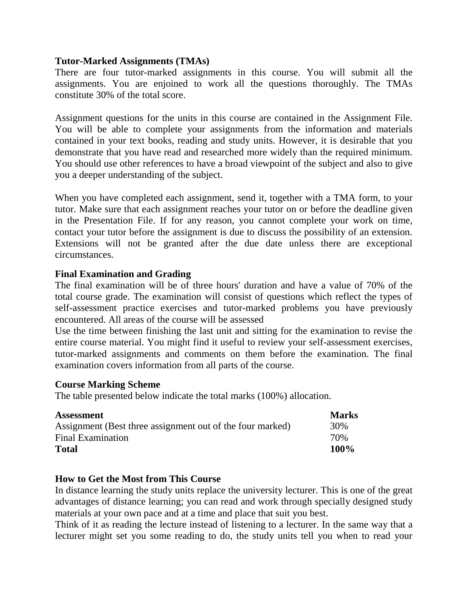### **Tutor-Marked Assignments (TMAs)**

There are four tutor-marked assignments in this course. You will submit all the assignments. You are enjoined to work all the questions thoroughly. The TMAs constitute 30% of the total score.

Assignment questions for the units in this course are contained in the Assignment File. You will be able to complete your assignments from the information and materials contained in your text books, reading and study units. However, it is desirable that you demonstrate that you have read and researched more widely than the required minimum. You should use other references to have a broad viewpoint of the subject and also to give you a deeper understanding of the subject.

When you have completed each assignment, send it, together with a TMA form, to your tutor. Make sure that each assignment reaches your tutor on or before the deadline given in the Presentation File. If for any reason, you cannot complete your work on time, contact your tutor before the assignment is due to discuss the possibility of an extension. Extensions will not be granted after the due date unless there are exceptional circumstances.

### **Final Examination and Grading**

The final examination will be of three hours' duration and have a value of 70% of the total course grade. The examination will consist of questions which reflect the types of self-assessment practice exercises and tutor-marked problems you have previously encountered. All areas of the course will be assessed

Use the time between finishing the last unit and sitting for the examination to revise the entire course material. You might find it useful to review your self-assessment exercises, tutor-marked assignments and comments on them before the examination. The final examination covers information from all parts of the course.

### **Course Marking Scheme**

The table presented below indicate the total marks (100%) allocation.

| <b>Assessment</b>                                         | <b>Marks</b> |
|-----------------------------------------------------------|--------------|
| Assignment (Best three assignment out of the four marked) | 30%          |
| <b>Final Examination</b>                                  | 70%          |
| <b>Total</b>                                              | 100%         |

### **How to Get the Most from This Course**

In distance learning the study units replace the university lecturer. This is one of the great advantages of distance learning; you can read and work through specially designed study materials at your own pace and at a time and place that suit you best.

Think of it as reading the lecture instead of listening to a lecturer. In the same way that a lecturer might set you some reading to do, the study units tell you when to read your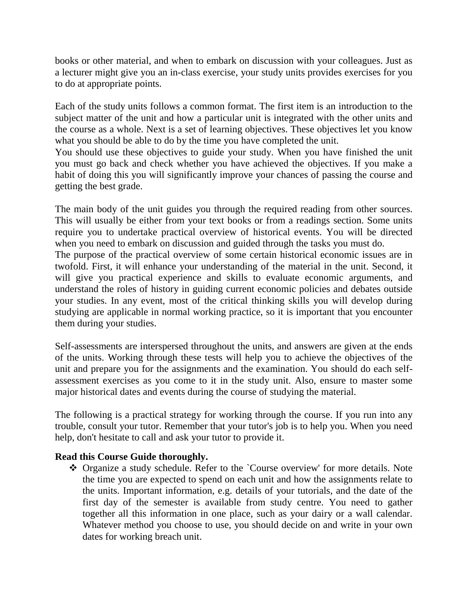books or other material, and when to embark on discussion with your colleagues. Just as a lecturer might give you an in-class exercise, your study units provides exercises for you to do at appropriate points.

Each of the study units follows a common format. The first item is an introduction to the subject matter of the unit and how a particular unit is integrated with the other units and the course as a whole. Next is a set of learning objectives. These objectives let you know what you should be able to do by the time you have completed the unit.

You should use these objectives to guide your study. When you have finished the unit you must go back and check whether you have achieved the objectives. If you make a habit of doing this you will significantly improve your chances of passing the course and getting the best grade.

The main body of the unit guides you through the required reading from other sources. This will usually be either from your text books or from a readings section. Some units require you to undertake practical overview of historical events. You will be directed when you need to embark on discussion and guided through the tasks you must do.

The purpose of the practical overview of some certain historical economic issues are in twofold. First, it will enhance your understanding of the material in the unit. Second, it will give you practical experience and skills to evaluate economic arguments, and understand the roles of history in guiding current economic policies and debates outside your studies. In any event, most of the critical thinking skills you will develop during studying are applicable in normal working practice, so it is important that you encounter them during your studies.

Self-assessments are interspersed throughout the units, and answers are given at the ends of the units. Working through these tests will help you to achieve the objectives of the unit and prepare you for the assignments and the examination. You should do each selfassessment exercises as you come to it in the study unit. Also, ensure to master some major historical dates and events during the course of studying the material.

The following is a practical strategy for working through the course. If you run into any trouble, consult your tutor. Remember that your tutor's job is to help you. When you need help, don't hesitate to call and ask your tutor to provide it.

## **Read this Course Guide thoroughly.**

 Organize a study schedule. Refer to the `Course overview' for more details. Note the time you are expected to spend on each unit and how the assignments relate to the units. Important information, e.g. details of your tutorials, and the date of the first day of the semester is available from study centre. You need to gather together all this information in one place, such as your dairy or a wall calendar. Whatever method you choose to use, you should decide on and write in your own dates for working breach unit.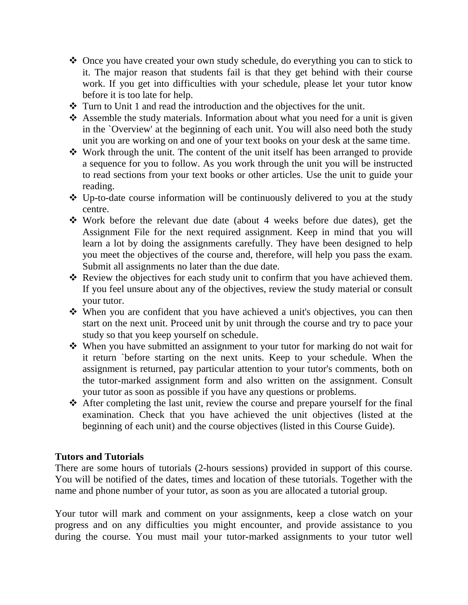- Once you have created your own study schedule, do everything you can to stick to it. The major reason that students fail is that they get behind with their course work. If you get into difficulties with your schedule, please let your tutor know before it is too late for help.
- $\cdot$  Turn to Unit 1 and read the introduction and the objectives for the unit.
- Assemble the study materials. Information about what you need for a unit is given in the `Overview' at the beginning of each unit. You will also need both the study unit you are working on and one of your text books on your desk at the same time.
- Work through the unit. The content of the unit itself has been arranged to provide a sequence for you to follow. As you work through the unit you will be instructed to read sections from your text books or other articles. Use the unit to guide your reading.
- Up-to-date course information will be continuously delivered to you at the study centre.
- Work before the relevant due date (about 4 weeks before due dates), get the Assignment File for the next required assignment. Keep in mind that you will learn a lot by doing the assignments carefully. They have been designed to help you meet the objectives of the course and, therefore, will help you pass the exam. Submit all assignments no later than the due date.
- Review the objectives for each study unit to confirm that you have achieved them. If you feel unsure about any of the objectives, review the study material or consult your tutor.
- When you are confident that you have achieved a unit's objectives, you can then start on the next unit. Proceed unit by unit through the course and try to pace your study so that you keep yourself on schedule.
- When you have submitted an assignment to your tutor for marking do not wait for it return `before starting on the next units. Keep to your schedule. When the assignment is returned, pay particular attention to your tutor's comments, both on the tutor-marked assignment form and also written on the assignment. Consult your tutor as soon as possible if you have any questions or problems.
- After completing the last unit, review the course and prepare yourself for the final examination. Check that you have achieved the unit objectives (listed at the beginning of each unit) and the course objectives (listed in this Course Guide).

## **Tutors and Tutorials**

There are some hours of tutorials (2-hours sessions) provided in support of this course. You will be notified of the dates, times and location of these tutorials. Together with the name and phone number of your tutor, as soon as you are allocated a tutorial group.

Your tutor will mark and comment on your assignments, keep a close watch on your progress and on any difficulties you might encounter, and provide assistance to you during the course. You must mail your tutor-marked assignments to your tutor well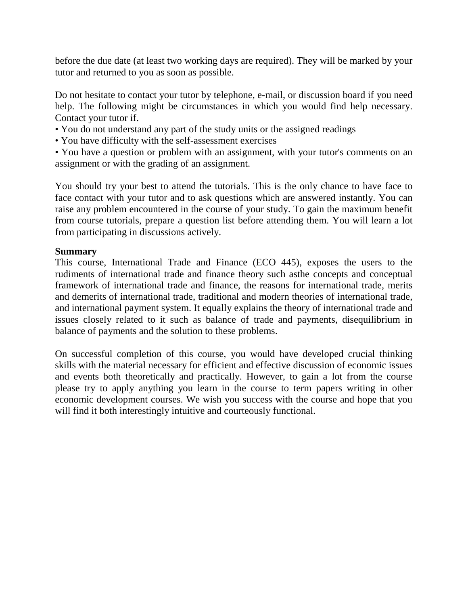before the due date (at least two working days are required). They will be marked by your tutor and returned to you as soon as possible.

Do not hesitate to contact your tutor by telephone, e-mail, or discussion board if you need help. The following might be circumstances in which you would find help necessary. Contact your tutor if.

- You do not understand any part of the study units or the assigned readings
- You have difficulty with the self-assessment exercises

• You have a question or problem with an assignment, with your tutor's comments on an assignment or with the grading of an assignment.

You should try your best to attend the tutorials. This is the only chance to have face to face contact with your tutor and to ask questions which are answered instantly. You can raise any problem encountered in the course of your study. To gain the maximum benefit from course tutorials, prepare a question list before attending them. You will learn a lot from participating in discussions actively.

## **Summary**

This course, International Trade and Finance (ECO 445), exposes the users to the rudiments of international trade and finance theory such asthe concepts and conceptual framework of international trade and finance, the reasons for international trade, merits and demerits of international trade, traditional and modern theories of international trade, and international payment system. It equally explains the theory of international trade and issues closely related to it such as balance of trade and payments, disequilibrium in balance of payments and the solution to these problems.

On successful completion of this course, you would have developed crucial thinking skills with the material necessary for efficient and effective discussion of economic issues and events both theoretically and practically. However, to gain a lot from the course please try to apply anything you learn in the course to term papers writing in other economic development courses. We wish you success with the course and hope that you will find it both interestingly intuitive and courteously functional.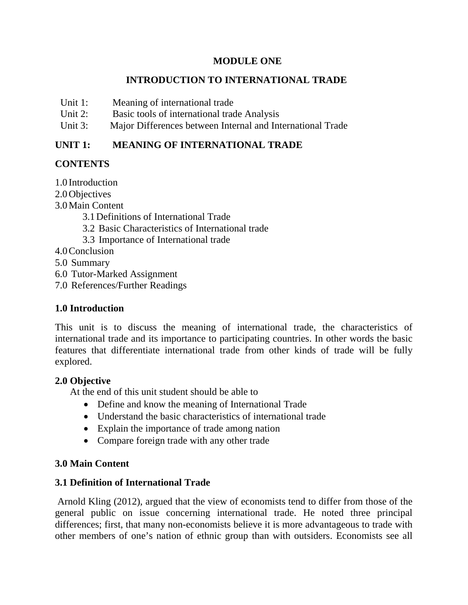## **MODULE ONE**

## **INTRODUCTION TO INTERNATIONAL TRADE**

- Unit 1: Meaning of international trade
- Unit 2: Basic tools of international trade Analysis
- Unit 3: Major Differences between Internal and International Trade

## **UNIT 1: MEANING OF INTERNATIONAL TRADE**

## **CONTENTS**

- 1.0 Introduction
- 2.0Objectives

3.0Main Content

- 3.1Definitions of International Trade
- 3.2 Basic Characteristics of International trade
- 3.3 Importance of International trade
- 4.0Conclusion

5.0 Summary

- 6.0 Tutor-Marked Assignment
- 7.0 References/Further Readings

## **1.0 Introduction**

This unit is to discuss the meaning of international trade, the characteristics of international trade and its importance to participating countries. In other words the basic features that differentiate international trade from other kinds of trade will be fully explored.

## **2.0 Objective**

At the end of this unit student should be able to

- Define and know the meaning of International Trade
- Understand the basic characteristics of international trade
- Explain the importance of trade among nation
- Compare foreign trade with any other trade

## **3.0 Main Content**

## **3.1 Definition of International Trade**

Arnold Kling (2012), argued that the view of economists tend to differ from those of the general public on issue concerning international trade. He noted three principal differences; first, that many non-economists believe it is more advantageous to trade with other members of one's nation of ethnic group than with outsiders. Economists see all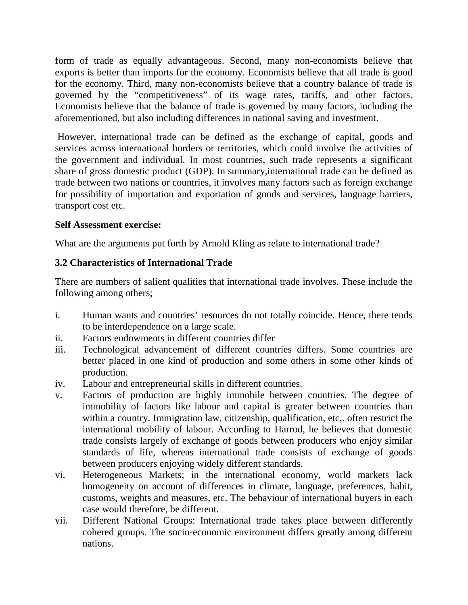form of trade as equally advantageous. Second, many non-economists believe that exports is better than imports for the economy. Economists believe that all trade is good for the economy. Third, many non-economists believe that a country balance of trade is governed by the "competitiveness" of its wage rates, tariffs, and other factors. Economists believe that the balance of trade is governed by many factors, including the aforementioned, but also including differences in national saving and investment.

However, international trade can be defined as the exchange of capital, goods and services across international borders or territories, which could involve the activities of the government and individual. In most countries, such trade represents a significant share of gross domestic product (GDP). In summary,international trade can be defined as trade between two nations or countries, it involves many factors such as foreign exchange for possibility of importation and exportation of goods and services, language barriers, transport cost etc.

## **Self Assessment exercise:**

What are the arguments put forth by Arnold Kling as relate to international trade?

## **3.2 Characteristics of International Trade**

There are numbers of salient qualities that international trade involves. These include the following among others;

- i. Human wants and countries' resources do not totally coincide. Hence, there tends to be interdependence on a large scale.
- ii. Factors endowments in different countries differ
- iii. Technological advancement of different countries differs. Some countries are better placed in one kind of production and some others in some other kinds of production.
- iv. Labour and entrepreneurial skills in different countries.
- v. Factors of production are highly immobile between countries. The degree of immobility of factors like labour and capital is greater between countries than within a country. Immigration law, citizenship, qualification, etc,. often restrict the international mobility of labour. According to Harrod, he believes that domestic trade consists largely of exchange of goods between producers who enjoy similar standards of life, whereas international trade consists of exchange of goods between producers enjoying widely different standards.
- vi. Heterogeneous Markets; in the international economy, world markets lack homogeneity on account of differences in climate, language, preferences, habit, customs, weights and measures, etc. The behaviour of international buyers in each case would therefore, be different.
- vii. Different National Groups: International trade takes place between differently cohered groups. The socio-economic environment differs greatly among different nations.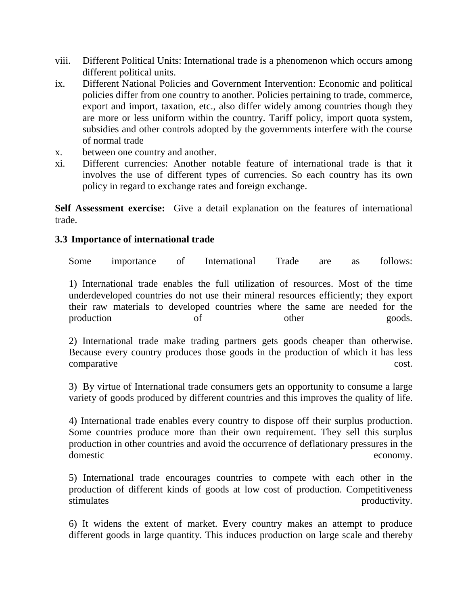- viii. Different Political Units: International trade is a phenomenon which occurs among different political units.
- ix. Different National Policies and Government Intervention: Economic and political policies differ from one country to another. Policies pertaining to trade, commerce, export and import, taxation, etc., also differ widely among countries though they are more or less uniform within the country. Tariff policy, import quota system, subsidies and other controls adopted by the governments interfere with the course of normal trade
- x. between one country and another.
- xi. Different currencies: Another notable feature of international trade is that it involves the use of different types of currencies. So each country has its own policy in regard to exchange rates and foreign exchange.

**Self Assessment exercise:** Give a detail explanation on the features of international trade.

## **3.3 Importance of international trade**

Some importance of International Trade are as follows:

1) International trade enables the full utilization of resources. Most of the time underdeveloped countries do not use their mineral resources efficiently; they export their raw materials to developed countries where the same are needed for the production of other goods.

2) International trade make trading partners gets goods cheaper than otherwise. Because every country produces those goods in the production of which it has less comparative cost.

3) By virtue of International trade consumers gets an opportunity to consume a large variety of goods produced by different countries and this improves the quality of life.

4) International trade enables every country to dispose off their surplus production. Some countries produce more than their own requirement. They sell this surplus production in other countries and avoid the occurrence of deflationary pressures in the domestic economy.

5) International trade encourages countries to compete with each other in the production of different kinds of goods at low cost of production. Competitiveness stimulates productivity.

6) It widens the extent of market. Every country makes an attempt to produce different goods in large quantity. This induces production on large scale and thereby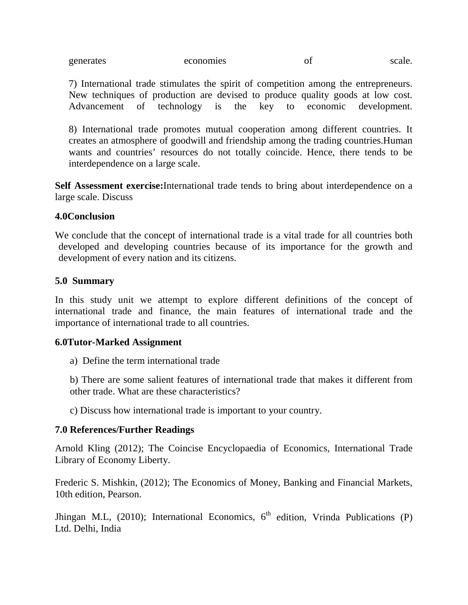| generates | economies |  | scale. |
|-----------|-----------|--|--------|
|-----------|-----------|--|--------|

7) International trade stimulates the spirit of competition among the entrepreneurs. New techniques of production are devised to produce quality goods at low cost. Advancement of technology is the key to economic development.

8) International trade promotes mutual cooperation among different countries. It creates an atmosphere of goodwill and friendship among the trading countries.Human wants and countries' resources do not totally coincide. Hence, there tends to be interdependence on a large scale.

**Self Assessment exercise:**International trade tends to bring about interdependence on a large scale. Discuss

### **4.0Conclusion**

We conclude that the concept of international trade is a vital trade for all countries both developed and developing countries because of its importance for the growth and development of every nation and its citizens.

### **5.0 Summary**

In this study unit we attempt to explore different definitions of the concept of international trade and finance, the main features of international trade and the importance of international trade to all countries.

### **6.0Tutor-Marked Assignment**

a) Define the term international trade

b) There are some salient features of international trade that makes it different from other trade. What are these characteristics?

c) Discuss how international trade is important to your country.

## **7.0 References/Further Readings**

Arnold Kling (2012); The Coincise Encyclopaedia of Economics, International Trade Library of Economy Liberty.

Frederic S. Mishkin, (2012); The Economics of Money, Banking and Financial Markets, 10th edition, Pearson.

Jhingan M.L, (2010); International Economics,  $6<sup>th</sup>$  edition, Vrinda Publications (P) Ltd. Delhi, India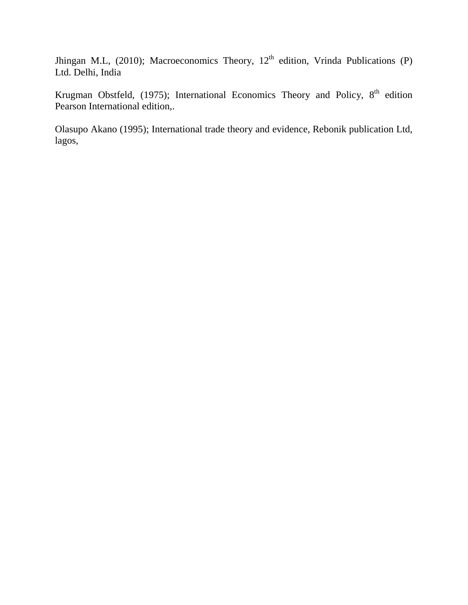Jhingan M.L, (2010); Macroeconomics Theory,  $12<sup>th</sup>$  edition, Vrinda Publications (P) Ltd. Delhi, India

Krugman Obstfeld, (1975); International Economics Theory and Policy,  $8<sup>th</sup>$  edition Pearson International edition,.

Olasupo Akano (1995); International trade theory and evidence, Rebonik publication Ltd, lagos,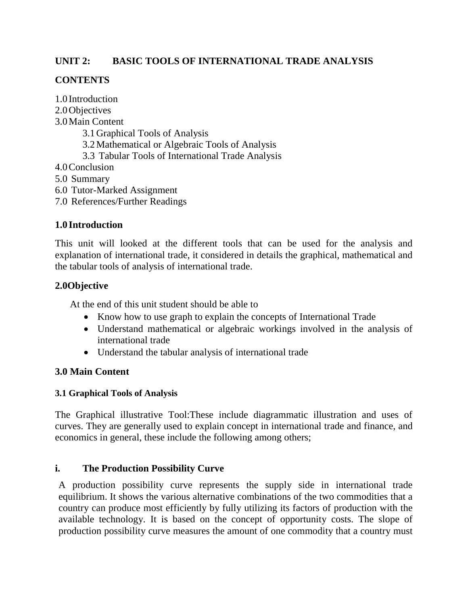## **UNIT 2: BASIC TOOLS OF INTERNATIONAL TRADE ANALYSIS**

## **CONTENTS**

1.0 Introduction

2.0Objectives

- 3.0Main Content
	- 3.1Graphical Tools of Analysis
	- 3.2Mathematical or Algebraic Tools of Analysis
	- 3.3 Tabular Tools of International Trade Analysis
- 4.0Conclusion
- 5.0 Summary
- 6.0 Tutor-Marked Assignment
- 7.0 References/Further Readings

## **1.0 Introduction**

This unit will looked at the different tools that can be used for the analysis and explanation of international trade, it considered in details the graphical, mathematical and the tabular tools of analysis of international trade.

## **2.0Objective**

At the end of this unit student should be able to

- Know how to use graph to explain the concepts of International Trade
- Understand mathematical or algebraic workings involved in the analysis of international trade
- Understand the tabular analysis of international trade

## **3.0 Main Content**

## **3.1 Graphical Tools of Analysis**

The Graphical illustrative Tool:These include diagrammatic illustration and uses of curves. They are generally used to explain concept in international trade and finance, and economics in general, these include the following among others;

## **i. The Production Possibility Curve**

A production possibility curve represents the supply side in international trade equilibrium. It shows the various alternative combinations of the two commodities that a country can produce most efficiently by fully utilizing its factors of production with the available technology. It is based on the concept of opportunity costs. The slope of production possibility curve measures the amount of one commodity that a country must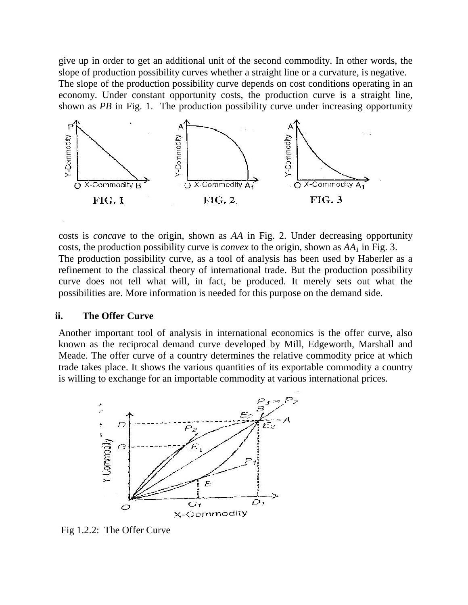give up in order to get an additional unit of the second commodity. In other words, the slope of production possibility curves whether a straight line or a curvature, is negative. The slope of the production possibility curve depends on cost conditions operating in an economy. Under constant opportunity costs, the production curve is a straight line, shown as *PB* in Fig. 1. The production possibility curve under increasing opportunity



costs is *concave* to the origin, shown as *AA* in Fig. 2. Under decreasing opportunity costs, the production possibility curve is *convex* to the origin, shown as  $AA_1$  in Fig. 3. The production possibility curve, as a tool of analysis has been used by Haberler as a refinement to the classical theory of international trade. But the production possibility curve does not tell what will, in fact, be produced. It merely sets out what the possibilities are. More information is needed for this purpose on the demand side.

#### **ii. The Offer Curve**

Another important tool of analysis in international economics is the offer curve, also known as the reciprocal demand curve developed by Mill, Edgeworth, Marshall and Meade. The offer curve of a country determines the relative commodity price at which trade takes place. It shows the various quantities of its exportable commodity a country is willing to exchange for an importable commodity at various international prices.



Fig 1.2.2: The Offer Curve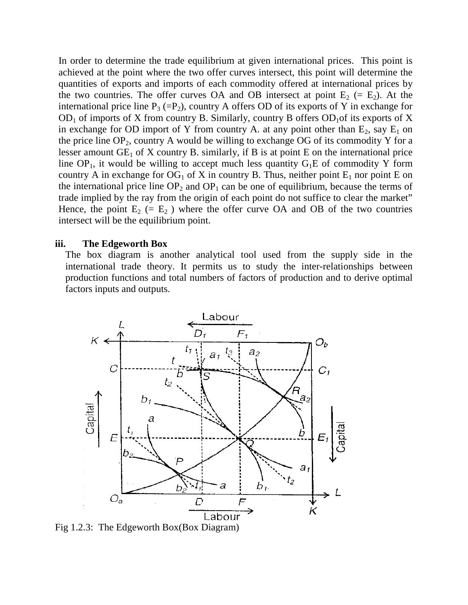In order to determine the trade equilibrium at given international prices. This point is achieved at the point where the two offer curves intersect, this point will determine the quantities of exports and imports of each commodity offered at international prices by the two countries. The offer curves OA and OB intersect at point  $E_2$  (=  $E_2$ ). At the international price line  $P_3$  (=P<sub>2</sub>), country A offers OD of its exports of Y in exchange for  $OD<sub>1</sub>$  of imports of X from country B. Similarly, country B offers  $OD<sub>1</sub>$  of its exports of X in exchange for OD import of Y from country A. at any point other than  $E_2$ , say  $E_1$  on the price line  $OP_2$ , country A would be willing to exchange OG of its commodity Y for a lesser amount  $GE_1$  of X country B. similarly, if B is at point E on the international price line  $OP_1$ , it would be willing to accept much less quantity  $G_1E$  of commodity Y form country A in exchange for  $OG_1$  of X in country B. Thus, neither point  $E_1$  nor point E on the international price line  $OP_2$  and  $OP_1$  can be one of equilibrium, because the terms of trade implied by the ray from the origin of each point do not suffice to clear the market" Hence, the point  $E_2$  (=  $E_2$ ) where the offer curve OA and OB of the two countries intersect will be the equilibrium point.

#### **iii. The Edgeworth Box**

The box diagram is another analytical tool used from the supply side in the international trade theory. It permits us to study the inter-relationships between production functions and total numbers of factors of production and to derive optimal factors inputs and outputs.



Fig 1.2.3: The Edgeworth Box(Box Diagram)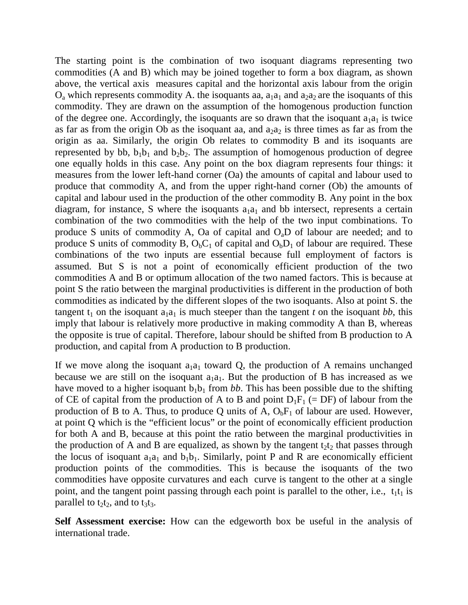The starting point is the combination of two isoquant diagrams representing two commodities (A and B) which may be joined together to form a box diagram, as shown above, the vertical axis measures capital and the horizontal axis labour from the origin  $O_a$  which represents commodity A. the isoquants aa,  $a_1a_1$  and  $a_2a_2$  are the isoquants of this commodity. They are drawn on the assumption of the homogenous production function of the degree one. Accordingly, the isoquants are so drawn that the isoquant  $a_1a_1$  is twice as far as from the origin Ob as the isoquant aa, and  $a_2a_2$  is three times as far as from the origin as aa. Similarly, the origin Ob relates to commodity B and its isoquants are represented by bb,  $b_1b_1$  and  $b_2b_2$ . The assumption of homogenous production of degree one equally holds in this case. Any point on the box diagram represents four things: it measures from the lower left-hand corner (Oa) the amounts of capital and labour used to produce that commodity A, and from the upper right-hand corner (Ob) the amounts of capital and labour used in the production of the other commodity B. Any point in the box diagram, for instance, S where the isoquants  $a_1a_1$  and bb intersect, represents a certain combination of the two commodities with the help of the two input combinations. To produce S units of commodity A, Oa of capital and  $O<sub>a</sub>D$  of labour are needed; and to produce S units of commodity B,  $O_bC_1$  of capital and  $O_bD_1$  of labour are required. These combinations of the two inputs are essential because full employment of factors is assumed. But S is not a point of economically efficient production of the two commodities A and B or optimum allocation of the two named factors. This is because at point S the ratio between the marginal productivities is different in the production of both commodities as indicated by the different slopes of the two isoquants. Also at point S. the tangent  $t_1$  on the isoquant  $a_1a_1$  is much steeper than the tangent *t* on the isoquant *bb*, this imply that labour is relatively more productive in making commodity A than B, whereas the opposite is true of capital. Therefore, labour should be shifted from B production to A production, and capital from A production to B production.

If we move along the isoquant  $a_1a_1$  toward Q, the production of A remains unchanged because we are still on the isoquant  $a_1a_1$ . But the production of B has increased as we have moved to a higher isoquant  $b_1b_1$  from *bb*. This has been possible due to the shifting of CE of capital from the production of A to B and point  $D_1F_1 (= DF)$  of labour from the production of B to A. Thus, to produce Q units of A,  $O<sub>b</sub>F<sub>1</sub>$  of labour are used. However, at point Q which is the "efficient locus" or the point of economically efficient production for both A and B, because at this point the ratio between the marginal productivities in the production of A and B are equalized, as shown by the tangent  $t_2t_2$  that passes through the locus of isoquant  $a_1a_1$  and  $b_1b_1$ . Similarly, point P and R are economically efficient production points of the commodities. This is because the isoquants of the two commodities have opposite curvatures and each curve is tangent to the other at a single point, and the tangent point passing through each point is parallel to the other, i.e.,  $t_1t_1$  is parallel to  $t_2t_2$ , and to  $t_3t_3$ .

**Self Assessment exercise:** How can the edgeworth box be useful in the analysis of international trade.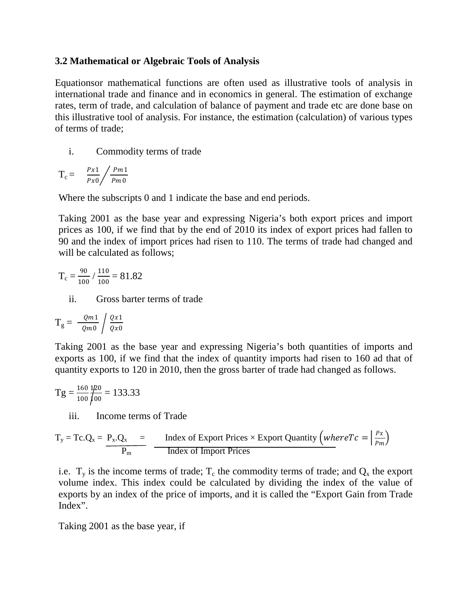### **3.2 Mathematical or Algebraic Tools of Analysis**

Equationsor mathematical functions are often used as illustrative tools of analysis in international trade and finance and in economics in general. The estimation of exchange rates, term of trade, and calculation of balance of payment and trade etc are done base on this illustrative tool of analysis. For instance, the estimation (calculation) of various types of terms of trade;

i. Commodity terms of trade

$$
T_c = \frac{Px1}{Px0} / \frac{Pm1}{Pm0}
$$

Where the subscripts 0 and 1 indicate the base and end periods.

Taking 2001 as the base year and expressing Nigeria's both export prices and import prices as 100, if we find that by the end of 2010 its index of export prices had fallen to 90 and the index of import prices had risen to 110. The terms of trade had changed and will be calculated as follows;

$$
T_c = \frac{90}{100} / \frac{110}{100} = 81.82
$$

ii. Gross barter terms of trade

$$
T_g = \frac{Qm1}{Qm0} / \frac{Qx1}{Qx0}
$$

Taking 2001 as the base year and expressing Nigeria's both quantities of imports and exports as 100, if we find that the index of quantity imports had risen to 160 ad that of quantity exports to 120 in 2010, then the gross barter of trade had changed as follows.

$$
Tg = \frac{160}{100} \frac{120}{100} = 133.33
$$

iii. Income terms of Trade

$$
T_y = Tc.Q_x = \frac{P_x.Q_x}{P_m} = \frac{\text{Index of Expert Prices} \times \text{Export Quantity} \left( \text{where} Tc = \left| \frac{Px}{P_m} \right. \right)}{\text{Index of Import Prices}}
$$

i.e.  $T_y$  is the income terms of trade;  $T_c$  the commodity terms of trade; and  $Q_x$  the export volume index. This index could be calculated by dividing the index of the value of exports by an index of the price of imports, and it is called the "Export Gain from Trade Index".

Taking 2001 as the base year, if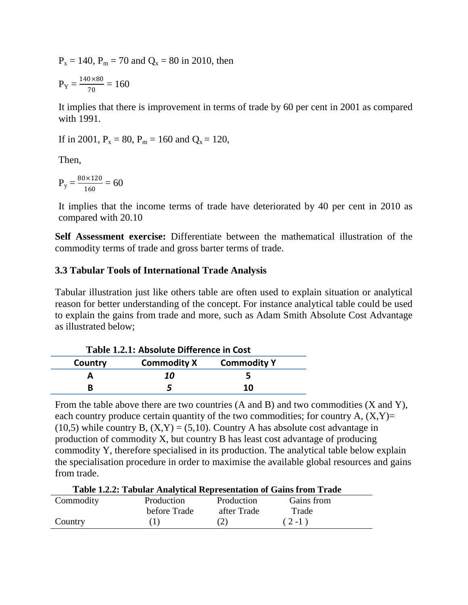$P_x = 140$ ,  $P_m = 70$  and  $Q_x = 80$  in 2010, then

$$
P_Y = \frac{140 \times 80}{70} = 160
$$

It implies that there is improvement in terms of trade by 60 per cent in 2001 as compared with 1991.

If in 2001,  $P_x = 80$ ,  $P_m = 160$  and  $Q_x = 120$ ,

Then,

$$
P_y = \frac{80 \times 120}{160} = 60
$$

It implies that the income terms of trade have deteriorated by 40 per cent in 2010 as compared with 20.10

**Self Assessment exercise:** Differentiate between the mathematical illustration of the commodity terms of trade and gross barter terms of trade.

## **3.3 Tabular Tools of International Trade Analysis**

Tabular illustration just like others table are often used to explain situation or analytical reason for better understanding of the concept. For instance analytical table could be used to explain the gains from trade and more, such as Adam Smith Absolute Cost Advantage as illustrated below;

| Table 1.2.1: Absolute Difference in Cost |                    |                    |  |  |
|------------------------------------------|--------------------|--------------------|--|--|
| Country                                  | <b>Commodity X</b> | <b>Commodity Y</b> |  |  |
|                                          | 10                 |                    |  |  |
|                                          |                    | 10                 |  |  |

From the table above there are two countries (A and B) and two commodities (X and Y), each country produce certain quantity of the two commodities; for country  $A$ ,  $(X,Y)$ = (10,5) while country B,  $(X, Y) = (5, 10)$ . Country A has absolute cost advantage in production of commodity X, but country B has least cost advantage of producing commodity Y, therefore specialised in its production. The analytical table below explain the specialisation procedure in order to maximise the available global resources and gains from trade.

| Table 1.2.2: Tabular Analytical Representation of Gains from Trade |              |             |            |  |
|--------------------------------------------------------------------|--------------|-------------|------------|--|
| Commodity                                                          | Production   | Production  | Gains from |  |
|                                                                    | before Trade | after Trade | Trade      |  |
| Country                                                            |              | (2)         | $(2-1)$    |  |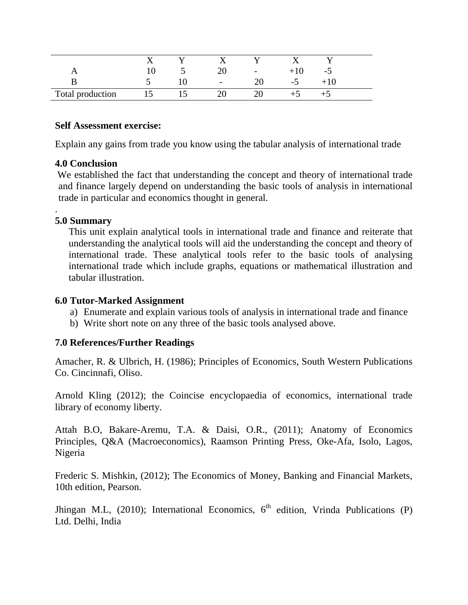|                  |  |                          | $\overline{\phantom{a}}$ |     |  |
|------------------|--|--------------------------|--------------------------|-----|--|
|                  |  | $\overline{\phantom{0}}$ |                          | - 1 |  |
| Total production |  |                          |                          |     |  |

#### **Self Assessment exercise:**

Explain any gains from trade you know using the tabular analysis of international trade

### **4.0 Conclusion**

We established the fact that understanding the concept and theory of international trade and finance largely depend on understanding the basic tools of analysis in international trade in particular and economics thought in general.

### **5.0 Summary**

.

This unit explain analytical tools in international trade and finance and reiterate that understanding the analytical tools will aid the understanding the concept and theory of international trade. These analytical tools refer to the basic tools of analysing international trade which include graphs, equations or mathematical illustration and tabular illustration.

### **6.0 Tutor-Marked Assignment**

- a) Enumerate and explain various tools of analysis in international trade and finance
- b) Write short note on any three of the basic tools analysed above.

## **7.0 References/Further Readings**

Amacher, R. & Ulbrich, H. (1986); Principles of Economics, South Western Publications Co. Cincinnafi, Oliso.

Arnold Kling (2012); the Coincise encyclopaedia of economics, international trade library of economy liberty.

Attah B.O, Bakare-Aremu, T.A. & Daisi, O.R., (2011); Anatomy of Economics Principles, Q&A (Macroeconomics), Raamson Printing Press, Oke-Afa, Isolo, Lagos, Nigeria

Frederic S. Mishkin, (2012); The Economics of Money, Banking and Financial Markets, 10th edition, Pearson.

Jhingan M.L, (2010); International Economics,  $6<sup>th</sup>$  edition, Vrinda Publications (P) Ltd. Delhi, India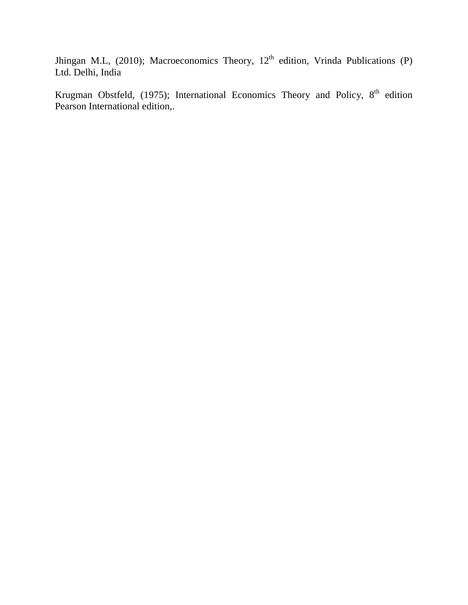Jhingan M.L, (2010); Macroeconomics Theory,  $12<sup>th</sup>$  edition, Vrinda Publications (P) Ltd. Delhi, India

Krugman Obstfeld, (1975); International Economics Theory and Policy,  $8<sup>th</sup>$  edition Pearson International edition,.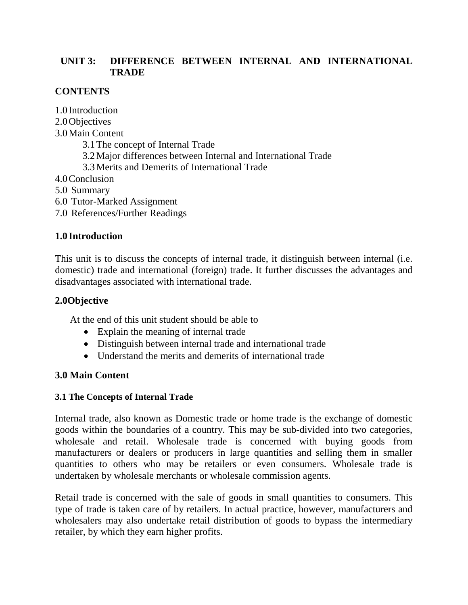## **UNIT 3: DIFFERENCE BETWEEN INTERNAL AND INTERNATIONAL TRADE**

## **CONTENTS**

- 1.0 Introduction
- 2.0Objectives
- 3.0Main Content
	- 3.1The concept of Internal Trade
	- 3.2Major differences between Internal and International Trade
	- 3.3Merits and Demerits of International Trade
- 4.0Conclusion
- 5.0 Summary
- 6.0 Tutor-Marked Assignment
- 7.0 References/Further Readings

## **1.0 Introduction**

This unit is to discuss the concepts of internal trade, it distinguish between internal (i.e. domestic) trade and international (foreign) trade. It further discusses the advantages and disadvantages associated with international trade.

## **2.0Objective**

At the end of this unit student should be able to

- Explain the meaning of internal trade
- Distinguish between internal trade and international trade
- Understand the merits and demerits of international trade

## **3.0 Main Content**

## **3.1 The Concepts of Internal Trade**

Internal trade, also known as Domestic trade or home trade is the exchange of domestic goods within the boundaries of a country. This may be sub-divided into two categories, [wholesale](https://en.wikipedia.org/wiki/Wholesale) and [retail.](https://en.wikipedia.org/wiki/Retail) Wholesale trade is concerned with buying goods from manufacturers or dealers or producers in large quantities and selling them in smaller quantities to others who may be retailers or even [consumers.](https://en.wikipedia.org/wiki/Consumer) Wholesale trade is undertaken by wholesale merchants or wholesale commission agents.

Retail trade is concerned with the sale of goods in small quantities to consumers. This type of trade is taken care of by retailers. In actual practice, however, [manufacturers](https://en.wikipedia.org/wiki/Manufacturer) and wholesalers may also undertake retail distribution of goods to bypass the intermediary retailer, by which they earn higher [profits.](https://en.wikipedia.org/wiki/Profit_%28economics%29)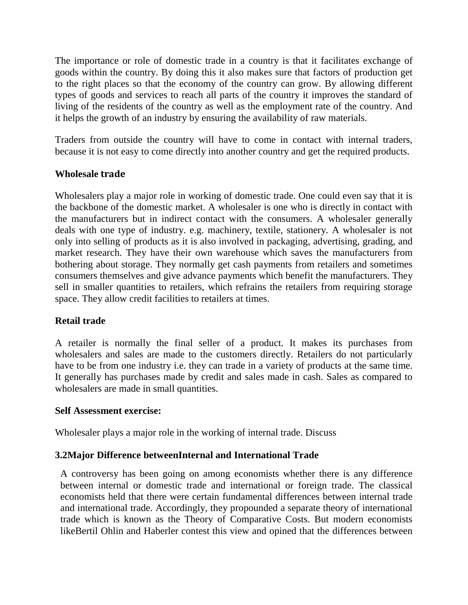The importance or role of domestic trade in a country is that it facilitates exchange of goods within the country. By doing this it also makes sure that factors of production get to the right places so that the [economy](https://en.wikipedia.org/wiki/Economy) of the country can grow. By allowing different types of goods and services to reach all parts of the country it improves the [standard of](https://en.wikipedia.org/wiki/Standard_of_living)  [living](https://en.wikipedia.org/wiki/Standard_of_living) of the residents of the country as well as the [employment rate](https://en.wikipedia.org/wiki/Employment_rate) of the country. And it helps the growth of an industry by ensuring the availability of [raw materials.](https://en.wikipedia.org/wiki/Raw_material)

Traders from outside the country will have to come in contact with internal traders, because it is not easy to come directly into another country and get the required products.

## **Wholesale trade**

Wholesalers play a major role in working of domestic trade. One could even say that it is the backbone of the domestic market. A wholesaler is one who is directly in contact with the manufacturers but in indirect contact with the consumers. A wholesaler generally deals with one type of industry. e.g. [machinery,](https://en.wikipedia.org/wiki/Machinery) [textile,](https://en.wikipedia.org/wiki/Textile) [stationery.](https://en.wikipedia.org/wiki/Stationery) A wholesaler is not only into selling of products as it is also involved in [packaging,](https://en.wikipedia.org/wiki/Packaging) [advertising,](https://en.wikipedia.org/wiki/Advertising) grading, and [market research.](https://en.wikipedia.org/wiki/Market_research) They have their own warehouse which saves the manufacturers from bothering about storage. They normally get cash payments from retailers and sometimes consumers themselves and give advance payments which benefit the manufacturers. They sell in smaller quantities to retailers, which refrains the retailers from requiring storage space. They allow credit facilities to retailers at times.

## **Retail trade**

A retailer is normally the final seller of a product. It makes its purchases from wholesalers and sales are made to the customers directly. Retailers do not particularly have to be from one industry i.e. they can trade in a variety of products at the same time. It generally has purchases made by credit and sales made in cash. Sales as compared to wholesalers are made in small quantities.

## **Self Assessment exercise:**

Wholesaler plays a major role in the working of internal trade. Discuss

## **3.2Major Difference betweenInternal and International Trade**

A controversy has been going on among economists whether there is any difference between internal or domestic trade and international or foreign trade. The classical economists held that there were certain fundamental differences between internal trade and international trade. Accordingly, they propounded a separate theory of international trade which is known as the Theory of Comparative Costs. But modern economists likeBertil Ohlin and Haberler contest this view and opined that the differences between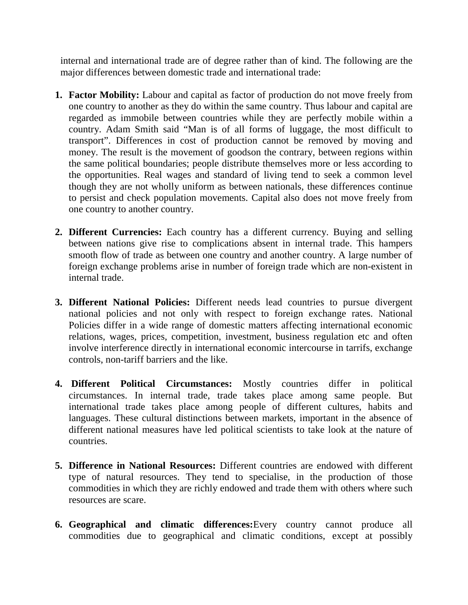internal and international trade are of degree rather than of kind. The following are the major differences between domestic trade and international trade:

- **1. Factor Mobility:** Labour and capital as factor of production do not move freely from one country to another as they do within the same country. Thus labour and capital are regarded as immobile between countries while they are perfectly mobile within a country. Adam Smith said "Man is of all forms of luggage, the most difficult to transport". Differences in cost of production cannot be removed by moving and money. The result is the movement of goodson the contrary, between regions within the same political boundaries; people distribute themselves more or less according to the opportunities. Real wages and standard of living tend to seek a common level though they are not wholly uniform as between nationals, these differences continue to persist and check population movements. Capital also does not move freely from one country to another country.
- **2. Different Currencies:** Each country has a different currency. Buying and selling between nations give rise to complications absent in internal trade. This hampers smooth flow of trade as between one country and another country. A large number of foreign exchange problems arise in number of foreign trade which are non-existent in internal trade.
- **3. Different National Policies:** Different needs lead countries to pursue divergent national policies and not only with respect to foreign exchange rates. National Policies differ in a wide range of domestic matters affecting international economic relations, wages, prices, competition, investment, business regulation etc and often involve interference directly in international economic intercourse in tarrifs, exchange controls, non-tariff barriers and the like.
- **4. Different Political Circumstances:** Mostly countries differ in political circumstances. In internal trade, trade takes place among same people. But international trade takes place among people of different cultures, habits and languages. These cultural distinctions between markets, important in the absence of different national measures have led political scientists to take look at the nature of countries.
- **5. Difference in National Resources:** Different countries are endowed with different type of natural resources. They tend to specialise, in the production of those commodities in which they are richly endowed and trade them with others where such resources are scare.
- **6. Geographical and climatic differences:**Every country cannot produce all commodities due to geographical and climatic conditions, except at possibly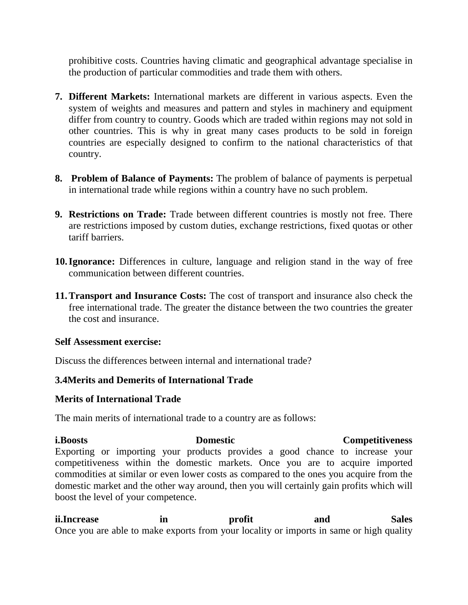prohibitive costs. Countries having climatic and geographical advantage specialise in the production of particular commodities and trade them with others.

- **7. Different Markets:** International markets are different in various aspects. Even the system of weights and measures and pattern and styles in machinery and equipment differ from country to country. Goods which are traded within regions may not sold in other countries. This is why in great many cases products to be sold in foreign countries are especially designed to confirm to the national characteristics of that country.
- **8. Problem of Balance of Payments:** The problem of balance of payments is perpetual in international trade while regions within a country have no such problem.
- **9. Restrictions on Trade:** Trade between different countries is mostly not free. There are restrictions imposed by custom duties, exchange restrictions, fixed quotas or other tariff barriers.
- **10.Ignorance:** Differences in culture, language and religion stand in the way of free communication between different countries.
- **11.Transport and Insurance Costs:** The cost of transport and insurance also check the free international trade. The greater the distance between the two countries the greater the cost and insurance.

## **Self Assessment exercise:**

Discuss the differences between internal and international trade?

## **3.4Merits and Demerits of International Trade**

### **Merits of International Trade**

The main merits of international trade to a country are as follows:

**i.Boosts Domestic Competitiveness** Exporting or importing your products provides a good chance to increase your competitiveness within the domestic markets. Once you are to acquire imported commodities at similar or even lower costs as compared to the ones you acquire from the domestic market and the other way around, then you will certainly gain profits which will boost the level of your competence.

**ii.Increase in profit and Sales** Once you are able to make exports from your locality or imports in same or high quality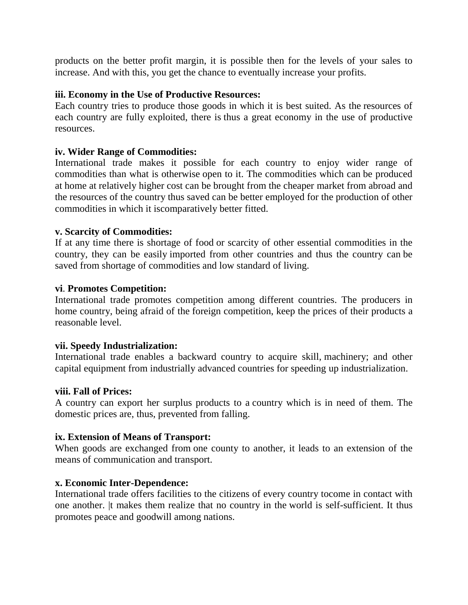products on the better profit margin, it is possible then for the levels of your sales to increase. And with this, you get the chance to eventually increase your profits.

### **iii. Economy in the Use of Productive Resources:**

Each country tries to produce those goods in which it is best suited. As the resources of each country are fully exploited, there is thus a great economy in the use of productive resources.

### **iv. Wider Range of Commodities:**

International trade makes it possible for each country to enjoy wider range of commodities than what is otherwise open to it. The commodities which can be produced at home at relatively higher cost can be brought from the cheaper market from abroad and the resources of the country thus saved can be better employed for the production of other commodities in which it iscomparatively better fitted.

### **v. Scarcity of Commodities:**

If at any time there is shortage of food or scarcity of other essential commodities in the country, they can be easily imported from other countries and thus the country can be saved from shortage of commodities and low standard of living.

### **vi**. **Promotes Competition:**

International trade promotes competition among different countries. The producers in home country, being afraid of the foreign competition, keep the prices of their products a reasonable level.

## **vii. Speedy Industrialization:**

International trade enables a backward country to acquire skill, machinery; and other capital equipment from industrially advanced countries for speeding up industrialization.

### **viii. Fall of Prices:**

A country can export her surplus products to a country which is in need of them. The domestic prices are, thus, prevented from falling.

### **ix. Extension of Means of Transport:**

When goods are exchanged from one county to another, it leads to an extension of the means of communication and transport.

### **x. Economic Inter-Dependence:**

International trade offers facilities to the citizens of every country tocome in contact with one another. |t makes them realize that no country in the world is self-sufficient. It thus promotes peace and goodwill among nations.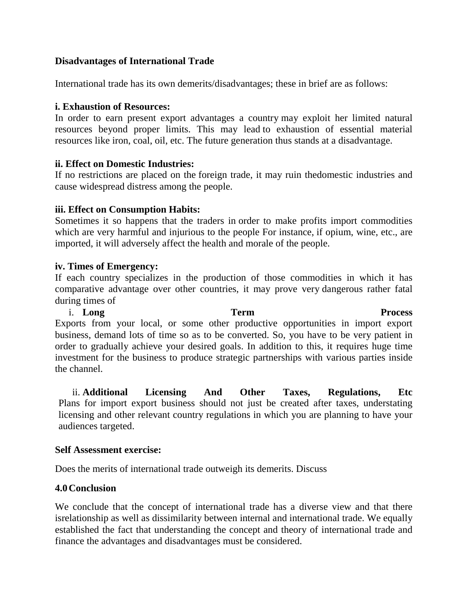## **Disadvantages of International Trade**

International trade has its own demerits/disadvantages; these in brief are as follows:

### **i. Exhaustion of Resources:**

In order to earn present export advantages a country may exploit her limited natural resources beyond proper limits. This may lead to exhaustion of essential material resources like iron, coal, oil, etc. The future generation thus stands at a disadvantage.

### **ii. Effect on Domestic Industries:**

If no restrictions are placed on the foreign trade, it may ruin thedomestic industries and cause widespread distress among the people.

### **iii. Effect on Consumption Habits:**

Sometimes it so happens that the traders in order to make profits import commodities which are very harmful and injurious to the people For instance, if opium, wine, etc., are imported, it will adversely affect the health and morale of the people.

### **iv. Times of Emergency:**

If each country specializes in the production of those commodities in which it has comparative advantage over other countries, it may prove very dangerous rather fatal during times of

i. **Long Term Process** Exports from your local, or some other productive opportunities in import export business, demand lots of time so as to be converted. So, you have to be very patient in order to gradually achieve your desired goals. In addition to this, it requires huge time investment for the business to produce strategic partnerships with various parties inside the channel.

ii. **Additional Licensing And Other Taxes, Regulations, Etc** Plans for import export business should not just be created after taxes, understating licensing and other relevant country regulations in which you are planning to have your audiences targeted.

### **Self Assessment exercise:**

Does the merits of international trade outweigh its demerits. Discuss

## **4.0Conclusion**

We conclude that the concept of international trade has a diverse view and that there isrelationship as well as dissimilarity between internal and international trade. We equally established the fact that understanding the concept and theory of international trade and finance the advantages and disadvantages must be considered.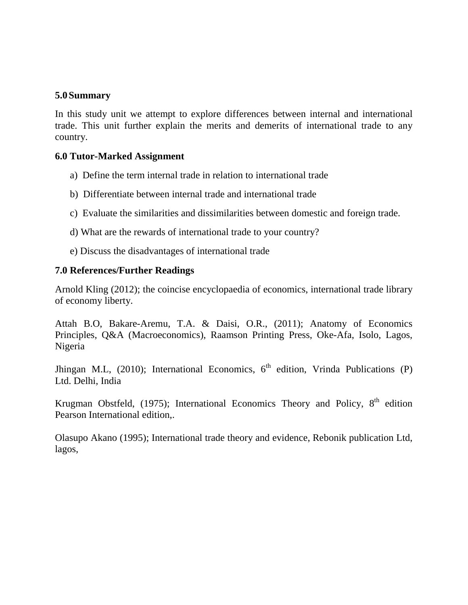#### **5.0 Summary**

In this study unit we attempt to explore differences between internal and international trade. This unit further explain the merits and demerits of international trade to any country.

#### **6.0 Tutor-Marked Assignment**

- a) Define the term internal trade in relation to international trade
- b) Differentiate between internal trade and international trade
- c) Evaluate the similarities and dissimilarities between domestic and foreign trade.
- d) What are the rewards of international trade to your country?
- e) Discuss the disadvantages of international trade

#### **7.0 References/Further Readings**

Arnold Kling (2012); the coincise encyclopaedia of economics, international trade library of economy liberty.

Attah B.O, Bakare-Aremu, T.A. & Daisi, O.R., (2011); Anatomy of Economics Principles, Q&A (Macroeconomics), Raamson Printing Press, Oke-Afa, Isolo, Lagos, Nigeria

Jhingan M.L, (2010); International Economics,  $6<sup>th</sup>$  edition, Vrinda Publications (P) Ltd. Delhi, India

Krugman Obstfeld, (1975); International Economics Theory and Policy,  $8<sup>th</sup>$  edition Pearson International edition,.

Olasupo Akano (1995); International trade theory and evidence, Rebonik publication Ltd, lagos,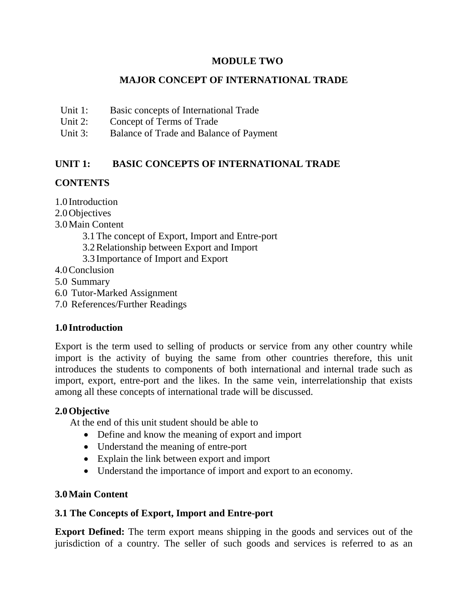### **MODULE TWO**

## **MAJOR CONCEPT OF INTERNATIONAL TRADE**

- Unit 1: Basic concepts of International Trade
- Unit 2: Concept of Terms of Trade
- Unit 3: Balance of Trade and Balance of Payment

## **UNIT 1: BASIC CONCEPTS OF INTERNATIONAL TRADE**

## **CONTENTS**

1.0 Introduction

2.0Objectives

- 3.0Main Content
	- 3.1The concept of Export, Import and Entre-port
	- 3.2Relationship between Export and Import
	- 3.3 Importance of Import and Export
- 4.0Conclusion
- 5.0 Summary
- 6.0 Tutor-Marked Assignment
- 7.0 References/Further Readings

## **1.0 Introduction**

Export is the term used to selling of products or service from any other country while import is the activity of buying the same from other countries therefore, this unit introduces the students to components of both international and internal trade such as import, export, entre-port and the likes. In the same vein, interrelationship that exists among all these concepts of international trade will be discussed.

## **2.0Objective**

At the end of this unit student should be able to

- Define and know the meaning of export and import
- Understand the meaning of entre-port
- Explain the link between export and import
- Understand the importance of import and export to an economy.

## **3.0Main Content**

## **3.1 The Concepts of Export, Import and Entre-port**

**Export Defined:** The term export means shipping in the goods and services out of the jurisdiction of a country. The seller of such goods and services is referred to as an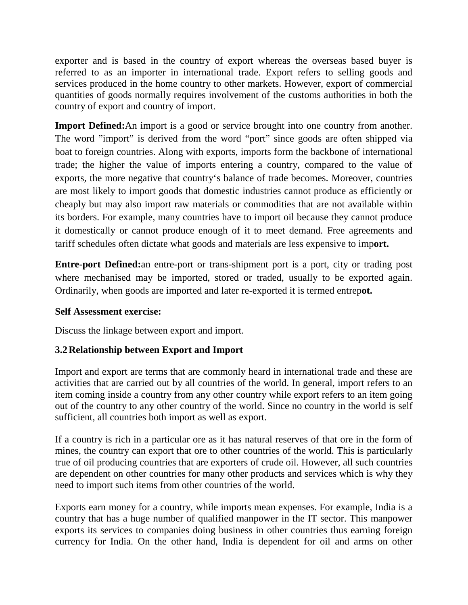exporter and is based in the country of export whereas the overseas based buyer is referred to as an importer in international trade. Export refers to selling goods and services produced in the home country to other markets. However, export of commercial quantities of goods normally requires involvement of the customs authorities in both the country of export and country of import.

**Import Defined:**An import is a good or service brought into one country from another. The word "import" is derived from the word "port" since goods are often shipped via boat to foreign countries. Along with exports, imports form the backbone of international trade; the higher the value of imports entering a country, compared to the value of exports, the more negative that country's balance of trade becomes. Moreover, countries are most likely to import goods that domestic industries cannot produce as efficiently or cheaply but may also import raw materials or commodities that are not available within its borders. For example, many countries have to import oil because they cannot produce it domestically or cannot produce enough of it to meet demand. Free agreements and tariff schedules often dictate what goods and materials are less expensive to imp**ort.**

**Entre-port Defined:**an entre-port or trans-shipment port is a port, city or trading post where mechanised may be imported, stored or traded, usually to be exported again. Ordinarily, when goods are imported and later re-exported it is termed entrep**ot.**

## **Self Assessment exercise:**

Discuss the linkage between export and import.

## **3.2Relationship between Export and Import**

Import and export are terms that are commonly heard in international trade and these are activities that are carried out by all countries of the world. In general, import refers to an item coming inside a country from any other country while export refers to an item going out of the country to any other country of the world. Since no country in the world is self sufficient, all countries both import as well as export.

If a country is rich in a particular ore as it has natural reserves of that ore in the form of mines, the country can export that ore to other countries of the world. This is particularly true of oil producing countries that are exporters of crude oil. However, all such countries are dependent on other countries for many other products and services which is why they need to import such items from other countries of the world.

Exports earn money for a country, while imports mean expenses. For example, India is a country that has a huge number of qualified manpower in the IT sector. This manpower exports its services to companies doing business in other countries thus earning foreign currency for India. On the other hand, India is dependent for oil and arms on other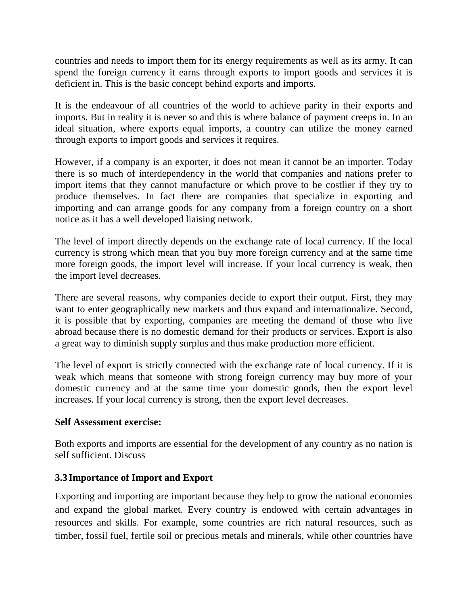countries and needs to import them for its energy requirements as well as its army. It can spend the foreign currency it earns through exports to import goods and services it is deficient in. This is the basic concept behind exports and imports.

It is the endeavour of all countries of the world to achieve parity in their exports and imports. But in reality it is never so and this is where balance of payment creeps in. In an ideal situation, where exports equal imports, a country can utilize the money earned through exports to import goods and services it requires.

However, if a company is an exporter, it does not mean it cannot be an importer. Today there is so much of interdependency in the world that companies and nations prefer to import items that they cannot manufacture or which prove to be costlier if they try to produce themselves. In fact there are companies that specialize in exporting and importing and can arrange goods for any company from a foreign country on a short notice as it has a well developed liaising network.

The level of import directly depends on the exchange rate of local currency. If the local currency is strong which mean that you buy more foreign currency and at the same time more foreign goods, the import level will increase. If your local currency is weak, then the import level decreases.

There are several reasons, why companies decide to export their output. First, they may want to enter geographically new markets and thus expand and internationalize. Second, it is possible that by exporting, companies are meeting the demand of those who live abroad because there is no domestic demand for their products or services. Export is also a great way to diminish supply surplus and thus make production more efficient.

The level of export is strictly connected with the exchange rate of local currency. If it is weak which means that someone with strong foreign currency may buy more of your domestic currency and at the same time your domestic goods, then the export level increases. If your local currency is strong, then the export level decreases.

## **Self Assessment exercise:**

Both exports and imports are essential for the development of any country as no nation is self sufficient. Discuss

## **3.3 Importance of Import and Export**

Exporting and importing are important because they help to grow the national economies and expand the global market. Every country is endowed with certain advantages in resources and skills. For example, some countries are rich natural resources, such as timber, fossil fuel, fertile soil or precious metals and minerals, while other countries have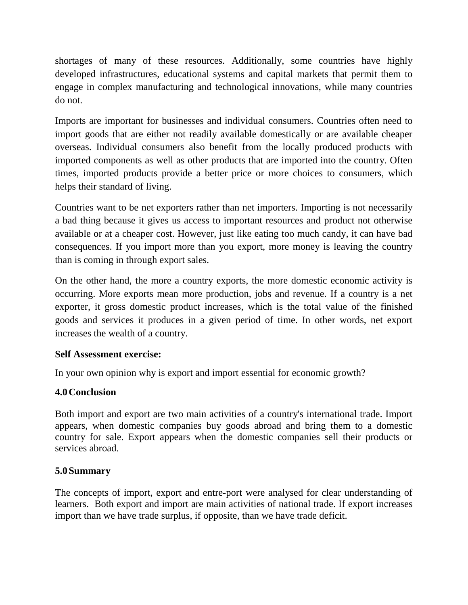shortages of many of these resources. Additionally, some countries have highly developed infrastructures, educational systems and capital markets that permit them to engage in complex manufacturing and technological innovations, while many countries do not.

Imports are important for businesses and individual consumers. Countries often need to import goods that are either not readily available domestically or are available cheaper overseas. Individual consumers also benefit from the locally produced products with imported components as well as other products that are imported into the country. Often times, imported products provide a better price or more choices to consumers, which helps their standard of living.

Countries want to be net exporters rather than net importers. Importing is not necessarily a bad thing because it gives us access to important resources and product not otherwise available or at a cheaper cost. However, just like eating too much candy, it can have bad consequences. If you import more than you export, more money is leaving the country than is coming in through export sales.

On the other hand, the more a country exports, the more domestic economic activity is occurring. More exports mean more production, jobs and revenue. If a country is a net exporter, it gross domestic product increases, which is the total value of the finished goods and services it produces in a given period of time. In other words, net export increases the wealth of a country.

## **Self Assessment exercise:**

In your own opinion why is export and import essential for economic growth?

## **4.0Conclusion**

Both import and export are two main activities of a country's international trade. Import appears, when domestic companies buy goods abroad and bring them to a domestic country for sale. Export appears when the domestic companies sell their products or services abroad.

## **5.0 Summary**

The concepts of import, export and entre-port were analysed for clear understanding of learners. Both export and import are main activities of national trade. If export increases import than we have trade surplus, if opposite, than we have trade deficit.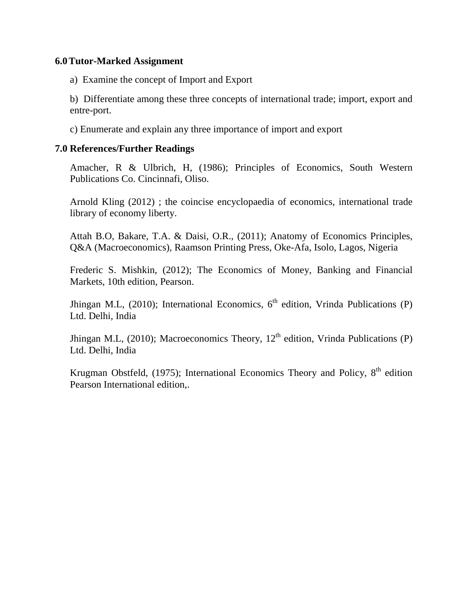#### **6.0Tutor-Marked Assignment**

a) Examine the concept of Import and Export

b) Differentiate among these three concepts of international trade; import, export and entre-port.

c) Enumerate and explain any three importance of import and export

### **7.0 References/Further Readings**

Amacher, R & Ulbrich, H, (1986); Principles of Economics, South Western Publications Co. Cincinnafi, Oliso.

Arnold Kling (2012) ; the coincise encyclopaedia of economics, international trade library of economy liberty.

Attah B.O, Bakare, T.A. & Daisi, O.R., (2011); Anatomy of Economics Principles, Q&A (Macroeconomics), Raamson Printing Press, Oke-Afa, Isolo, Lagos, Nigeria

Frederic S. Mishkin, (2012); The Economics of Money, Banking and Financial Markets, 10th edition, Pearson.

Jhingan M.L, (2010); International Economics,  $6<sup>th</sup>$  edition, Vrinda Publications (P) Ltd. Delhi, India

Jhingan M.L, (2010); Macroeconomics Theory,  $12<sup>th</sup>$  edition, Vrinda Publications (P) Ltd. Delhi, India

Krugman Obstfeld, (1975); International Economics Theory and Policy,  $8<sup>th</sup>$  edition Pearson International edition,.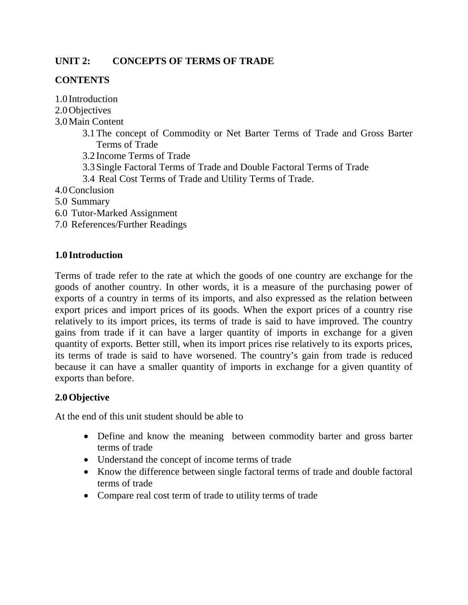## **UNIT 2: CONCEPTS OF TERMS OF TRADE**

## **CONTENTS**

1.0 Introduction

- 2.0Objectives
- 3.0Main Content
	- 3.1The concept of Commodity or Net Barter Terms of Trade and Gross Barter Terms of Trade
	- 3.2 Income Terms of Trade
	- 3.3Single Factoral Terms of Trade and Double Factoral Terms of Trade
	- 3.4 Real Cost Terms of Trade and Utility Terms of Trade.

4.0Conclusion

- 5.0 Summary
- 6.0 Tutor-Marked Assignment
- 7.0 References/Further Readings

## **1.0 Introduction**

Terms of trade refer to the rate at which the goods of one country are exchange for the goods of another country. In other words, it is a measure of the purchasing power of exports of a country in terms of its imports, and also expressed as the relation between export prices and import prices of its goods. When the export prices of a country rise relatively to its import prices, its terms of trade is said to have improved. The country gains from trade if it can have a larger quantity of imports in exchange for a given quantity of exports. Better still, when its import prices rise relatively to its exports prices, its terms of trade is said to have worsened. The country's gain from trade is reduced because it can have a smaller quantity of imports in exchange for a given quantity of exports than before.

## **2.0Objective**

At the end of this unit student should be able to

- Define and know the meaning between commodity barter and gross barter terms of trade
- Understand the concept of income terms of trade
- Know the difference between single factoral terms of trade and double factoral terms of trade
- Compare real cost term of trade to utility terms of trade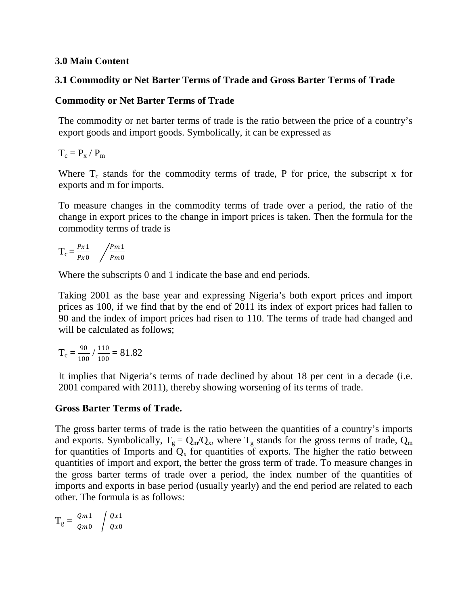#### **3.0 Main Content**

# **3.1 Commodity or Net Barter Terms of Trade and Gross Barter Terms of Trade**

### **Commodity or Net Barter Terms of Trade**

The commodity or net barter terms of trade is the ratio between the price of a country's export goods and import goods. Symbolically, it can be expressed as

 $T_c = P_x / P_m$ 

Where  $T_c$  stands for the commodity terms of trade, P for price, the subscript x for exports and m for imports.

To measure changes in the commodity terms of trade over a period, the ratio of the change in export prices to the change in import prices is taken. Then the formula for the commodity terms of trade is

$$
T_c = \frac{Px1}{Px0} \quad \sqrt{\frac{Pm1}{Pm0}}
$$

Where the subscripts 0 and 1 indicate the base and end periods.

Taking 2001 as the base year and expressing Nigeria's both export prices and import prices as 100, if we find that by the end of 2011 its index of export prices had fallen to 90 and the index of import prices had risen to 110. The terms of trade had changed and will be calculated as follows:

$$
T_c = \frac{90}{100} / \frac{110}{100} = 81.82
$$

It implies that Nigeria's terms of trade declined by about 18 per cent in a decade (i.e. 2001 compared with 2011), thereby showing worsening of its terms of trade.

# **Gross Barter Terms of Trade.**

The gross barter terms of trade is the ratio between the quantities of a country's imports and exports. Symbolically,  $T_g = Q_m/Q_x$ , where  $T_g$  stands for the gross terms of trade,  $Q_m$ for quantities of Imports and  $Q_x$  for quantities of exports. The higher the ratio between quantities of import and export, the better the gross term of trade. To measure changes in the gross barter terms of trade over a period, the index number of the quantities of imports and exports in base period (usually yearly) and the end period are related to each other. The formula is as follows:

$$
T_g = \frac{Qm1}{Qm0} \quad \int \frac{Qx1}{Qx0}
$$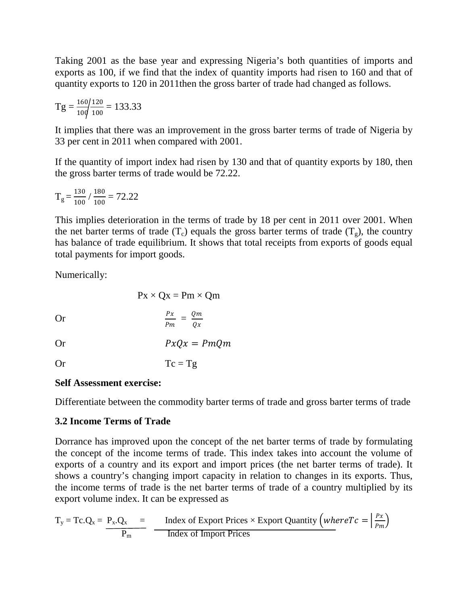Taking 2001 as the base year and expressing Nigeria's both quantities of imports and exports as 100, if we find that the index of quantity imports had risen to 160 and that of quantity exports to 120 in 2011then the gross barter of trade had changed as follows.

$$
Tg = \frac{160/120}{100/100} = 133.33
$$

It implies that there was an improvement in the gross barter terms of trade of Nigeria by 33 per cent in 2011 when compared with 2001.

If the quantity of import index had risen by 130 and that of quantity exports by 180, then the gross barter terms of trade would be 72.22.

$$
T_g\!=\!\frac{130}{100}\,/\,\frac{180}{100}=72.22
$$

This implies deterioration in the terms of trade by 18 per cent in 2011 over 2001. When the net barter terms of trade  $(T_c)$  equals the gross barter terms of trade  $(T_g)$ , the country has balance of trade equilibrium. It shows that total receipts from exports of goods equal total payments for import goods.

Numerically:

$$
Px \times Qx = Pm \times Qm
$$

Or 
$$
\frac{Px}{Pm} = \frac{Qm}{Qx}
$$

Or 
$$
PxQx = PmQm
$$

Or  $Tc = Tg$ 

# **Self Assessment exercise:**

Differentiate between the commodity barter terms of trade and gross barter terms of trade

# **3.2 Income Terms of Trade**

Dorrance has improved upon the concept of the net barter terms of trade by formulating the concept of the income terms of trade. This index takes into account the volume of exports of a country and its export and import prices (the net barter terms of trade). It shows a country's changing import capacity in relation to changes in its exports. Thus, the income terms of trade is the net barter terms of trade of a country multiplied by its export volume index. It can be expressed as

$$
T_y = Tc.Q_x = \frac{P_x.Q_x}{P_m} = \frac{\text{Index of Expert Prices} \times \text{Export Quantity} \left( \text{where} Tc = \left| \frac{Px}{P_m} \right. \right)}{\text{Index of Import Prices}}
$$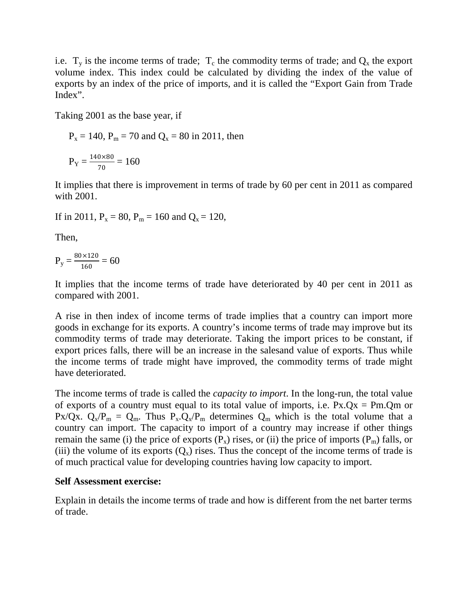i.e.  $T_v$  is the income terms of trade;  $T_c$  the commodity terms of trade; and  $Q_x$  the export volume index. This index could be calculated by dividing the index of the value of exports by an index of the price of imports, and it is called the "Export Gain from Trade Index".

Taking 2001 as the base year, if

$$
P_x = 140
$$
,  $P_m = 70$  and  $Q_x = 80$  in 2011, then  
 $P_Y = \frac{140 \times 80}{70} = 160$ 

It implies that there is improvement in terms of trade by 60 per cent in 2011 as compared with 2001.

If in 2011,  $P_x = 80$ ,  $P_m = 160$  and  $Q_x = 120$ ,

Then,

$$
P_y = \frac{80 \times 120}{160} = 60
$$

It implies that the income terms of trade have deteriorated by 40 per cent in 2011 as compared with 2001.

A rise in then index of income terms of trade implies that a country can import more goods in exchange for its exports. A country's income terms of trade may improve but its commodity terms of trade may deteriorate. Taking the import prices to be constant, if export prices falls, there will be an increase in the salesand value of exports. Thus while the income terms of trade might have improved, the commodity terms of trade might have deteriorated.

The income terms of trade is called the *capacity to import*. In the long-run, the total value of exports of a country must equal to its total value of imports, i.e.  $Px.Qx = Pm.Qm$  or Px/Qx.  $Q_x/P_m = Q_m$ . Thus  $P_x-Q_x/P_m$  determines  $Q_m$  which is the total volume that a country can import. The capacity to import of a country may increase if other things remain the same (i) the price of exports  $(P_x)$  rises, or (ii) the price of imports  $(P_m)$  falls, or (iii) the volume of its exports  $(O_x)$  rises. Thus the concept of the income terms of trade is of much practical value for developing countries having low capacity to import.

#### **Self Assessment exercise:**

Explain in details the income terms of trade and how is different from the net barter terms of trade.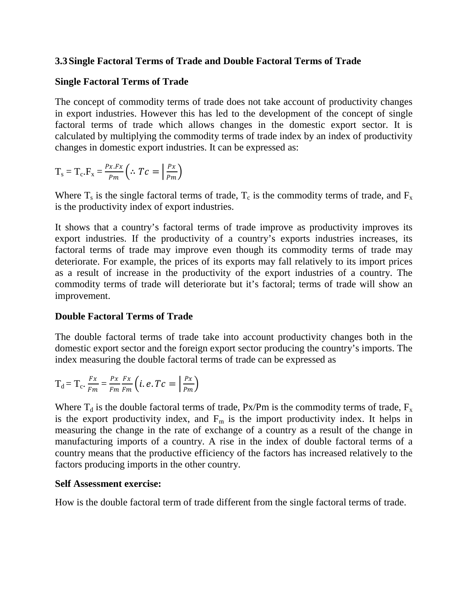#### **3.3 Single Factoral Terms of Trade and Double Factoral Terms of Trade**

#### **Single Factoral Terms of Trade**

The concept of commodity terms of trade does not take account of productivity changes in export industries. However this has led to the development of the concept of single factoral terms of trade which allows changes in the domestic export sector. It is calculated by multiplying the commodity terms of trade index by an index of productivity changes in domestic export industries. It can be expressed as:

$$
T_s = T_c.F_x = \frac{p_{x.Fx}}{p_m} \left( \therefore Tc = \left| \frac{p_x}{p_m} \right| \right)
$$

Where  $T_s$  is the single factoral terms of trade,  $T_c$  is the commodity terms of trade, and  $F_x$ is the productivity index of export industries.

It shows that a country's factoral terms of trade improve as productivity improves its export industries. If the productivity of a country's exports industries increases, its factoral terms of trade may improve even though its commodity terms of trade may deteriorate. For example, the prices of its exports may fall relatively to its import prices as a result of increase in the productivity of the export industries of a country. The commodity terms of trade will deteriorate but it's factoral; terms of trade will show an improvement.

# **Double Factoral Terms of Trade**

The double factoral terms of trade take into account productivity changes both in the domestic export sector and the foreign export sector producing the country's imports. The index measuring the double factoral terms of trade can be expressed as

$$
T_d = T_c \cdot \frac{Fx}{Fm} = \frac{Px}{Fm} \frac{Fx}{Fm} \left(i. e. Tc = \left|\frac{Px}{Pm}\right.\right)
$$

Where  $T_d$  is the double factoral terms of trade, Px/Pm is the commodity terms of trade,  $F_x$ is the export productivity index, and  $F_m$  is the import productivity index. It helps in measuring the change in the rate of exchange of a country as a result of the change in manufacturing imports of a country. A rise in the index of double factoral terms of a country means that the productive efficiency of the factors has increased relatively to the factors producing imports in the other country.

#### **Self Assessment exercise:**

How is the double factoral term of trade different from the single factoral terms of trade.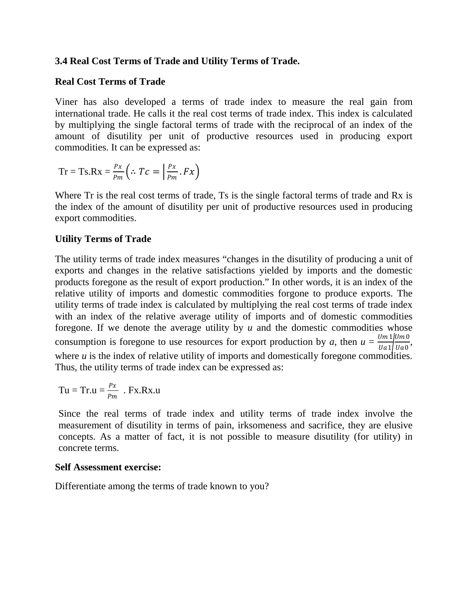#### **3.4 Real Cost Terms of Trade and Utility Terms of Trade.**

#### **Real Cost Terms of Trade**

Viner has also developed a terms of trade index to measure the real gain from international trade. He calls it the real cost terms of trade index. This index is calculated by multiplying the single factoral terms of trade with the reciprocal of an index of the amount of disutility per unit of productive resources used in producing export commodities. It can be expressed as:

$$
Tr = Ts.Rx = \frac{Px}{Pm} \left( \therefore Tc = \left| \frac{Px}{Pm} \cdot Fx \right. \right)
$$

Where Tr is the real cost terms of trade, Ts is the single factoral terms of trade and Rx is the index of the amount of disutility per unit of productive resources used in producing export commodities.

#### **Utility Terms of Trade**

The utility terms of trade index measures "changes in the disutility of producing a unit of exports and changes in the relative satisfactions yielded by imports and the domestic products foregone as the result of export production." In other words, it is an index of the relative utility of imports and domestic commodities forgone to produce exports. The utility terms of trade index is calculated by multiplying the real cost terms of trade index with an index of the relative average utility of imports and of domestic commodities foregone. If we denote the average utility by  $u$  and the domestic commodities whose consumption is foregone to use resources for export production by *a*, then  $u = \frac{Um}{U}$ U a 1  $\frac{Um0}{Ua0}$ where *u* is the index of relative utility of imports and domestically foregone commodities. Thus, the utility terms of trade index can be expressed as:

$$
Tu = Tr.u = \frac{Px}{Pm} . Fx.Rx.u
$$

Since the real terms of trade index and utility terms of trade index involve the measurement of disutility in terms of pain, irksomeness and sacrifice, they are elusive concepts. As a matter of fact, it is not possible to measure disutility (for utility) in concrete terms.

#### **Self Assessment exercise:**

Differentiate among the terms of trade known to you?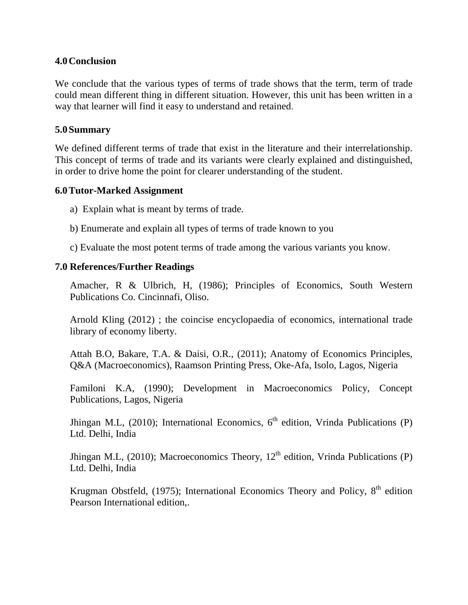#### **4.0Conclusion**

We conclude that the various types of terms of trade shows that the term, term of trade could mean different thing in different situation. However, this unit has been written in a way that learner will find it easy to understand and retained.

#### **5.0 Summary**

We defined different terms of trade that exist in the literature and their interrelationship. This concept of terms of trade and its variants were clearly explained and distinguished, in order to drive home the point for clearer understanding of the student.

#### **6.0Tutor-Marked Assignment**

- a) Explain what is meant by terms of trade.
- b) Enumerate and explain all types of terms of trade known to you
- c) Evaluate the most potent terms of trade among the various variants you know.

#### **7.0 References/Further Readings**

Amacher, R & Ulbrich, H, (1986); Principles of Economics, South Western Publications Co. Cincinnafi, Oliso.

Arnold Kling (2012) ; the coincise encyclopaedia of economics, international trade library of economy liberty.

Attah B.O, Bakare, T.A. & Daisi, O.R., (2011); Anatomy of Economics Principles, Q&A (Macroeconomics), Raamson Printing Press, Oke-Afa, Isolo, Lagos, Nigeria

Familoni K.A, (1990); Development in Macroeconomics Policy, Concept Publications, Lagos, Nigeria

Jhingan M.L, (2010); International Economics,  $6<sup>th</sup>$  edition, Vrinda Publications (P) Ltd. Delhi, India

Jhingan M.L, (2010); Macroeconomics Theory,  $12<sup>th</sup>$  edition, Vrinda Publications (P) Ltd. Delhi, India

Krugman Obstfeld, (1975); International Economics Theory and Policy,  $8<sup>th</sup>$  edition Pearson International edition,.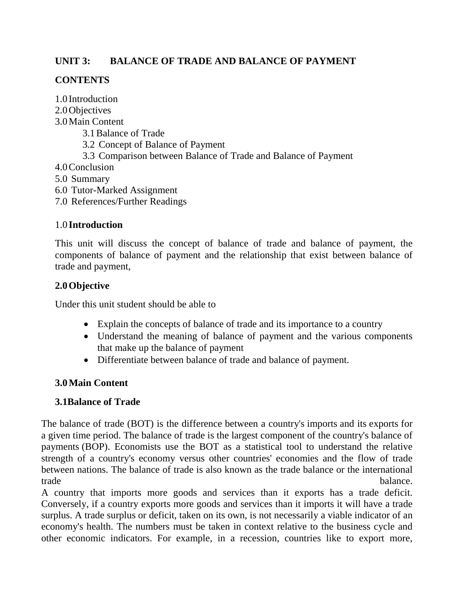# **UNIT 3: BALANCE OF TRADE AND BALANCE OF PAYMENT**

# **CONTENTS**

1.0 Introduction

2.0Objectives

3.0Main Content

- 3.1Balance of Trade
- 3.2 Concept of Balance of Payment
- 3.3 Comparison between Balance of Trade and Balance of Payment
- 4.0Conclusion
- 5.0 Summary
- 6.0 Tutor-Marked Assignment
- 7.0 References/Further Readings

# 1.0 **Introduction**

This unit will discuss the concept of balance of trade and balance of payment, the components of balance of payment and the relationship that exist between balance of trade and payment,

# **2.0Objective**

Under this unit student should be able to

- Explain the concepts of balance of trade and its importance to a country
- Understand the meaning of balance of payment and the various components that make up the balance of payment
- Differentiate between balance of trade and balance of payment.

# **3.0Main Content**

# **3.1Balance of Trade**

The balance of trade (BOT) is the difference between a country's [imports](http://www.investopedia.com/terms/i/import.asp) and its [exports](http://www.investopedia.com/terms/e/export.asp) for a given time period. The [balance of trade](http://www.investopedia.com/video/play/balance-trade/) is the largest component of the country's [balance of](http://www.investopedia.com/terms/b/bop.asp)  [payments](http://www.investopedia.com/terms/b/bop.asp) (BOP). Economists use the BOT as a statistical tool to understand the relative strength of a country's economy versus other countries' economies and the flow of trade between nations. The balance of trade is also known as the trade balance or the international trade balance.

A country that imports more goods and services than it exports has a trade deficit. Conversely, if a country exports more goods and services than it imports it will have a trade surplus. A trade surplus or deficit, taken on its own, is not necessarily a viable indicator of an economy's health. The numbers must be taken in context relative to the business cycle and other economic indicators. For example, in a recession, countries like to export more,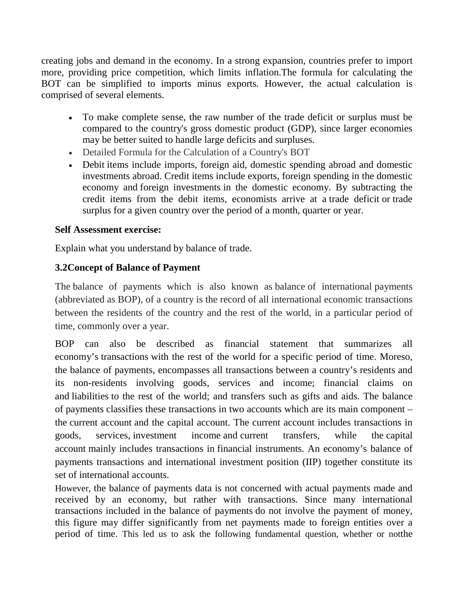creating jobs and demand in the economy. In a strong expansion, countries prefer to import more, providing price competition, which limits inflation.The formula for calculating the BOT can be simplified to imports minus exports. However, the actual calculation is comprised of several elements.

- To make complete sense, the raw number of the trade deficit or surplus must be compared to the country's gross domestic product (GDP), since larger economies may be better suited to handle large deficits and surpluses.
- Detailed Formula for the Calculation of a Country's BOT
- [Debit](http://www.investopedia.com/terms/d/debit.asp) items include imports, foreign aid, domestic spending abroad and domestic investments abroad. Credit items include exports, foreign spending in the domestic economy and [foreign investments](http://www.investopedia.com/terms/f/foreign-investment.asp) in the domestic economy. By subtracting the credit items from the debit items, economists arrive at a [trade deficit](http://www.investopedia.com/terms/t/trade_deficit.asp) or [trade](http://www.investopedia.com/terms/t/trade-surplus.asp)  [surplus](http://www.investopedia.com/terms/t/trade-surplus.asp) for a given country over the period of a month, quarter or year.

# **Self Assessment exercise:**

Explain what you understand by balance of trade.

# **3.2Concept of Balance of Payment**

The balance of payments which is also known as balance of international payments (abbreviated as BOP), of a country is the record of all international economic transactions between the residents of the country and the rest of the world, in a particular period of time, commonly over a year.

BOP can also be described as financial statement that summarizes all economy's [transactions](http://www.investopedia.com/terms/t/transaction.asp) with the rest of the world for a specific period of time. Moreso, the balance of payments, encompasses all transactions between a country's residents and its non-residents involving goods, services and income; financial claims on and [liabilities](http://www.investopedia.com/terms/l/liability.asp) to the rest of the world; and transfers such as gifts and aids. The balance of [payments](http://www.investopedia.com/terms/p/payment.asp) classifies these transactions in two accounts which are its main component – the [current account](http://www.investopedia.com/terms/c/currentaccount.asp) and the capital account. The current account includes transactions in goods, services, [investment income](http://www.investopedia.com/terms/i/investmentincome.asp) and [current transfers,](http://www.investopedia.com/terms/c/current-transfers.asp) while the [capital](http://www.investopedia.com/terms/c/capitalaccount.asp)  [account](http://www.investopedia.com/terms/c/capitalaccount.asp) mainly includes transactions in [financial instruments.](http://www.investopedia.com/terms/f/financialinstrument.asp) An economy's balance of payments transactions and international investment position (IIP) together constitute its set of international accounts.

However, the balance of payments data is not concerned with actual payments made and received by an economy, but rather with transactions. Since many international transactions included in [the balance of payments](http://www.investopedia.com/video/play/balance-payments/) do not involve the payment of money, this figure may differ significantly from net payments made to foreign entities over a period of time. This led us to ask the following fundamental question, whether or notthe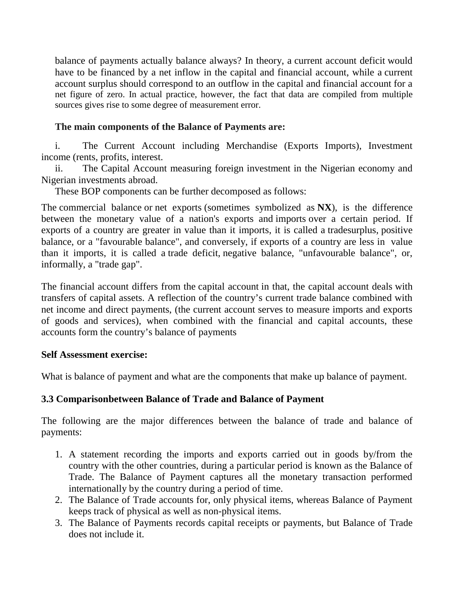balance of payments actually balance always? In theory, a [current account deficit](http://www.investopedia.com/terms/c/currentaccountdeficit.asp) would have to be financed by a net inflow in the capital and financial account, while a [current](http://www.investopedia.com/terms/c/current-account-surplus.asp)  [account surplus](http://www.investopedia.com/terms/c/current-account-surplus.asp) should correspond to an outflow in the capital and [financial account](http://www.investopedia.com/terms/f/financial-account.asp) for a net figure of zero. In actual practice, however, the fact that data are compiled from multiple sources gives rise to some degree of measurement error.

# **The main components of the Balance of Payments are:**

i. The Current Account including Merchandise (Exports Imports), Investment income (rents, profits, interest.

ii. The Capital Account measuring foreign investment in the Nigerian economy and Nigerian investments abroad.

These BOP components can be further decomposed as follows:

The commercial balance or net exports (sometimes symbolized as **NX**), is the difference between the monetary value of a nation's exports and [imports](https://en.wikipedia.org/wiki/International_trade) over a certain period. If exports of a country are greater in value than it imports, it is called a tradesurplus, positive balance, or a "favourable balance", and conversely, if exports of a country are less in value than it imports, it is called a trade deficit, negative balance, "unfavourable balance", or, informally, a "trade gap".

The financial account differs from the [capital account](http://www.investopedia.com/terms/c/capitalaccount.asp) in that, the capital account deals with transfers of capital assets. A reflection of the country's current trade balance combined with net income and direct payments, (the current account serves to measure imports and exports of goods and services), when combined with the financial and capital accounts, these accounts form the country's balance of payments

# **Self Assessment exercise:**

What is balance of payment and what are the components that make up balance of payment.

# **3.3 Comparisonbetween Balance of Trade and Balance of Payment**

The following are the major differences between the balance of trade and balance of payments:

- 1. A statement recording the imports and exports carried out in goods by/from the country with the other countries, during a particular period is known as the Balance of Trade. The Balance of Payment captures all the monetary transaction performed internationally by the country during a period of time.
- 2. The Balance of Trade accounts for, only physical items, whereas Balance of Payment keeps track of physical as well as non-physical items.
- 3. The Balance of Payments records capital receipts or payments, but Balance of Trade does not include it.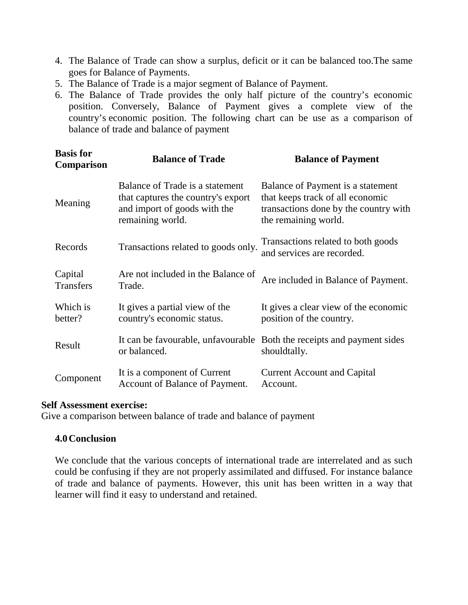- 4. The Balance of Trade can show a surplus, deficit or it can be balanced too.The same goes for Balance of Payments.
- 5. The Balance of Trade is a major segment of Balance of Payment.
- 6. The Balance of Trade provides the only half picture of the country's economic position. Conversely, Balance of Payment gives a complete view of the country's economic position. The following chart can be use as a comparison of balance of trade and balance of payment

| <b>Basis for</b><br><b>Comparison</b> | <b>Balance of Trade</b>                                                                                                   | <b>Balance of Payment</b>                                                                                                              |
|---------------------------------------|---------------------------------------------------------------------------------------------------------------------------|----------------------------------------------------------------------------------------------------------------------------------------|
| Meaning                               | Balance of Trade is a statement<br>that captures the country's export<br>and import of goods with the<br>remaining world. | Balance of Payment is a statement<br>that keeps track of all economic<br>transactions done by the country with<br>the remaining world. |
| Records                               | Transactions related to goods only.                                                                                       | Transactions related to both goods<br>and services are recorded.                                                                       |
| Capital<br>Transfers                  | Are not included in the Balance of<br>Trade.                                                                              | Are included in Balance of Payment.                                                                                                    |
| Which is<br>better?                   | It gives a partial view of the<br>country's economic status.                                                              | It gives a clear view of the economic<br>position of the country.                                                                      |
| Result                                | or balanced.                                                                                                              | It can be favourable, unfavourable Both the receipts and payment sides<br>shouldtally.                                                 |
| Component                             | It is a component of Current<br>Account of Balance of Payment.                                                            | <b>Current Account and Capital</b><br>Account.                                                                                         |

#### **Self Assessment exercise:**

Give a comparison between balance of trade and balance of payment

#### **4.0Conclusion**

We conclude that the various concepts of international trade are interrelated and as such could be confusing if they are not properly assimilated and diffused. For instance balance of trade and balance of payments. However, this unit has been written in a way that learner will find it easy to understand and retained.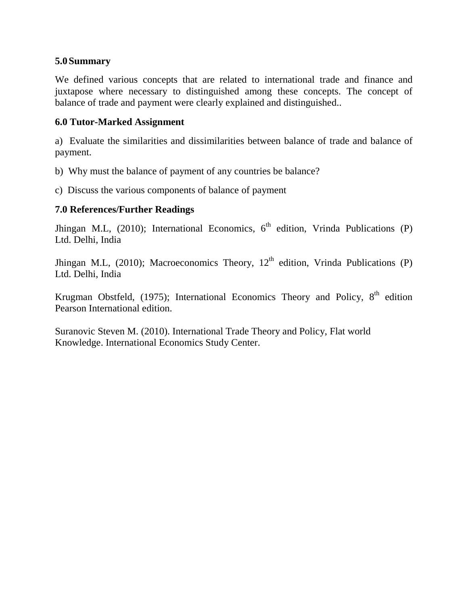#### **5.0 Summary**

We defined various concepts that are related to international trade and finance and juxtapose where necessary to distinguished among these concepts. The concept of balance of trade and payment were clearly explained and distinguished..

#### **6.0 Tutor-Marked Assignment**

a) Evaluate the similarities and dissimilarities between balance of trade and balance of payment.

b) Why must the balance of payment of any countries be balance?

c) Discuss the various components of balance of payment

#### **7.0 References/Further Readings**

Jhingan M.L, (2010); International Economics,  $6<sup>th</sup>$  edition, Vrinda Publications (P) Ltd. Delhi, India

Jhingan M.L, (2010); Macroeconomics Theory,  $12<sup>th</sup>$  edition, Vrinda Publications (P) Ltd. Delhi, India

Krugman Obstfeld, (1975); International Economics Theory and Policy,  $8<sup>th</sup>$  edition Pearson International edition.

Suranovic Steven M. (2010). International Trade Theory and Policy, Flat world Knowledge. International Economics Study Center.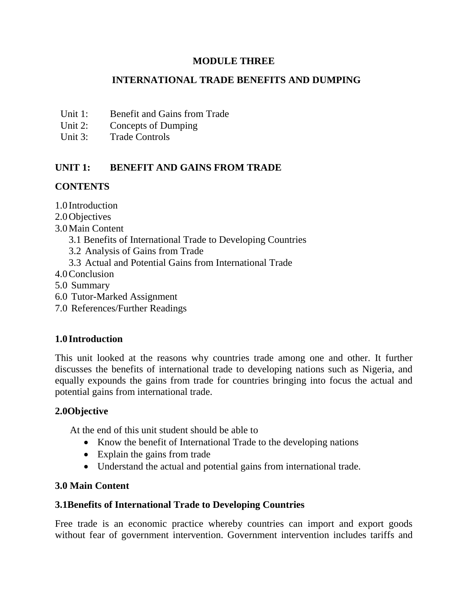# **MODULE THREE**

# **INTERNATIONAL TRADE BENEFITS AND DUMPING**

- Unit 1: Benefit and Gains from Trade
- Unit 2: Concepts of Dumping
- Unit 3: Trade Controls

# **UNIT 1: BENEFIT AND GAINS FROM TRADE**

# **CONTENTS**

- 1.0 Introduction
- 2.0Objectives
- 3.0Main Content
	- 3.1 Benefits of International Trade to Developing Countries
	- 3.2 Analysis of Gains from Trade
	- 3.3 Actual and Potential Gains from International Trade
- 4.0Conclusion
- 5.0 Summary
- 6.0 Tutor-Marked Assignment
- 7.0 References/Further Readings

# **1.0 Introduction**

This unit looked at the reasons why countries trade among one and other. It further discusses the benefits of international trade to developing nations such as Nigeria, and equally expounds the gains from trade for countries bringing into focus the actual and potential gains from international trade.

# **2.0Objective**

At the end of this unit student should be able to

- Know the benefit of International Trade to the developing nations
- Explain the gains from trade
- Understand the actual and potential gains from international trade.

# **3.0 Main Content**

# **3.1Benefits of International Trade to Developing Countries**

Free trade is an economic practice whereby countries can import and export goods without fear of government intervention. Government intervention includes tariffs and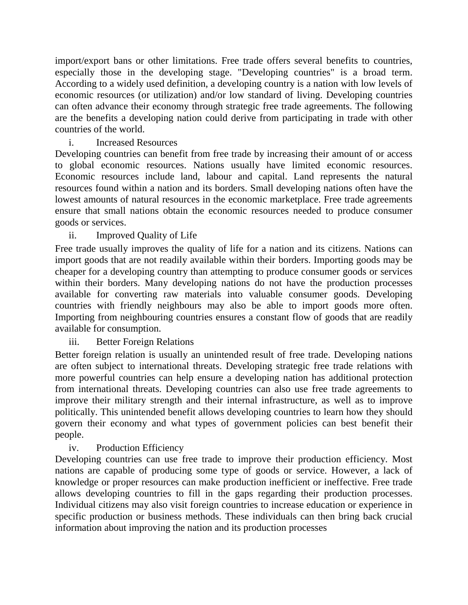import/export bans or other limitations. Free trade offers several benefits to countries, especially those in the developing stage. "Developing countries" is a broad term. According to a widely used definition, a developing country is a nation with low levels of economic resources (or utilization) and/or low standard of living. Developing countries can often advance their economy through strategic free trade agreements. The following are the benefits a developing nation could derive from participating in trade with other countries of the world.

# i. Increased Resources

Developing countries can benefit from free trade by increasing their amount of or access to global economic resources. Nations usually have limited economic resources. Economic resources include land, labour and capital. Land represents the natural resources found within a nation and its borders. Small developing nations often have the lowest amounts of natural resources in the economic marketplace. Free trade agreements ensure that small nations obtain the economic resources needed to produce consumer goods or services.

# ii. Improved Quality of Life

Free trade usually improves the quality of life for a nation and its citizens. Nations can import goods that are not readily available within their borders. Importing goods may be cheaper for a developing country than attempting to produce consumer goods or services within their borders. Many developing nations do not have the production processes available for converting raw materials into valuable consumer goods. Developing countries with friendly neighbours may also be able to import goods more often. Importing from neighbouring countries ensures a constant flow of goods that are readily available for consumption.

# iii. Better Foreign Relations

Better foreign relation is usually an unintended result of free trade. Developing nations are often subject to international threats. Developing strategic free trade relations with more powerful countries can help ensure a developing nation has additional protection from international threats. Developing countries can also use free trade agreements to improve their military strength and their internal infrastructure, as well as to improve politically. This unintended benefit allows developing countries to learn how they should govern their economy and what types of government policies can best benefit their people.

# iv. Production Efficiency

Developing countries can use free trade to improve their production efficiency. Most nations are capable of producing some type of goods or service. However, a lack of knowledge or proper resources can make production inefficient or ineffective. Free trade allows developing countries to fill in the gaps regarding their production processes. Individual citizens may also visit foreign countries to increase education or experience in specific production or business methods. These individuals can then bring back crucial information about improving the nation and its production processes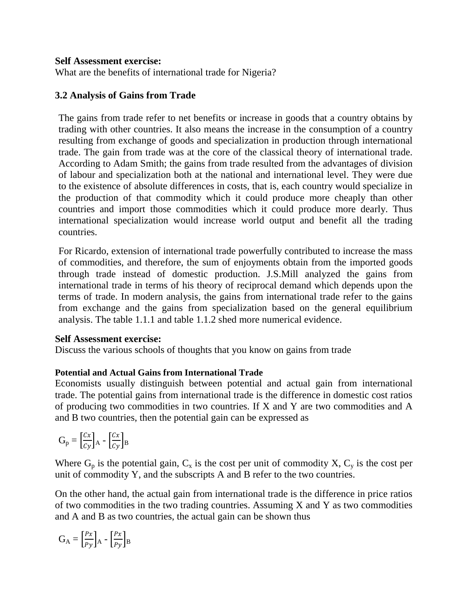#### **Self Assessment exercise:**

What are the benefits of international trade for Nigeria?

# **3.2 Analysis of Gains from Trade**

The gains from trade refer to net benefits or increase in goods that a country obtains by trading with other countries. It also means the increase in the consumption of a country resulting from exchange of goods and specialization in production through international trade. The gain from trade was at the core of the classical theory of international trade. According to Adam Smith; the gains from trade resulted from the advantages of division of labour and specialization both at the national and international level. They were due to the existence of absolute differences in costs, that is, each country would specialize in the production of that commodity which it could produce more cheaply than other countries and import those commodities which it could produce more dearly. Thus international specialization would increase world output and benefit all the trading countries.

For Ricardo, extension of international trade powerfully contributed to increase the mass of commodities, and therefore, the sum of enjoyments obtain from the imported goods through trade instead of domestic production. J.S.Mill analyzed the gains from international trade in terms of his theory of reciprocal demand which depends upon the terms of trade. In modern analysis, the gains from international trade refer to the gains from exchange and the gains from specialization based on the general equilibrium analysis. The table 1.1.1 and table 1.1.2 shed more numerical evidence.

# **Self Assessment exercise:**

Discuss the various schools of thoughts that you know on gains from trade

# **Potential and Actual Gains from International Trade**

Economists usually distinguish between potential and actual gain from international trade. The potential gains from international trade is the difference in domestic cost ratios of producing two commodities in two countries. If X and Y are two commodities and A and B two countries, then the potential gain can be expressed as

$$
\mathbf{G}_{\mathrm{p}} = \left[\frac{c x}{c y}\right]_{\mathrm{A}} - \left[\frac{c x}{c y}\right]_{\mathrm{B}}
$$

Where  $G_p$  is the potential gain,  $C_x$  is the cost per unit of commodity X,  $C_y$  is the cost per unit of commodity Y, and the subscripts A and B refer to the two countries.

On the other hand, the actual gain from international trade is the difference in price ratios of two commodities in the two trading countries. Assuming X and Y as two commodities and A and B as two countries, the actual gain can be shown thus

$$
G_A = \left[\frac{Px}{Py}\right]_A - \left[\frac{Px}{Py}\right]_B
$$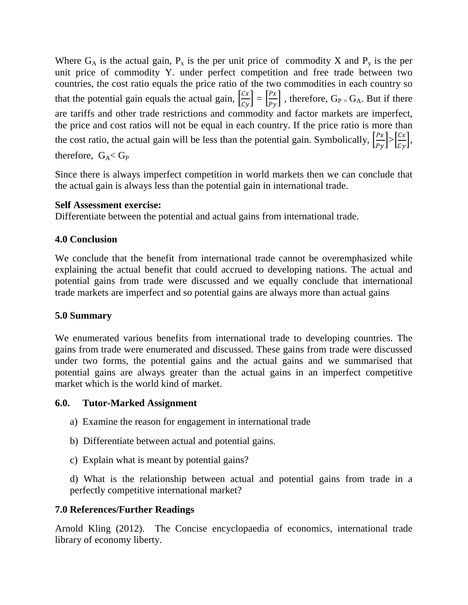Where  $G_A$  is the actual gain,  $P_x$  is the per unit price of commodity X and  $P_y$  is the per unit price of commodity Y. under perfect competition and free trade between two countries, the cost ratio equals the price ratio of the two commodities in each country so that the potential gain equals the actual gain,  $\left[\frac{cx}{cy}\right] = \left[\frac{Px}{Py}\right]$ , therefore,  $G_{P} = G_{A}$ . But if there are tariffs and other trade restrictions and commodity and factor markets are imperfect, the price and cost ratios will not be equal in each country. If the price ratio is more than the cost ratio, the actual gain will be less than the potential gain. Symbolically,  $\left\lfloor \frac{Px}{Py} \right\rfloor > \left\lfloor \frac{Cx}{Cy} \right\rfloor$ , therefore,  $G_A < G_P$ 

Since there is always imperfect competition in world markets then we can conclude that the actual gain is always less than the potential gain in international trade.

#### **Self Assessment exercise:**

Differentiate between the potential and actual gains from international trade.

# **4.0 Conclusion**

We conclude that the benefit from international trade cannot be overemphasized while explaining the actual benefit that could accrued to developing nations. The actual and potential gains from trade were discussed and we equally conclude that international trade markets are imperfect and so potential gains are always more than actual gains

# **5.0 Summary**

We enumerated various benefits from international trade to developing countries. The gains from trade were enumerated and discussed. These gains from trade were discussed under two forms, the potential gains and the actual gains and we summarised that potential gains are always greater than the actual gains in an imperfect competitive market which is the world kind of market.

# **6.0. Tutor-Marked Assignment**

- a) Examine the reason for engagement in international trade
- b) Differentiate between actual and potential gains.
- c) Explain what is meant by potential gains?

d) What is the relationship between actual and potential gains from trade in a perfectly competitive international market?

# **7.0 References/Further Readings**

Arnold Kling (2012). The Concise encyclopaedia of economics, international trade library of economy liberty.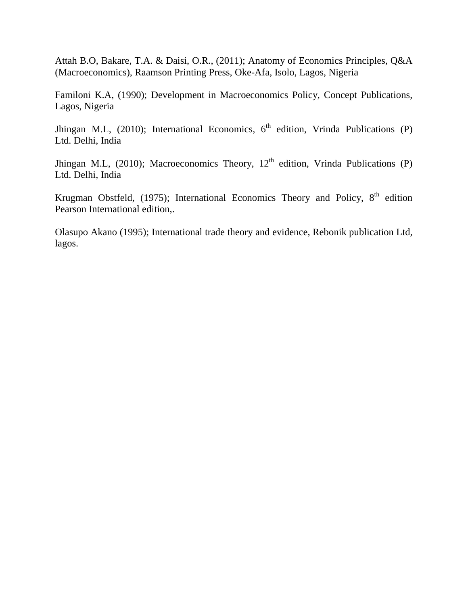Attah B.O, Bakare, T.A. & Daisi, O.R., (2011); Anatomy of Economics Principles, Q&A (Macroeconomics), Raamson Printing Press, Oke-Afa, Isolo, Lagos, Nigeria

Familoni K.A, (1990); Development in Macroeconomics Policy, Concept Publications, Lagos, Nigeria

Jhingan M.L, (2010); International Economics,  $6<sup>th</sup>$  edition, Vrinda Publications (P) Ltd. Delhi, India

Jhingan M.L, (2010); Macroeconomics Theory,  $12<sup>th</sup>$  edition, Vrinda Publications (P) Ltd. Delhi, India

Krugman Obstfeld, (1975); International Economics Theory and Policy,  $8<sup>th</sup>$  edition Pearson International edition,.

Olasupo Akano (1995); International trade theory and evidence, Rebonik publication Ltd, lagos.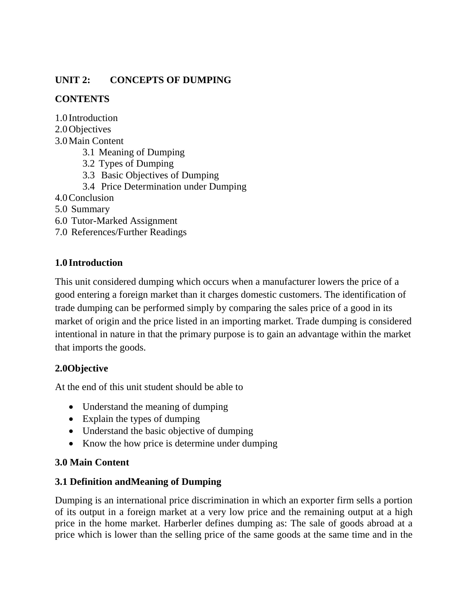# **UNIT 2: CONCEPTS OF DUMPING**

# **CONTENTS**

1.0 Introduction

2.0Objectives

# 3.0Main Content

- 3.1 Meaning of Dumping
- 3.2 Types of Dumping
- 3.3 Basic Objectives of Dumping
- 3.4 Price Determination under Dumping

4.0Conclusion

- 5.0 Summary
- 6.0 Tutor-Marked Assignment
- 7.0 References/Further Readings

# **1.0 Introduction**

This unit considered dumping which occurs when a manufacturer lowers the price of a good entering a foreign market than it charges domestic customers. The identification of trade dumping can be performed simply by comparing the sales price of a good in its market of origin and the price listed in an importing market. Trade dumping is considered intentional in nature in that the primary purpose is to gain an advantage within the market that imports the goods.

# **2.0Objective**

At the end of this unit student should be able to

- Understand the meaning of dumping
- Explain the types of dumping
- Understand the basic objective of dumping
- Know the how price is determine under dumping

# **3.0 Main Content**

# **3.1 Definition andMeaning of Dumping**

Dumping is an international price discrimination in which an exporter firm sells a portion of its output in a foreign market at a very low price and the remaining output at a high price in the home market. Harberler defines dumping as: The sale of goods abroad at a price which is lower than the selling price of the same goods at the same time and in the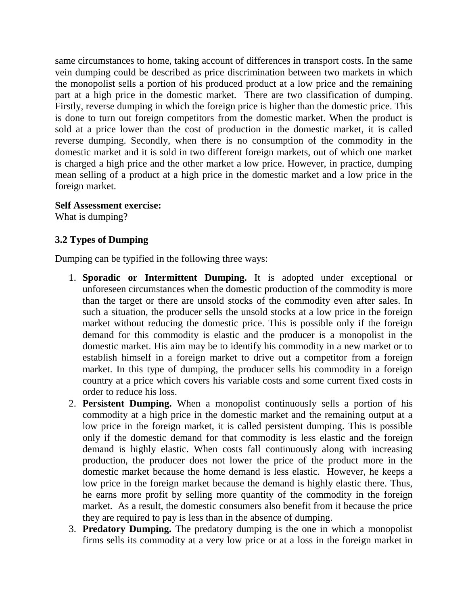same circumstances to home, taking account of differences in transport costs. In the same vein dumping could be described as price discrimination between two markets in which the monopolist sells a portion of his produced product at a low price and the remaining part at a high price in the domestic market. There are two classification of dumping. Firstly, reverse dumping in which the foreign price is higher than the domestic price. This is done to turn out foreign competitors from the domestic market. When the product is sold at a price lower than the cost of production in the domestic market, it is called reverse dumping. Secondly, when there is no consumption of the commodity in the domestic market and it is sold in two different foreign markets, out of which one market is charged a high price and the other market a low price. However, in practice, dumping mean selling of a product at a high price in the domestic market and a low price in the foreign market.

#### **Self Assessment exercise:**

What is dumping?

# **3.2 Types of Dumping**

Dumping can be typified in the following three ways:

- 1. **Sporadic or Intermittent Dumping.** It is adopted under exceptional or unforeseen circumstances when the domestic production of the commodity is more than the target or there are unsold stocks of the commodity even after sales. In such a situation, the producer sells the unsold stocks at a low price in the foreign market without reducing the domestic price. This is possible only if the foreign demand for this commodity is elastic and the producer is a monopolist in the domestic market. His aim may be to identify his commodity in a new market or to establish himself in a foreign market to drive out a competitor from a foreign market. In this type of dumping, the producer sells his commodity in a foreign country at a price which covers his variable costs and some current fixed costs in order to reduce his loss.
- 2. **Persistent Dumping.** When a monopolist continuously sells a portion of his commodity at a high price in the domestic market and the remaining output at a low price in the foreign market, it is called persistent dumping. This is possible only if the domestic demand for that commodity is less elastic and the foreign demand is highly elastic. When costs fall continuously along with increasing production, the producer does not lower the price of the product more in the domestic market because the home demand is less elastic. However, he keeps a low price in the foreign market because the demand is highly elastic there. Thus, he earns more profit by selling more quantity of the commodity in the foreign market. As a result, the domestic consumers also benefit from it because the price they are required to pay is less than in the absence of dumping.
- 3. **Predatory Dumping.** The predatory dumping is the one in which a monopolist firms sells its commodity at a very low price or at a loss in the foreign market in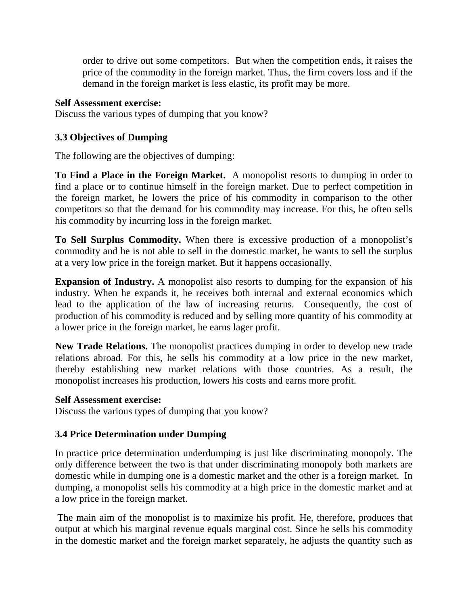order to drive out some competitors. But when the competition ends, it raises the price of the commodity in the foreign market. Thus, the firm covers loss and if the demand in the foreign market is less elastic, its profit may be more.

#### **Self Assessment exercise:**

Discuss the various types of dumping that you know?

# **3.3 Objectives of Dumping**

The following are the objectives of dumping:

**To Find a Place in the Foreign Market.** A monopolist resorts to dumping in order to find a place or to continue himself in the foreign market. Due to perfect competition in the foreign market, he lowers the price of his commodity in comparison to the other competitors so that the demand for his commodity may increase. For this, he often sells his commodity by incurring loss in the foreign market.

**To Sell Surplus Commodity.** When there is excessive production of a monopolist's commodity and he is not able to sell in the domestic market, he wants to sell the surplus at a very low price in the foreign market. But it happens occasionally.

**Expansion of Industry.** A monopolist also resorts to dumping for the expansion of his industry. When he expands it, he receives both internal and external economics which lead to the application of the law of increasing returns. Consequently, the cost of production of his commodity is reduced and by selling more quantity of his commodity at a lower price in the foreign market, he earns lager profit.

**New Trade Relations.** The monopolist practices dumping in order to develop new trade relations abroad. For this, he sells his commodity at a low price in the new market, thereby establishing new market relations with those countries. As a result, the monopolist increases his production, lowers his costs and earns more profit.

# **Self Assessment exercise:**

Discuss the various types of dumping that you know?

# **3.4 Price Determination under Dumping**

In practice price determination underdumping is just like discriminating monopoly. The only difference between the two is that under discriminating monopoly both markets are domestic while in dumping one is a domestic market and the other is a foreign market. In dumping, a monopolist sells his commodity at a high price in the domestic market and at a low price in the foreign market.

The main aim of the monopolist is to maximize his profit. He, therefore, produces that output at which his marginal revenue equals marginal cost. Since he sells his commodity in the domestic market and the foreign market separately, he adjusts the quantity such as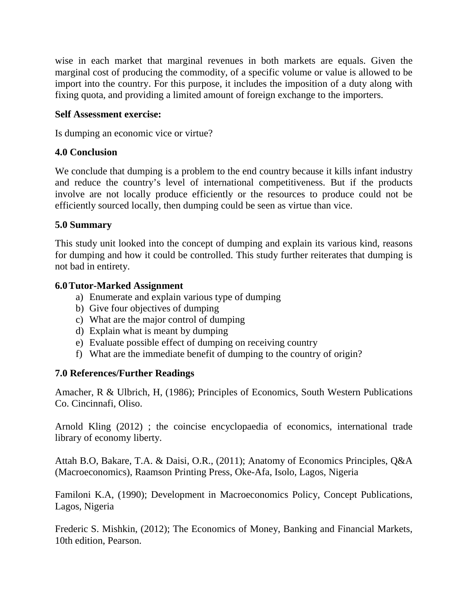wise in each market that marginal revenues in both markets are equals. Given the marginal cost of producing the commodity, of a specific volume or value is allowed to be import into the country. For this purpose, it includes the imposition of a duty along with fixing quota, and providing a limited amount of foreign exchange to the importers.

#### **Self Assessment exercise:**

Is dumping an economic vice or virtue?

# **4.0 Conclusion**

We conclude that dumping is a problem to the end country because it kills infant industry and reduce the country's level of international competitiveness. But if the products involve are not locally produce efficiently or the resources to produce could not be efficiently sourced locally, then dumping could be seen as virtue than vice.

# **5.0 Summary**

This study unit looked into the concept of dumping and explain its various kind, reasons for dumping and how it could be controlled. This study further reiterates that dumping is not bad in entirety.

#### **6.0Tutor-Marked Assignment**

- a) Enumerate and explain various type of dumping
- b) Give four objectives of dumping
- c) What are the major control of dumping
- d) Explain what is meant by dumping
- e) Evaluate possible effect of dumping on receiving country
- f) What are the immediate benefit of dumping to the country of origin?

#### **7.0 References/Further Readings**

Amacher, R & Ulbrich, H, (1986); Principles of Economics, South Western Publications Co. Cincinnafi, Oliso.

Arnold Kling (2012) ; the coincise encyclopaedia of economics, international trade library of economy liberty.

Attah B.O, Bakare, T.A. & Daisi, O.R., (2011); Anatomy of Economics Principles, Q&A (Macroeconomics), Raamson Printing Press, Oke-Afa, Isolo, Lagos, Nigeria

Familoni K.A, (1990); Development in Macroeconomics Policy, Concept Publications, Lagos, Nigeria

Frederic S. Mishkin, (2012); The Economics of Money, Banking and Financial Markets, 10th edition, Pearson.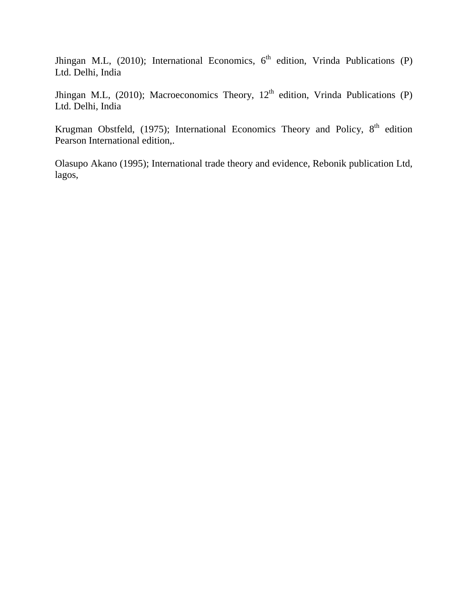Jhingan M.L, (2010); International Economics,  $6<sup>th</sup>$  edition, Vrinda Publications (P) Ltd. Delhi, India

Jhingan M.L, (2010); Macroeconomics Theory,  $12<sup>th</sup>$  edition, Vrinda Publications (P) Ltd. Delhi, India

Krugman Obstfeld, (1975); International Economics Theory and Policy,  $8<sup>th</sup>$  edition Pearson International edition,.

Olasupo Akano (1995); International trade theory and evidence, Rebonik publication Ltd, lagos,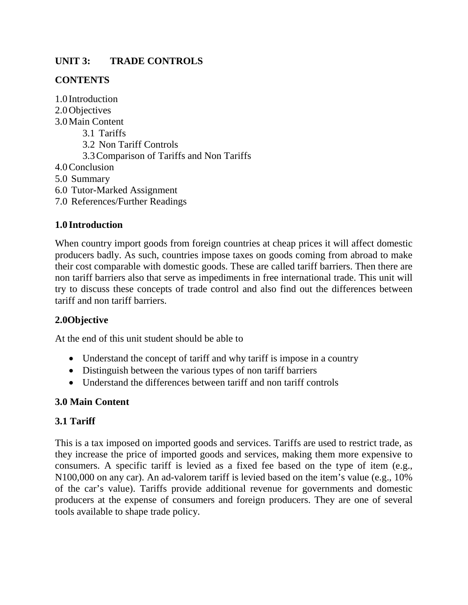# **UNIT 3: TRADE CONTROLS**

# **CONTENTS**

1.0 Introduction 2.0Objectives 3.0Main Content 3.1 Tariffs 3.2 Non Tariff Controls 3.3Comparison of Tariffs and Non Tariffs 4.0Conclusion 5.0 Summary 6.0 Tutor-Marked Assignment 7.0 References/Further Readings

# **1.0 Introduction**

When country import goods from foreign countries at cheap prices it will affect domestic producers badly. As such, countries impose taxes on goods coming from abroad to make their cost comparable with domestic goods. These are called tariff barriers. Then there are non tariff barriers also that serve as impediments in free international trade. This unit will try to discuss these concepts of trade control and also find out the differences between tariff and non tariff barriers.

# **2.0Objective**

At the end of this unit student should be able to

- Understand the concept of tariff and why tariff is impose in a country
- Distinguish between the various types of non tariff barriers
- Understand the differences between tariff and non tariff controls

# **3.0 Main Content**

# **3.1 Tariff**

This is a tax imposed on imported goods and services. Tariffs are used to restrict trade, as they increase the price of imported goods and services, making them more expensive to consumers. A specific tariff is levied as a fixed fee based on the type of item (e.g., N100,000 on any car). An [ad-valorem tariff](http://www.investopedia.com/video/play/tariffs/) is levied based on the item's value (e.g., 10% of the car's value). Tariffs provide additional revenue for governments and domestic producers at the expense of consumers and foreign producers. They are one of several tools available to shape trade policy.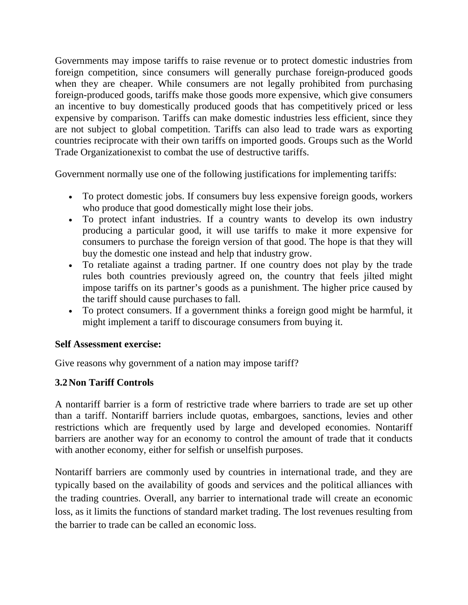Governments may impose tariffs to raise revenue or to protect domestic industries from foreign competition, since consumers will generally purchase foreign-produced goods when they are cheaper. While consumers are not legally prohibited from purchasing foreign-produced goods, tariffs make those goods more expensive, which give consumers an incentive to buy domestically produced goods that has competitively priced or less expensive by comparison. Tariffs can make domestic industries less efficient, since they are not subject to global competition. Tariffs can also lead to [trade wars](http://www.investopedia.com/terms/t/trade-war.asp) as exporting countries reciprocate with their own tariffs on imported goods. Groups such as the [World](http://www.investopedia.com/terms/w/wto.asp)  [Trade Organizatione](http://www.investopedia.com/terms/w/wto.asp)xist to combat the use of destructive tariffs.

Government normally use one of the following justifications for implementing tariffs:

- To protect domestic jobs. If consumers buy less expensive foreign goods, workers who produce that good domestically might lose their jobs.
- To protect infant industries. If a country wants to develop its own industry producing a particular good, it will use tariffs to make it more expensive for consumers to purchase the foreign version of that good. The hope is that they will buy the domestic one instead and help that industry grow.
- To retaliate against a trading partner. If one country does not play by the trade rules both countries previously agreed on, the country that feels jilted might impose tariffs on its partner's goods as a punishment. The higher price caused by the tariff should cause purchases to fall.
- To protect consumers. If a government thinks a foreign good might be harmful, it might implement a tariff to discourage consumers from buying it.

# **Self Assessment exercise:**

Give reasons why government of a nation may impose tariff?

# **3.2Non Tariff Controls**

A nontariff barrier is a form of restrictive trade where barriers to trade are set up other than a [tariff.](http://www.investopedia.com/terms/t/tariff.asp) Nontariff barriers include quotas, embargoes, sanctions, [levies](http://www.investopedia.com/terms/l/levy.asp) and other restrictions which are frequently used by large and [developed economies.](http://www.investopedia.com/terms/d/developed-economy.asp) Nontariff barriers are another way for an economy to control the amount of trade that it conducts with another economy, either for selfish or unselfish purposes.

Nontariff barriers are commonly used by countries in international trade, and they are typically based on the availability of goods and services and the political alliances with the trading countries. Overall, any barrier to international trade will create an economic loss, as it limits the functions of standard market trading. The lost revenues resulting from the barrier to trade can be called an [economic loss](http://www.investopedia.com/terms/e/economicprofit.asp).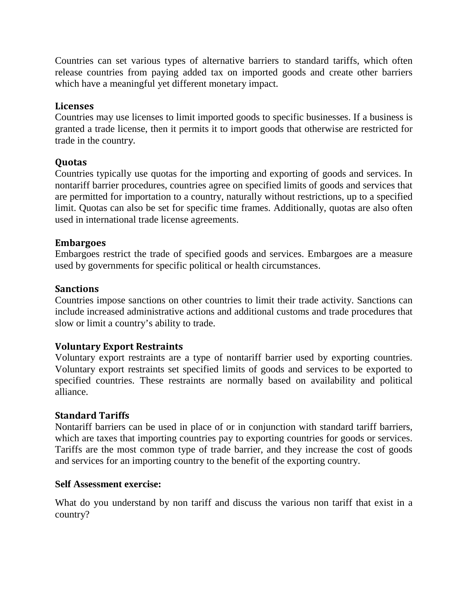Countries can set various types of alternative barriers to standard tariffs, which often release countries from paying added tax on imported goods and create other barriers which have a meaningful yet different monetary impact.

#### **Licenses**

Countries may use licenses to limit imported goods to specific businesses. If a business is granted a trade license, then it permits it to import goods that otherwise are restricted for trade in the country.

# **Quotas**

Countries typically use quotas for the importing and exporting of goods and services. In nontariff barrier procedures, countries agree on specified limits of goods and services that are permitted for importation to a country, naturally without restrictions, up to a specified limit. Quotas can also be set for specific time frames. Additionally, quotas are also often used in international trade license agreements.

# **Embargoes**

Embargoes restrict the trade of specified goods and services. Embargoes are a measure used by governments for specific political or health circumstances.

# **Sanctions**

Countries impose sanctions on other countries to limit their trade activity. Sanctions can include increased administrative actions and additional customs and trade procedures that slow or limit a country's ability to trade.

# **Voluntary Export Restraints**

Voluntary export restraints are a type of nontariff barrier used by exporting countries. Voluntary export restraints set specified limits of goods and services to be exported to specified countries. These restraints are normally based on availability and political alliance.

# **Standard Tariffs**

Nontariff barriers can be used in place of or in conjunction with standard tariff barriers, which are taxes that importing countries pay to exporting countries for goods or services. Tariffs are the most common type of trade barrier, and they increase the cost of goods and services for an importing country to the benefit of the exporting country.

# **Self Assessment exercise:**

What do you understand by non tariff and discuss the various non tariff that exist in a country?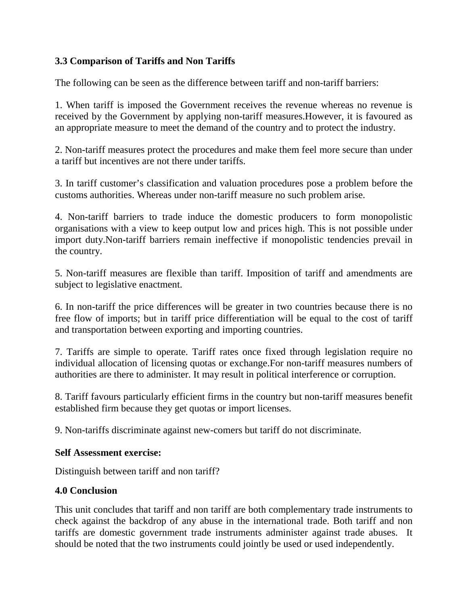# **3.3 Comparison of Tariffs and Non Tariffs**

The following can be seen as the difference between tariff and non-tariff barriers:

1. When tariff is imposed the Government receives the revenue whereas no revenue is received by the Government by applying non-tariff measures.However, it is favoured as an appropriate measure to meet the demand of the country and to protect the industry.

2. Non-tariff measures protect the procedures and make them feel more secure than under a tariff but incentives are not there under tariffs.

3. In tariff customer's classification and valuation procedures pose a problem before the customs authorities. Whereas under non-tariff measure no such problem arise.

4. Non-tariff barriers to trade induce the domestic producers to form monopolistic organisations with a view to keep output low and prices high. This is not possible under import duty.Non-tariff barriers remain ineffective if monopolistic tendencies prevail in the country.

5. Non-tariff measures are flexible than tariff. Imposition of tariff and amendments are subject to legislative enactment.

6. In non-tariff the price differences will be greater in two countries because there is no free flow of imports; but in tariff price differentiation will be equal to the cost of tariff and transportation between exporting and importing countries.

7. Tariffs are simple to operate. Tariff rates once fixed through legislation require no individual allocation of licensing quotas or exchange.For non-tariff measures numbers of authorities are there to administer. It may result in political interference or corruption.

8. Tariff favours particularly efficient firms in the country but non-tariff measures benefit established firm because they get quotas or import licenses.

9. Non-tariffs discriminate against new-comers but tariff do not discriminate.

#### **Self Assessment exercise:**

Distinguish between tariff and non tariff?

# **4.0 Conclusion**

This unit concludes that tariff and non tariff are both complementary trade instruments to check against the backdrop of any abuse in the international trade. Both tariff and non tariffs are domestic government trade instruments administer against trade abuses. It should be noted that the two instruments could jointly be used or used independently.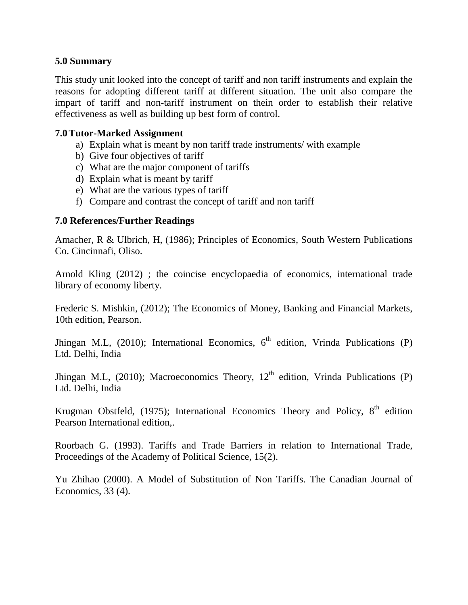#### **5.0 Summary**

This study unit looked into the concept of tariff and non tariff instruments and explain the reasons for adopting different tariff at different situation. The unit also compare the impart of tariff and non-tariff instrument on thein order to establish their relative effectiveness as well as building up best form of control.

#### **7.0Tutor-Marked Assignment**

- a) Explain what is meant by non tariff trade instruments/ with example
- b) Give four objectives of tariff
- c) What are the major component of tariffs
- d) Explain what is meant by tariff
- e) What are the various types of tariff
- f) Compare and contrast the concept of tariff and non tariff

#### **7.0 References/Further Readings**

Amacher, R & Ulbrich, H, (1986); Principles of Economics, South Western Publications Co. Cincinnafi, Oliso.

Arnold Kling (2012) ; the coincise encyclopaedia of economics, international trade library of economy liberty.

Frederic S. Mishkin, (2012); The Economics of Money, Banking and Financial Markets, 10th edition, Pearson.

Jhingan M.L, (2010); International Economics,  $6<sup>th</sup>$  edition, Vrinda Publications (P) Ltd. Delhi, India

Jhingan M.L, (2010); Macroeconomics Theory,  $12<sup>th</sup>$  edition, Vrinda Publications (P) Ltd. Delhi, India

Krugman Obstfeld, (1975); International Economics Theory and Policy, 8<sup>th</sup> edition Pearson International edition,.

Roorbach G. (1993). Tariffs and Trade Barriers in relation to International Trade, Proceedings of the Academy of Political Science, 15(2).

Yu Zhihao (2000). A Model of Substitution of Non Tariffs. The Canadian Journal of Economics, 33 (4).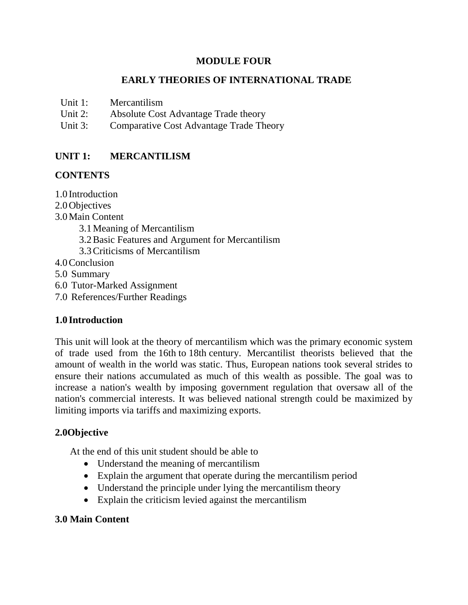# **MODULE FOUR**

# **EARLY THEORIES OF INTERNATIONAL TRADE**

- Unit 1: Mercantilism
- Unit 2: Absolute Cost Advantage Trade theory
- Unit 3: Comparative Cost Advantage Trade Theory

# **UNIT 1: MERCANTILISM**

# **CONTENTS**

- 1.0 Introduction
- 2.0Objectives
- 3.0Main Content
	- 3.1Meaning of Mercantilism
	- 3.2Basic Features and Argument for Mercantilism
	- 3.3Criticisms of Mercantilism
- 4.0Conclusion
- 5.0 Summary
- 6.0 Tutor-Marked Assignment
- 7.0 References/Further Readings

# **1.0 Introduction**

This unit will look at the theory of mercantilism which was the primary economic system of trade used from the 16th to 18th century. Mercantilist theorists believed that the amount of wealth in the world was static. Thus, European nations took several strides to ensure their nations accumulated as much of this wealth as possible. The goal was to increase a nation's wealth by imposing government regulation that oversaw all of the nation's commercial interests. It was believed national strength could be maximized by limiting [imports](http://www.investopedia.com/terms/i/import.asp) via [tariffs](http://www.investopedia.com/terms/t/tariff.asp) and maximizing [exports.](http://www.investopedia.com/terms/e/export.asp)

# **2.0Objective**

At the end of this unit student should be able to

- Understand the meaning of mercantilism
- Explain the argument that operate during the mercantilism period
- Understand the principle under lying the mercantilism theory
- Explain the criticism levied against the mercantilism

# **3.0 Main Content**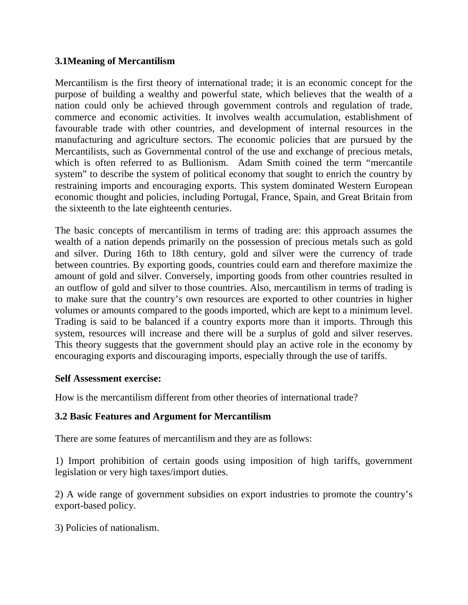# **3.1Meaning of Mercantilism**

Mercantilism is the first theory of international trade; it is an economic concept for the purpose of building a wealthy and powerful state, which believes that the wealth of a nation could only be achieved through government controls and regulation of trade, commerce and economic activities. It involves wealth accumulation, establishment of favourable trade with other countries, and development of internal resources in the manufacturing and agriculture sectors. The economic policies that are pursued by the Mercantilists, such as Governmental control of the use and exchange of precious metals, which is often referred to as Bullionism. Adam Smith coined the term "mercantile" system" to describe the system of political economy that sought to enrich the country by restraining imports and encouraging exports. This system dominated Western European economic thought and policies, including Portugal, France, Spain, and Great Britain from the sixteenth to the late eighteenth centuries.

The basic concepts of mercantilism in terms of trading are: this approach assumes the wealth of a nation depends primarily on the possession of precious metals such as gold and silver. During 16th to 18th century, gold and silver were the currency of trade between countries. By exporting goods, countries could earn and therefore maximize the amount of gold and silver. Conversely, importing goods from other countries resulted in an outflow of gold and silver to those countries. Also, mercantilism in terms of trading is to make sure that the country's own resources are exported to other countries in higher volumes or amounts compared to the goods imported, which are kept to a minimum level. Trading is said to be balanced if a country exports more than it imports. Through this system, resources will increase and there will be a surplus of gold and silver reserves. This theory suggests that the government should play an active role in the economy by encouraging exports and discouraging imports, especially through the use of tariffs.

#### **Self Assessment exercise:**

How is the mercantilism different from other theories of international trade?

# **3.2 Basic Features and Argument for Mercantilism**

There are some features of mercantilism and they are as follows:

1) Import prohibition of certain goods using imposition of high tariffs, government legislation or very high taxes/import duties.

2) A wide range of government subsidies on export industries to promote the country's export-based policy.

3) Policies of nationalism.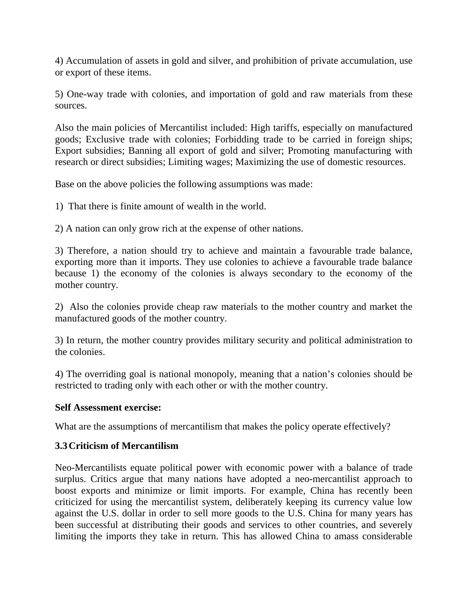4) Accumulation of assets in gold and silver, and prohibition of private accumulation, use or export of these items.

5) One-way trade with colonies, and importation of gold and raw materials from these sources.

Also the main policies of Mercantilist included: High tariffs, especially on manufactured goods; Exclusive trade with colonies; Forbidding trade to be carried in foreign ships; Export subsidies; Banning all export of gold and silver; Promoting manufacturing with research or direct subsidies; Limiting wages; Maximizing the use of domestic resources.

Base on the above policies the following assumptions was made:

1) That there is finite amount of wealth in the world.

2) A nation can only grow rich at the expense of other nations.

3) Therefore, a nation should try to achieve and maintain a favourable trade balance, exporting more than it imports. They use colonies to achieve a favourable trade balance because 1) the economy of the colonies is always secondary to the economy of the mother country.

2) Also the colonies provide cheap raw materials to the mother country and market the manufactured goods of the mother country.

3) In return, the mother country provides military security and political administration to the colonies.

4) The overriding goal is national monopoly, meaning that a nation's colonies should be restricted to trading only with each other or with the mother country.

#### **Self Assessment exercise:**

What are the assumptions of mercantilism that makes the policy operate effectively?

#### **3.3Criticism of Mercantilism**

Neo-Mercantilists equate political power with economic power with a balance of trade surplus. Critics argue that many nations have adopted a neo-mercantilist approach to boost exports and minimize or limit imports. For example, China has recently been criticized for using the mercantilist system, deliberately keeping its currency value low against the U.S. dollar in order to sell more goods to the U.S. China for many years has been successful at distributing their goods and services to other countries, and severely limiting the imports they take in return. This has allowed China to amass considerable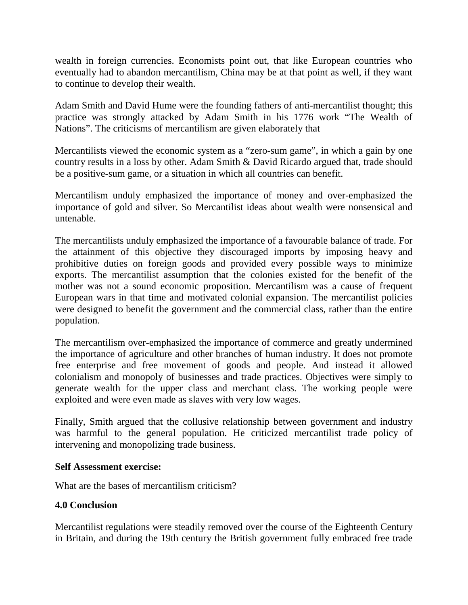wealth in foreign currencies. Economists point out, that like European countries who eventually had to abandon mercantilism, China may be at that point as well, if they want to continue to develop their wealth.

Adam Smith and David Hume were the founding fathers of anti-mercantilist thought; this practice was strongly attacked by Adam Smith in his 1776 work "The Wealth of Nations". The criticisms of mercantilism are given elaborately that

Mercantilists viewed the economic system as a "zero-sum game", in which a gain by one country results in a loss by other. Adam Smith & David Ricardo argued that, trade should be a positive-sum game, or a situation in which all countries can benefit.

Mercantilism unduly emphasized the importance of money and over-emphasized the importance of gold and silver. So Mercantilist ideas about wealth were nonsensical and untenable.

The mercantilists unduly emphasized the importance of a favourable balance of trade. For the attainment of this objective they discouraged imports by imposing heavy and prohibitive duties on foreign goods and provided every possible ways to minimize exports. The mercantilist assumption that the colonies existed for the benefit of the mother was not a sound economic proposition. Mercantilism was a cause of frequent European wars in that time and motivated colonial expansion. The mercantilist policies were designed to benefit the government and the commercial class, rather than the entire population.

The mercantilism over-emphasized the importance of commerce and greatly undermined the importance of agriculture and other branches of human industry. It does not promote free enterprise and free movement of goods and people. And instead it allowed colonialism and monopoly of businesses and trade practices. Objectives were simply to generate wealth for the upper class and merchant class. The working people were exploited and were even made as slaves with very low wages.

Finally, Smith argued that the collusive relationship between government and industry was harmful to the general population. He criticized mercantilist trade policy of intervening and monopolizing trade business.

#### **Self Assessment exercise:**

What are the bases of mercantilism criticism?

# **4.0 Conclusion**

Mercantilist regulations were steadily removed over the course of the Eighteenth Century in Britain, and during the 19th century the British government fully embraced free trade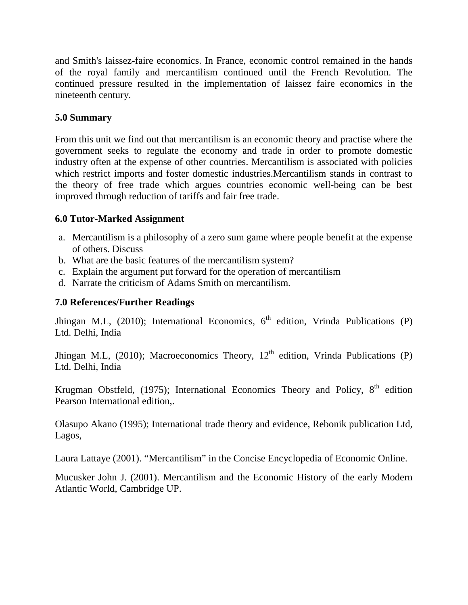and Smith's laissez-faire economics. In France, economic control remained in the hands of the royal family and mercantilism continued until the French Revolution. The continued pressure resulted in the implementation of laissez faire economics in the nineteenth century.

# **5.0 Summary**

From this unit we find out that mercantilism is an economic theory and practise where the government seeks to regulate the economy and trade in order to promote domestic industry often at the expense of other countries. Mercantilism is associated with policies which restrict imports and foster domestic industries.Mercantilism stands in contrast to the [theory of free trade w](https://www.economicshelp.org/blog/1941/trade/advantages-of-free-trade/)hich argues countries economic well-being can be best improved through reduction of tariffs and fair free trade.

# **6.0 Tutor-Marked Assignment**

- a. Mercantilism is a philosophy of a zero sum game where people benefit at the expense of others. Discuss
- b. What are the basic features of the mercantilism system?
- c. Explain the argument put forward for the operation of mercantilism
- d. Narrate the criticism of Adams Smith on mercantilism.

# **7.0 References/Further Readings**

Jhingan M.L, (2010); International Economics,  $6<sup>th</sup>$  edition, Vrinda Publications (P) Ltd. Delhi, India

Jhingan M.L, (2010); Macroeconomics Theory,  $12<sup>th</sup>$  edition, Vrinda Publications (P) Ltd. Delhi, India

Krugman Obstfeld, (1975); International Economics Theory and Policy, 8<sup>th</sup> edition Pearson International edition,.

Olasupo Akano (1995); International trade theory and evidence, Rebonik publication Ltd, Lagos,

Laura Lattaye (2001). "Mercantilism" in the Concise Encyclopedia of Economic Online.

Mucusker John J. (2001). Mercantilism and the Economic History of the early Modern Atlantic World, Cambridge UP.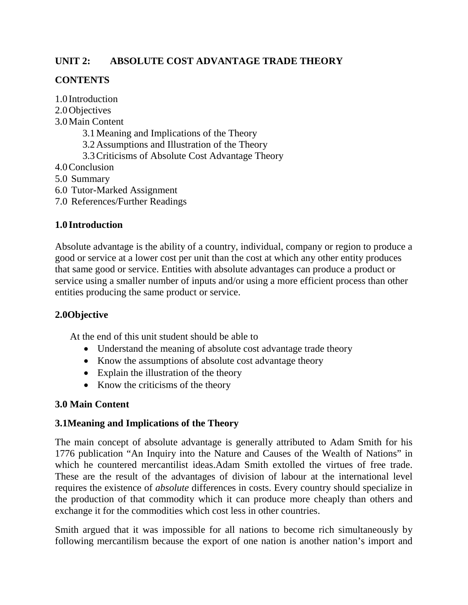# **UNIT 2: ABSOLUTE COST ADVANTAGE TRADE THEORY**

# **CONTENTS**

1.0 Introduction 2.0Objectives 3.0Main Content 3.1Meaning and Implications of the Theory 3.2Assumptions and Illustration of the Theory 3.3Criticisms of Absolute Cost Advantage Theory 4.0Conclusion 5.0 Summary 6.0 Tutor-Marked Assignment 7.0 References/Further Readings

# **1.0 Introduction**

Absolute advantage is the ability of a country, individual, company or region to produce a good or service at a lower [cost per unit](http://www.investopedia.com/terms/u/unitcost.asp) than the cost at which any other entity produces that same good or service. Entities with absolute advantages can produce a product or service using a smaller number of inputs and/or using a more [efficient process](http://www.investopedia.com/terms/e/efficiency.asp) than other entities producing the same product or service.

# **2.0Objective**

At the end of this unit student should be able to

- Understand the meaning of absolute cost advantage trade theory
- Know the assumptions of absolute cost advantage theory
- Explain the illustration of the theory
- Know the criticisms of the theory

# **3.0 Main Content**

# **3.1Meaning and Implications of the Theory**

The main concept of absolute advantage is generally attributed to [Adam Smith](https://en.wikipedia.org/wiki/Adam_Smith) for his 1776 publication ["An Inquiry into the Nature and Causes of the Wealth of Nations"](https://en.wikipedia.org/wiki/An_Inquiry_into_the_Nature_and_Causes_of_the_Wealth_of_Nations) in which he countered [mercantilist](https://en.wikipedia.org/wiki/Mercantilist) ideas.Adam Smith extolled the virtues of free trade. These are the result of the advantages of division of labour at the international level requires the existence of *absolute* differences in costs. Every country should specialize in the production of that commodity which it can produce more cheaply than others and exchange it for the commodities which cost less in other countries.

Smith argued that it was impossible for all nations to become rich simultaneously by following [mercantilism](https://en.wikipedia.org/wiki/Mercantilism) because the export of one nation is another nation's import and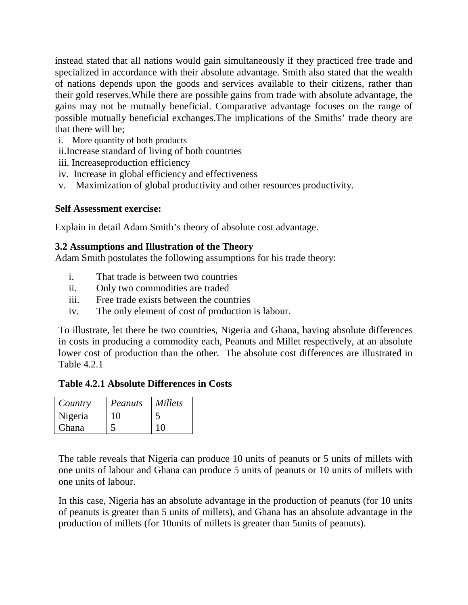instead stated that all nations would gain simultaneously if they practiced free trade and specialized in accordance with their absolute advantage. Smith also stated that the wealth of nations depends upon the goods and services available to their citizens, rather than their gold reserves.While there are possible gains from trade with absolute advantage, the gains may not be mutually beneficial. Comparative advantage focuses on the range of possible mutually beneficial exchanges.The implications of the Smiths' trade theory are that there will be;

- i. More quantity of both products
- ii.Increase standard of living of both countries
- iii. Increaseproduction efficiency
- iv. Increase in global efficiency and effectiveness
- v. Maximization of global productivity and other resources productivity.

# **Self Assessment exercise:**

Explain in detail Adam Smith's theory of absolute cost advantage.

# **3.2 Assumptions and Illustration of the Theory**

Adam Smith postulates the following assumptions for his trade theory:

- i. That trade is between two countries
- ii. Only two commodities are traded
- iii. Free trade exists between the countries
- iv. The only element of cost of production is labour.

To illustrate, let there be two countries, Nigeria and Ghana, having absolute differences in costs in producing a commodity each, Peanuts and Millet respectively, at an absolute lower cost of production than the other. The absolute cost differences are illustrated in Table 4.2.1

**Table 4.2.1 Absolute Differences in Costs**

| Country | Peanuts | <b>Millets</b> |
|---------|---------|----------------|
| Nigeria | 10      |                |
| Ghana   |         | 10             |

The table reveals that Nigeria can produce 10 units of peanuts or 5 units of millets with one units of labour and Ghana can produce 5 units of peanuts or 10 units of millets with one units of labour.

In this case, Nigeria has an absolute advantage in the production of peanuts (for 10 units of peanuts is greater than 5 units of millets), and Ghana has an absolute advantage in the production of millets (for 10units of millets is greater than 5units of peanuts).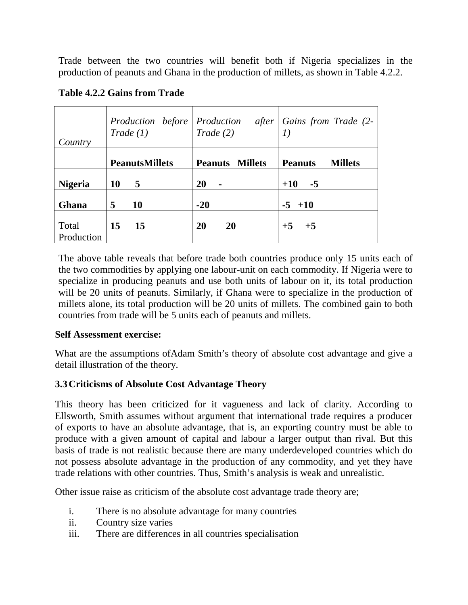Trade between the two countries will benefit both if Nigeria specializes in the production of peanuts and Ghana in the production of millets, as shown in Table 4.2.2.

| Country             |           | Trade(1)              | Trade(2)               | Production before   Production after   Gains from Trade (2-<br>1) |
|---------------------|-----------|-----------------------|------------------------|-------------------------------------------------------------------|
|                     |           | <b>PeanutsMillets</b> | <b>Peanuts Millets</b> | <b>Millets</b><br><b>Peanuts</b>                                  |
| <b>Nigeria</b>      | <b>10</b> | 5                     | 20<br>$\blacksquare$   | $+10$<br>$-5$                                                     |
| Ghana               | 5         | <b>10</b>             | $-20$                  | $-5$ +10                                                          |
| Total<br>Production | 15        | <b>15</b>             | 20<br>20               | $+5$ $+5$                                                         |

**Table 4.2.2 Gains from Trade**

The above table reveals that before trade both countries produce only 15 units each of the two commodities by applying one labour-unit on each commodity. If Nigeria were to specialize in producing peanuts and use both units of labour on it, its total production will be 20 units of peanuts. Similarly, if Ghana were to specialize in the production of millets alone, its total production will be 20 units of millets. The combined gain to both countries from trade will be 5 units each of peanuts and millets.

# **Self Assessment exercise:**

What are the assumptions ofAdam Smith's theory of absolute cost advantage and give a detail illustration of the theory.

# **3.3Criticisms of Absolute Cost Advantage Theory**

This theory has been criticized for it vagueness and lack of clarity. According to Ellsworth, Smith assumes without argument that international trade requires a producer of exports to have an absolute advantage, that is, an exporting country must be able to produce with a given amount of capital and labour a larger output than rival. But this basis of trade is not realistic because there are many underdeveloped countries which do not possess absolute advantage in the production of any commodity, and yet they have trade relations with other countries. Thus, Smith's analysis is weak and unrealistic.

Other issue raise as criticism of the absolute cost advantage trade theory are;

- i. There is no absolute advantage for many countries
- ii. Country size varies
- iii. There are differences in all countries specialisation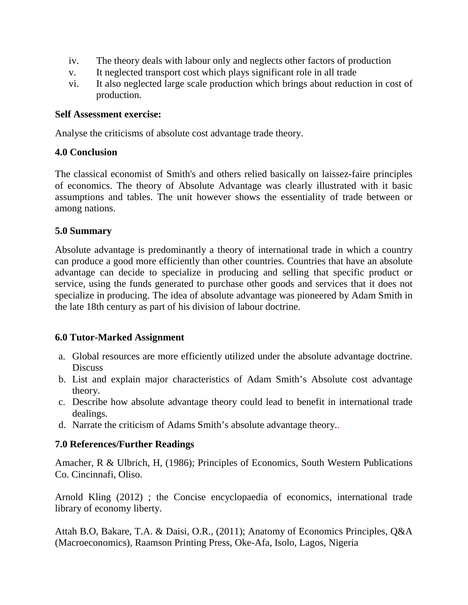- iv. The theory deals with labour only and neglects other factors of production
- v. It neglected transport cost which plays significant role in all trade
- vi. It also neglected large scale production which brings about reduction in cost of production.

#### **Self Assessment exercise:**

Analyse the criticisms of absolute cost advantage trade theory.

# **4.0 Conclusion**

The classical economist of Smith's and others relied basically on laissez-faire principles of economics. The theory of Absolute Advantage was clearly illustrated with it basic assumptions and tables. The unit however shows the essentiality of trade between or among nations.

# **5.0 Summary**

Absolute advantage is predominantly a theory of international trade in which a country can produce a good more efficiently than other countries. Countries that have an absolute advantage can decide to specialize in producing and selling that specific product or service, using the funds generated to purchase other goods and services that it does not specialize in producing. The idea of absolute advantage was pioneered by Adam Smith in the late 18th century as part of his division of labour doctrine.

# **6.0 Tutor-Marked Assignment**

- a. Global resources are more efficiently utilized under the absolute advantage doctrine. **Discuss**
- b. List and explain major characteristics of Adam Smith's Absolute cost advantage theory.
- c. Describe how absolute advantage theory could lead to benefit in international trade dealings.
- d. Narrate the criticism of Adams Smith's absolute advantage theory..

# **7.0 References/Further Readings**

Amacher, R & Ulbrich, H, (1986); Principles of Economics, South Western Publications Co. Cincinnafi, Oliso.

Arnold Kling (2012) ; the Concise encyclopaedia of economics, international trade library of economy liberty.

Attah B.O, Bakare, T.A. & Daisi, O.R., (2011); Anatomy of Economics Principles, Q&A (Macroeconomics), Raamson Printing Press, Oke-Afa, Isolo, Lagos, Nigeria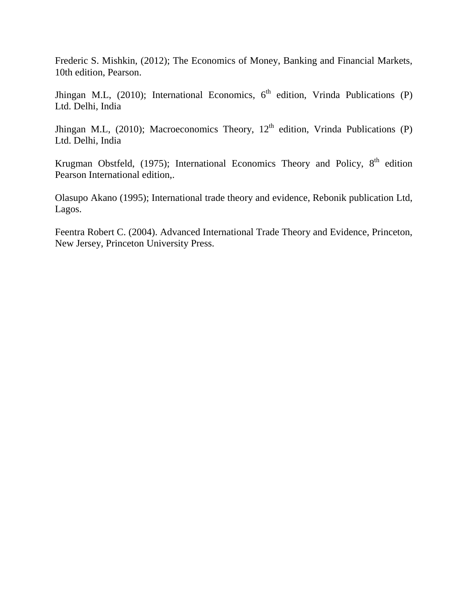Frederic S. Mishkin, (2012); The Economics of Money, Banking and Financial Markets, 10th edition, Pearson.

Jhingan M.L, (2010); International Economics,  $6<sup>th</sup>$  edition, Vrinda Publications (P) Ltd. Delhi, India

Jhingan M.L, (2010); Macroeconomics Theory,  $12<sup>th</sup>$  edition, Vrinda Publications (P) Ltd. Delhi, India

Krugman Obstfeld, (1975); International Economics Theory and Policy,  $8<sup>th</sup>$  edition Pearson International edition,.

Olasupo Akano (1995); International trade theory and evidence, Rebonik publication Ltd, Lagos.

Feentra Robert C. (2004). Advanced International Trade Theory and Evidence, Princeton, New Jersey, Princeton University Press.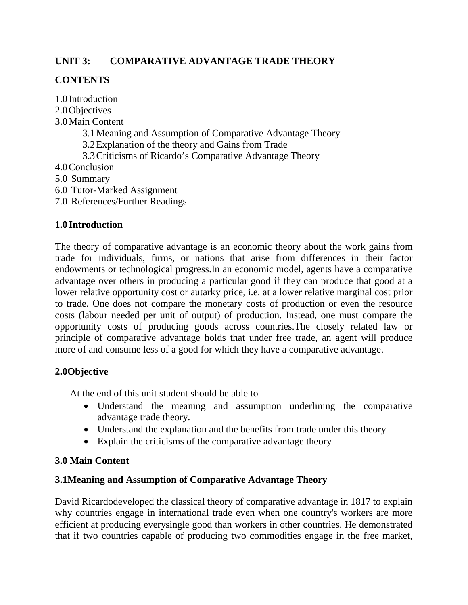# **UNIT 3: COMPARATIVE ADVANTAGE TRADE THEORY**

# **CONTENTS**

1.0 Introduction 2.0Objectives 3.0Main Content 3.1Meaning and Assumption of Comparative Advantage Theory 3.2Explanation of the theory and Gains from Trade 3.3Criticisms of Ricardo's Comparative Advantage Theory 4.0Conclusion 5.0 Summary

- 6.0 Tutor-Marked Assignment
- 7.0 References/Further Readings

# **1.0 Introduction**

The theory of comparative advantage is an economic theory about the work [gains from](https://en.wikipedia.org/wiki/Gains_from_trade)  [trade](https://en.wikipedia.org/wiki/Gains_from_trade) for individuals, firms, or nations that arise from differences in their [factor](https://en.wikipedia.org/wiki/Factor_endowments)  [endowments](https://en.wikipedia.org/wiki/Factor_endowments) or [technological progress.](https://en.wikipedia.org/wiki/Technological_progress)In an [economic model,](https://en.wikipedia.org/wiki/Economic_model) [agents](https://en.wikipedia.org/wiki/Agent_%28economics%29) have a comparative advantage over others in producing a particular [good](https://en.wikipedia.org/wiki/Goods_%28economics%29) if they can produce that good at a lower relative [opportunity cost](https://en.wikipedia.org/wiki/Opportunity_cost) or [autarky](https://en.wikipedia.org/wiki/Autarky) price, i.e. at a lower relative [marginal cost](https://en.wikipedia.org/wiki/Marginal_cost) prior to trade. One does not compare the monetary costs of production or even the resource costs (labour needed per unit of output) of production. Instead, one must compare the opportunity costs of producing goods across countries.The closely related law or principle of comparative advantage holds that under [free trade,](https://en.wikipedia.org/wiki/Free_trade) an agent will produce more of and consume less of a good for which they have a comparative advantage.

## **2.0Objective**

At the end of this unit student should be able to

- Understand the meaning and assumption underlining the comparative advantage trade theory.
- Understand the explanation and the benefits from trade under this theory
- Explain the criticisms of the comparative advantage theory

## **3.0 Main Content**

## **3.1Meaning and Assumption of Comparative Advantage Theory**

[David Ricardod](https://en.wikipedia.org/wiki/David_Ricardo)eveloped the classical theory of comparative advantage in 1817 to explain why countries engage in [international trade](https://en.wikipedia.org/wiki/International_trade) even when one country's workers are more efficient at producing everysingle good than workers in other countries. He demonstrated that if two countries capable of producing two commodities engage in the [free market,](https://en.wikipedia.org/wiki/Free_market)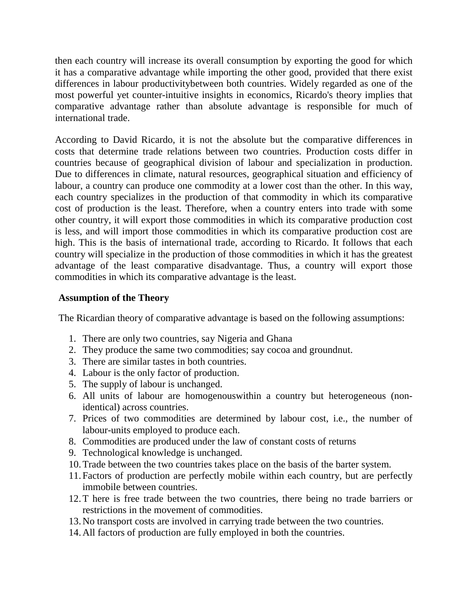then each country will increase its overall consumption by exporting the good for which it has a comparative advantage while importing the other good, provided that there exist differences in [labour productivityb](https://en.wikipedia.org/wiki/Labor_productivity)etween both countries. Widely regarded as one of the most powerful yet counter-intuitive insights in economics, Ricardo's theory implies that comparative advantage rather than [absolute advantage](https://en.wikipedia.org/wiki/Absolute_advantage) is responsible for much of international trade.

According to David Ricardo, it is not the absolute but the comparative differences in costs that determine trade relations between two countries. Production costs differ in countries because of geographical division of labour and specialization in production. Due to differences in climate, natural resources, geographical situation and efficiency of labour, a country can produce one commodity at a lower cost than the other. In this way, each country specializes in the production of that commodity in which its comparative cost of production is the least. Therefore, when a country enters into trade with some other country, it will export those commodities in which its comparative production cost is less, and will import those commodities in which its comparative production cost are high. This is the basis of international trade, according to Ricardo. It follows that each country will specialize in the production of those commodities in which it has the greatest advantage of the least comparative disadvantage. Thus, a country will export those commodities in which its comparative advantage is the least.

### **Assumption of the Theory**

The Ricardian theory of comparative advantage is based on the following assumptions:

- 1. There are only two countries, say Nigeria and Ghana
- 2. They produce the same two commodities; say cocoa and groundnut.
- 3. There are similar tastes in both countries.
- 4. Labour is the only factor of production.
- 5. The supply of labour is unchanged.
- 6. All units of labour are homogenouswithin a country but heterogeneous (nonidentical) across countries.
- 7. Prices of two commodities are determined by labour cost, i.e., the number of labour-units employed to produce each.
- 8. Commodities are produced under the law of constant costs of returns
- 9. Technological knowledge is unchanged.
- 10.Trade between the two countries takes place on the basis of the barter system.
- 11. Factors of production are perfectly mobile within each country, but are perfectly immobile between countries.
- 12.T here is free trade between the two countries, there being no trade barriers or restrictions in the movement of commodities.
- 13.No transport costs are involved in carrying trade between the two countries.
- 14.All factors of production are fully employed in both the countries.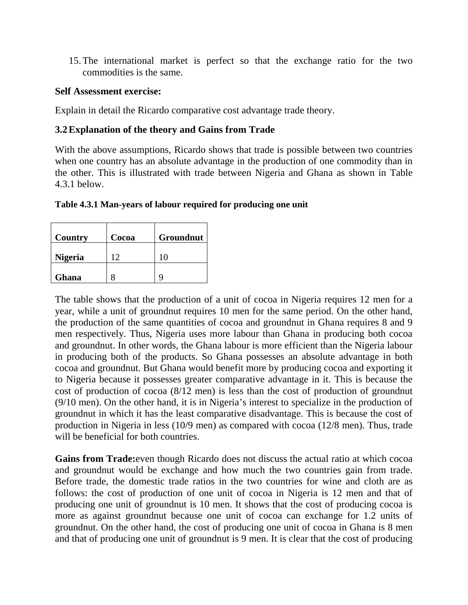15.The international market is perfect so that the exchange ratio for the two commodities is the same.

### **Self Assessment exercise:**

Explain in detail the Ricardo comparative cost advantage trade theory.

## **3.2Explanation of the theory and Gains from Trade**

With the above assumptions, Ricardo shows that trade is possible between two countries when one country has an absolute advantage in the production of one commodity than in the other. This is illustrated with trade between Nigeria and Ghana as shown in Table 4.3.1 below.

| Country        | Cocoa | Groundnut |
|----------------|-------|-----------|
| <b>Nigeria</b> | 12    | 10        |
| Ghana          |       |           |

The table shows that the production of a unit of cocoa in Nigeria requires 12 men for a year, while a unit of groundnut requires 10 men for the same period. On the other hand, the production of the same quantities of cocoa and groundnut in Ghana requires 8 and 9 men respectively. Thus, Nigeria uses more labour than Ghana in producing both cocoa and groundnut. In other words, the Ghana labour is more efficient than the Nigeria labour in producing both of the products. So Ghana possesses an absolute advantage in both cocoa and groundnut. But Ghana would benefit more by producing cocoa and exporting it to Nigeria because it possesses greater comparative advantage in it. This is because the cost of production of cocoa (8/12 men) is less than the cost of production of groundnut (9/10 men). On the other hand, it is in Nigeria's interest to specialize in the production of groundnut in which it has the least comparative disadvantage. This is because the cost of production in Nigeria in less (10/9 men) as compared with cocoa (12/8 men). Thus, trade will be beneficial for both countries.

**Gains from Trade:**even though Ricardo does not discuss the actual ratio at which cocoa and groundnut would be exchange and how much the two countries gain from trade. Before trade, the domestic trade ratios in the two countries for wine and cloth are as follows: the cost of production of one unit of cocoa in Nigeria is 12 men and that of producing one unit of groundnut is 10 men. It shows that the cost of producing cocoa is more as against groundnut because one unit of cocoa can exchange for 1.2 units of groundnut. On the other hand, the cost of producing one unit of cocoa in Ghana is 8 men and that of producing one unit of groundnut is 9 men. It is clear that the cost of producing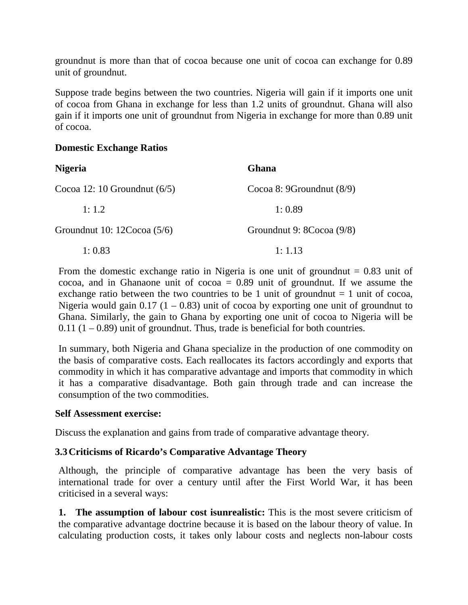groundnut is more than that of cocoa because one unit of cocoa can exchange for 0.89 unit of groundnut.

Suppose trade begins between the two countries. Nigeria will gain if it imports one unit of cocoa from Ghana in exchange for less than 1.2 units of groundnut. Ghana will also gain if it imports one unit of groundnut from Nigeria in exchange for more than 0.89 unit of cocoa.

### **Domestic Exchange Ratios**

| Nigeria                         | Ghana                       |
|---------------------------------|-----------------------------|
| Cocoa 12: 10 Groundnut $(6/5)$  | Cocoa 8: 9Groundnut $(8/9)$ |
| 1:1.2                           | 1:0.89                      |
| Groundnut $10:12C$ ocoa $(5/6)$ | Groundnut 9: 8Cocoa (9/8)   |
| 1:0.83                          | 1:1.13                      |

From the domestic exchange ratio in Nigeria is one unit of groundnut  $= 0.83$  unit of cocoa, and in Ghanaone unit of  $\csc 0.89$  unit of groundnut. If we assume the exchange ratio between the two countries to be 1 unit of groundnut  $= 1$  unit of cocoa, Nigeria would gain  $0.17$   $(1 - 0.83)$  unit of cocoa by exporting one unit of groundnut to Ghana. Similarly, the gain to Ghana by exporting one unit of cocoa to Nigeria will be  $0.11$  (1 – 0.89) unit of groundnut. Thus, trade is beneficial for both countries.

In summary, both Nigeria and Ghana specialize in the production of one commodity on the basis of comparative costs. Each reallocates its factors accordingly and exports that commodity in which it has comparative advantage and imports that commodity in which it has a comparative disadvantage. Both gain through trade and can increase the consumption of the two commodities.

### **Self Assessment exercise:**

Discuss the explanation and gains from trade of comparative advantage theory.

### **3.3Criticisms of Ricardo's Comparative Advantage Theory**

Although, the principle of comparative advantage has been the very basis of international trade for over a century until after the First World War, it has been criticised in a several ways:

**1. The assumption of labour cost isunrealistic:** This is the most severe criticism of the comparative advantage doctrine because it is based on the labour theory of value. In calculating production costs, it takes only labour costs and neglects non-labour costs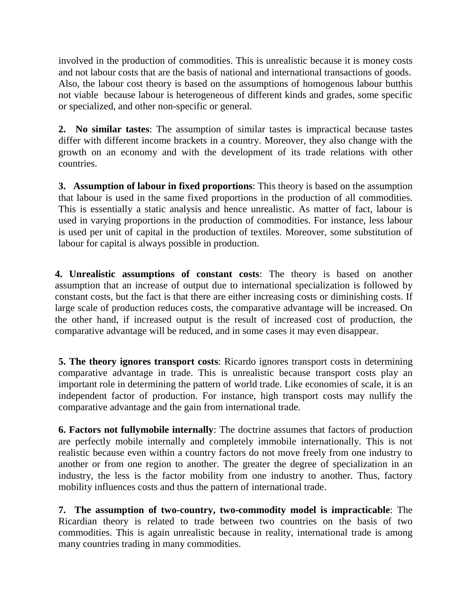involved in the production of commodities. This is unrealistic because it is money costs and not labour costs that are the basis of national and international transactions of goods. Also, the labour cost theory is based on the assumptions of homogenous labour butthis not viable because labour is heterogeneous of different kinds and grades, some specific or specialized, and other non-specific or general.

**2. No similar tastes**: The assumption of similar tastes is impractical because tastes differ with different income brackets in a country. Moreover, they also change with the growth on an economy and with the development of its trade relations with other countries.

**3. Assumption of labour in fixed proportions**: This theory is based on the assumption that labour is used in the same fixed proportions in the production of all commodities. This is essentially a static analysis and hence unrealistic. As matter of fact, labour is used in varying proportions in the production of commodities. For instance, less labour is used per unit of capital in the production of textiles. Moreover, some substitution of labour for capital is always possible in production.

**4. Unrealistic assumptions of constant costs**: The theory is based on another assumption that an increase of output due to international specialization is followed by constant costs, but the fact is that there are either increasing costs or diminishing costs. If large scale of production reduces costs, the comparative advantage will be increased. On the other hand, if increased output is the result of increased cost of production, the comparative advantage will be reduced, and in some cases it may even disappear.

**5. The theory ignores transport costs**: Ricardo ignores transport costs in determining comparative advantage in trade. This is unrealistic because transport costs play an important role in determining the pattern of world trade. Like economies of scale, it is an independent factor of production. For instance, high transport costs may nullify the comparative advantage and the gain from international trade.

**6. Factors not fullymobile internally**: The doctrine assumes that factors of production are perfectly mobile internally and completely immobile internationally. This is not realistic because even within a country factors do not move freely from one industry to another or from one region to another. The greater the degree of specialization in an industry, the less is the factor mobility from one industry to another. Thus, factory mobility influences costs and thus the pattern of international trade.

**7. The assumption of two-country, two-commodity model is impracticable**: The Ricardian theory is related to trade between two countries on the basis of two commodities. This is again unrealistic because in reality, international trade is among many countries trading in many commodities.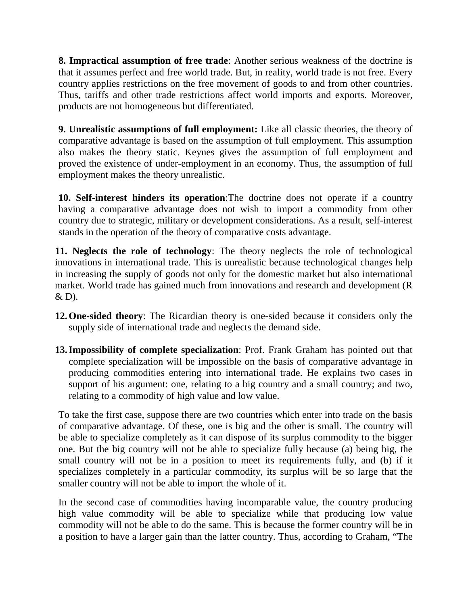**8. Impractical assumption of free trade**: Another serious weakness of the doctrine is that it assumes perfect and free world trade. But, in reality, world trade is not free. Every country applies restrictions on the free movement of goods to and from other countries. Thus, tariffs and other trade restrictions affect world imports and exports. Moreover, products are not homogeneous but differentiated.

**9. Unrealistic assumptions of full employment:** Like all classic theories, the theory of comparative advantage is based on the assumption of full employment. This assumption also makes the theory static. Keynes gives the assumption of full employment and proved the existence of under-employment in an economy. Thus, the assumption of full employment makes the theory unrealistic.

**10. Self-interest hinders its operation**:The doctrine does not operate if a country having a comparative advantage does not wish to import a commodity from other country due to strategic, military or development considerations. As a result, self-interest stands in the operation of the theory of comparative costs advantage.

**11. Neglects the role of technology**: The theory neglects the role of technological innovations in international trade. This is unrealistic because technological changes help in increasing the supply of goods not only for the domestic market but also international market. World trade has gained much from innovations and research and development (R & D).

- **12.One-sided theory**: The Ricardian theory is one-sided because it considers only the supply side of international trade and neglects the demand side.
- **13.Impossibility of complete specialization**: Prof. Frank Graham has pointed out that complete specialization will be impossible on the basis of comparative advantage in producing commodities entering into international trade. He explains two cases in support of his argument: one, relating to a big country and a small country; and two, relating to a commodity of high value and low value.

To take the first case, suppose there are two countries which enter into trade on the basis of comparative advantage. Of these, one is big and the other is small. The country will be able to specialize completely as it can dispose of its surplus commodity to the bigger one. But the big country will not be able to specialize fully because (a) being big, the small country will not be in a position to meet its requirements fully, and (b) if it specializes completely in a particular commodity, its surplus will be so large that the smaller country will not be able to import the whole of it.

In the second case of commodities having incomparable value, the country producing high value commodity will be able to specialize while that producing low value commodity will not be able to do the same. This is because the former country will be in a position to have a larger gain than the latter country. Thus, according to Graham, "The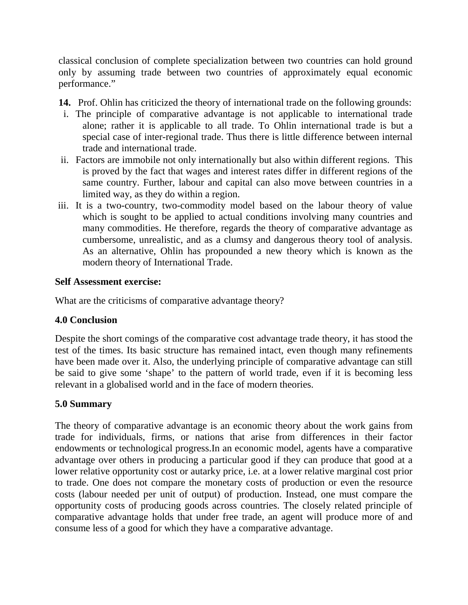classical conclusion of complete specialization between two countries can hold ground only by assuming trade between two countries of approximately equal economic performance."

**14.** Prof. Ohlin has criticized the theory of international trade on the following grounds:

- i. The principle of comparative advantage is not applicable to international trade alone; rather it is applicable to all trade. To Ohlin international trade is but a special case of inter-regional trade. Thus there is little difference between internal trade and international trade.
- ii. Factors are immobile not only internationally but also within different regions. This is proved by the fact that wages and interest rates differ in different regions of the same country. Further, labour and capital can also move between countries in a limited way, as they do within a region.
- iii. It is a two-country, two-commodity model based on the labour theory of value which is sought to be applied to actual conditions involving many countries and many commodities. He therefore, regards the theory of comparative advantage as cumbersome, unrealistic, and as a clumsy and dangerous theory tool of analysis. As an alternative, Ohlin has propounded a new theory which is known as the modern theory of International Trade.

## **Self Assessment exercise:**

What are the criticisms of comparative advantage theory?

## **4.0 Conclusion**

Despite the short comings of the comparative cost advantage trade theory, it has stood the test of the times. Its basic structure has remained intact, even though many refinements have been made over it. Also, the underlying principle of comparative advantage can still be said to give some 'shape' to the pattern of world trade, even if it is becoming less relevant in a globalised world and in the face of modern theories.

## **5.0 Summary**

The theory of comparative advantage is an economic theory about the work [gains from](https://en.wikipedia.org/wiki/Gains_from_trade)  [trade](https://en.wikipedia.org/wiki/Gains_from_trade) for individuals, firms, or nations that arise from differences in their [factor](https://en.wikipedia.org/wiki/Factor_endowments)  [endowments](https://en.wikipedia.org/wiki/Factor_endowments) or [technological progress.](https://en.wikipedia.org/wiki/Technological_progress)In an [economic model,](https://en.wikipedia.org/wiki/Economic_model) [agents](https://en.wikipedia.org/wiki/Agent_%28economics%29) have a comparative advantage over others in producing a particular [good](https://en.wikipedia.org/wiki/Goods_%28economics%29) if they can produce that good at a lower relative [opportunity cost](https://en.wikipedia.org/wiki/Opportunity_cost) or [autarky](https://en.wikipedia.org/wiki/Autarky) price, i.e. at a lower relative [marginal cost](https://en.wikipedia.org/wiki/Marginal_cost) prior to trade. One does not compare the monetary costs of production or even the resource costs (labour needed per unit of output) of production. Instead, one must compare the opportunity costs of producing goods across countries. The closely related principle of comparative advantage holds that under [free trade,](https://en.wikipedia.org/wiki/Free_trade) an agent will produce more of and consume less of a good for which they have a comparative advantage.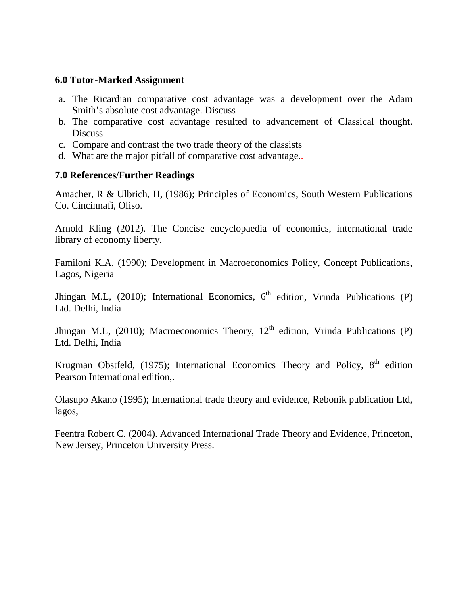#### **6.0 Tutor-Marked Assignment**

- a. The Ricardian comparative cost advantage was a development over the Adam Smith's absolute cost advantage. Discuss
- b. The comparative cost advantage resulted to advancement of Classical thought. **Discuss**
- c. Compare and contrast the two trade theory of the classists
- d. What are the major pitfall of comparative cost advantage..

### **7.0 References/Further Readings**

Amacher, R & Ulbrich, H, (1986); Principles of Economics, South Western Publications Co. Cincinnafi, Oliso.

Arnold Kling (2012). The Concise encyclopaedia of economics, international trade library of economy liberty.

Familoni K.A, (1990); Development in Macroeconomics Policy, Concept Publications, Lagos, Nigeria

Jhingan M.L, (2010); International Economics,  $6<sup>th</sup>$  edition, Vrinda Publications (P) Ltd. Delhi, India

Jhingan M.L, (2010); Macroeconomics Theory,  $12<sup>th</sup>$  edition, Vrinda Publications (P) Ltd. Delhi, India

Krugman Obstfeld, (1975); International Economics Theory and Policy,  $8<sup>th</sup>$  edition Pearson International edition,.

Olasupo Akano (1995); International trade theory and evidence, Rebonik publication Ltd, lagos,

Feentra Robert C. (2004). Advanced International Trade Theory and Evidence, Princeton, New Jersey, Princeton University Press.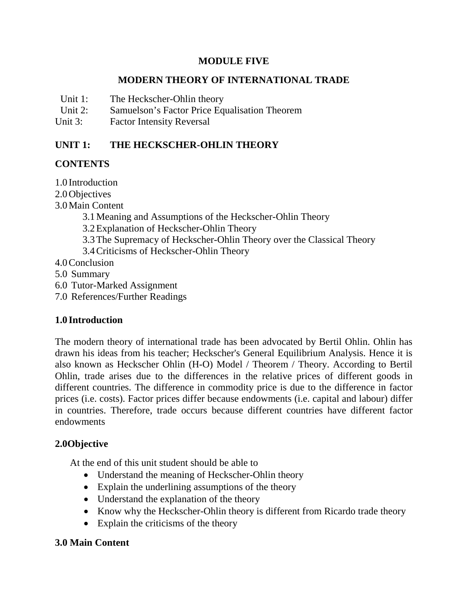## **MODULE FIVE**

### **MODERN THEORY OF INTERNATIONAL TRADE**

- Unit 1: The Heckscher-Ohlin theory
- Unit 2: Samuelson's Factor Price Equalisation Theorem
- Unit 3: Factor Intensity Reversal

## **UNIT 1: THE HECKSCHER-OHLIN THEORY**

## **CONTENTS**

1.0 Introduction

2.0Objectives

3.0Main Content

- 3.1Meaning and Assumptions of the Heckscher-Ohlin Theory
- 3.2Explanation of Heckscher-Ohlin Theory
- 3.3The Supremacy of Heckscher-Ohlin Theory over the Classical Theory
- 3.4Criticisms of Heckscher-Ohlin Theory
- 4.0Conclusion
- 5.0 Summary
- 6.0 Tutor-Marked Assignment
- 7.0 References/Further Readings

# **1.0 Introduction**

The modern theory of international trade has been advocated by Bertil Ohlin. Ohlin has drawn his ideas from his teacher; Heckscher's General Equilibrium Analysis. Hence it is also known as Heckscher Ohlin (H-O) Model / Theorem / Theory. According to Bertil Ohlin, trade arises due to the differences in the relative prices of different goods in different countries. The difference in commodity price is due to the difference in factor prices (i.e. costs). Factor prices differ because endowments (i.e. capital and labour) differ in countries. Therefore, trade occurs because different countries have different factor endowments

# **2.0Objective**

At the end of this unit student should be able to

- Understand the meaning of Heckscher-Ohlin theory
- Explain the underlining assumptions of the theory
- Understand the explanation of the theory
- Know why the Heckscher-Ohlin theory is different from Ricardo trade theory
- Explain the criticisms of the theory

## **3.0 Main Content**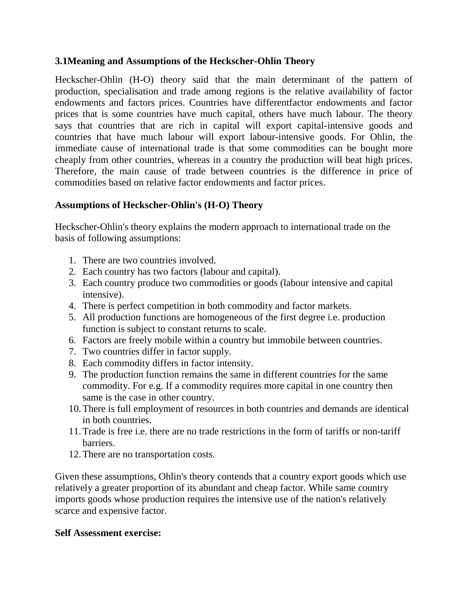## **3.1Meaning and Assumptions of the Heckscher-Ohlin Theory**

Heckscher-Ohlin (H-O) theory said that the main determinant of the pattern of production, specialisation and trade among regions is the relative availability of factor endowments and factors prices. Countries have differentfactor endowments and factor prices that is some countries have much capital, others have much labour. The theory says that countries that are rich in capital will export capital-intensive goods and countries that have much labour will export labour-intensive goods. For Ohlin, the immediate cause of international trade is that some commodities can be bought more cheaply from other countries, whereas in a country the production will beat high prices. Therefore, the main cause of trade between countries is the difference in price of commodities based on relative factor endowments and factor prices.

# **Assumptions of Heckscher-Ohlin's (H-O) Theory**

Heckscher-Ohlin's theory explains the modern approach to international trade on the basis of following assumptions:

- 1. There are two countries involved.
- 2. Each country has two factors (labour and capital).
- 3. Each country produce two commodities or goods (labour intensive and capital intensive).
- 4. There is perfect competition in both commodity and factor markets.
- 5. All production functions are homogeneous of the first degree i.e. production function is subject to constant returns to scale.
- 6. Factors are freely mobile within a country but immobile between countries.
- 7. Two countries differ in factor supply.
- 8. Each commodity differs in factor intensity.
- 9. The production function remains the same in different countries for the same commodity. For e.g. If a commodity requires more capital in one country then same is the case in other country.
- 10.There is full employment of resources in both countries and demands are identical in both countries.
- 11.Trade is free i.e. there are no trade restrictions in the form of tariffs or non-tariff barriers.
- 12.There are no transportation costs.

Given these assumptions, Ohlin's theory contends that a country export goods which use relatively a greater proportion of its abundant and cheap factor. While same country imports goods whose production requires the intensive use of the nation's relatively scarce and expensive factor.

## **Self Assessment exercise:**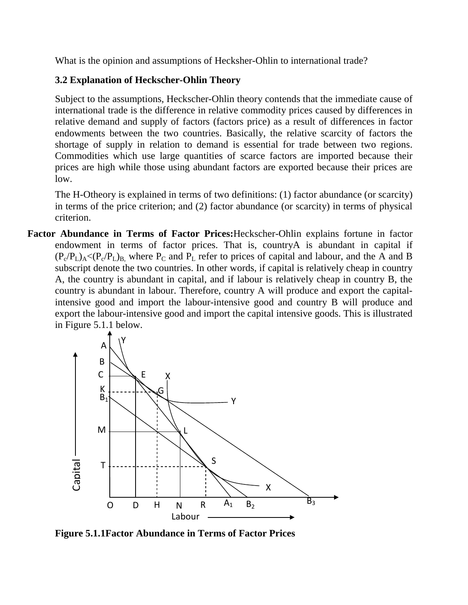What is the opinion and assumptions of Hecksher-Ohlin to international trade?

# **3.2 Explanation of Heckscher-Ohlin Theory**

Subject to the assumptions, Heckscher-Ohlin theory contends that the immediate cause of international trade is the difference in relative commodity prices caused by differences in relative demand and supply of factors (factors price) as a result of differences in factor endowments between the two countries. Basically, the relative scarcity of factors the shortage of supply in relation to demand is essential for trade between two regions. Commodities which use large quantities of scarce factors are imported because their prices are high while those using abundant factors are exported because their prices are low.

The H-Otheory is explained in terms of two definitions: (1) factor abundance (or scarcity) in terms of the price criterion; and (2) factor abundance (or scarcity) in terms of physical criterion.

**Factor Abundance in Terms of Factor Prices:**Heckscher-Ohlin explains fortune in factor endowment in terms of factor prices. That is, countryA is abundant in capital if  $(P_c/P_L)$ <sub>A</sub>  $<(P_c/P_L)$ <sub>B</sub>, where P<sub>C</sub> and P<sub>L</sub> refer to prices of capital and labour, and the A and B subscript denote the two countries. In other words, if capital is relatively cheap in country A, the country is abundant in capital, and if labour is relatively cheap in country B, the country is abundant in labour. Therefore, country A will produce and export the capitalintensive good and import the labour-intensive good and country B will produce and export the labour-intensive good and import the capital intensive goods. This is illustrated in Figure 5.1.1 below.



**Figure 5.1.1Factor Abundance in Terms of Factor Prices**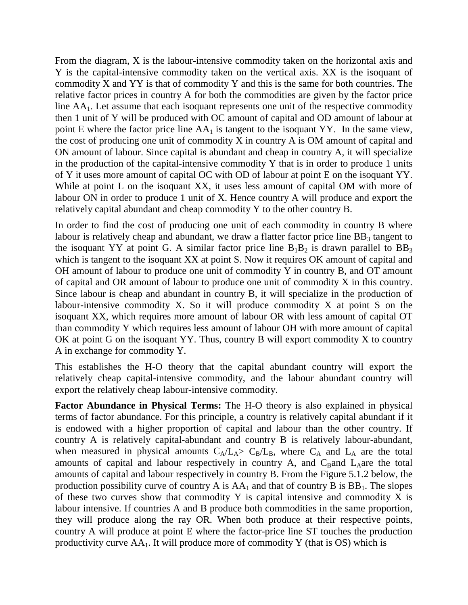From the diagram, X is the labour-intensive commodity taken on the horizontal axis and Y is the capital-intensive commodity taken on the vertical axis. XX is the isoquant of commodity X and YY is that of commodity Y and this is the same for both countries. The relative factor prices in country A for both the commodities are given by the factor price line  $AA<sub>1</sub>$ . Let assume that each isoquant represents one unit of the respective commodity then 1 unit of Y will be produced with OC amount of capital and OD amount of labour at point E where the factor price line  $AA_1$  is tangent to the isoquant YY. In the same view, the cost of producing one unit of commodity X in country A is OM amount of capital and ON amount of labour. Since capital is abundant and cheap in country A, it will specialize in the production of the capital-intensive commodity Y that is in order to produce 1 units of Y it uses more amount of capital OC with OD of labour at point E on the isoquant YY. While at point L on the isoquant XX, it uses less amount of capital OM with more of labour ON in order to produce 1 unit of X. Hence country A will produce and export the relatively capital abundant and cheap commodity Y to the other country B.

In order to find the cost of producing one unit of each commodity in country B where labour is relatively cheap and abundant, we draw a flatter factor price line  $BB<sub>3</sub>$  tangent to the isoquant YY at point G. A similar factor price line  $B_1B_2$  is drawn parallel to  $BB_3$ which is tangent to the isoquant XX at point S. Now it requires OK amount of capital and OH amount of labour to produce one unit of commodity Y in country B, and OT amount of capital and OR amount of labour to produce one unit of commodity X in this country. Since labour is cheap and abundant in country B, it will specialize in the production of labour-intensive commodity X. So it will produce commodity X at point S on the isoquant XX, which requires more amount of labour OR with less amount of capital OT than commodity Y which requires less amount of labour OH with more amount of capital OK at point G on the isoquant YY. Thus, country B will export commodity X to country A in exchange for commodity Y.

This establishes the H-O theory that the capital abundant country will export the relatively cheap capital-intensive commodity, and the labour abundant country will export the relatively cheap labour-intensive commodity.

**Factor Abundance in Physical Terms:** The H-O theory is also explained in physical terms of factor abundance. For this principle, a country is relatively capital abundant if it is endowed with a higher proportion of capital and labour than the other country. If country A is relatively capital-abundant and country B is relatively labour-abundant, when measured in physical amounts  $C_A/L_A > C_B/L_B$ , where  $C_A$  and  $L_A$  are the total amounts of capital and labour respectively in country A, and  $C_B$ and  $L_A$ are the total amounts of capital and labour respectively in country B. From the Figure 5.1.2 below, the production possibility curve of country A is  $AA_1$  and that of country B is  $BB_1$ . The slopes of these two curves show that commodity Y is capital intensive and commodity X is labour intensive. If countries A and B produce both commodities in the same proportion, they will produce along the ray OR. When both produce at their respective points, country A will produce at point E where the factor-price line ST touches the production productivity curve  $AA_1$ . It will produce more of commodity Y (that is OS) which is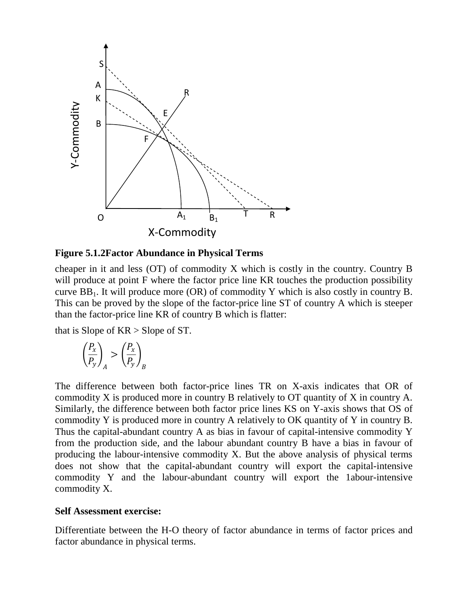

**Figure 5.1.2Factor Abundance in Physical Terms**

cheaper in it and less (OT) of commodity X which is costly in the country. Country B will produce at point F where the factor price line KR touches the production possibility curve  $BB_1$ . It will produce more (OR) of commodity Y which is also costly in country B. This can be proved by the slope of the factor-price line ST of country A which is steeper than the factor-price line KR of country B which is flatter:

that is Slope of  $KR >$  Slope of ST.

$$
\left(\frac{P_x}{P_y}\right)_A > \left(\frac{P_x}{P_y}\right)_B
$$

The difference between both factor-price lines TR on X-axis indicates that OR of commodity X is produced more in country B relatively to OT quantity of X in country A. Similarly, the difference between both factor price lines KS on Y-axis shows that OS of commodity Y is produced more in country A relatively to OK quantity of Y in country B. Thus the capital-abundant country A as bias in favour of capital-intensive commodity Y from the production side, and the labour abundant country B have a bias in favour of producing the labour-intensive commodity X. But the above analysis of physical terms does not show that the capital-abundant country will export the capital-intensive commodity Y and the labour-abundant country will export the 1abour-intensive commodity X.

### **Self Assessment exercise:**

Differentiate between the H-O theory of factor abundance in terms of factor prices and factor abundance in physical terms.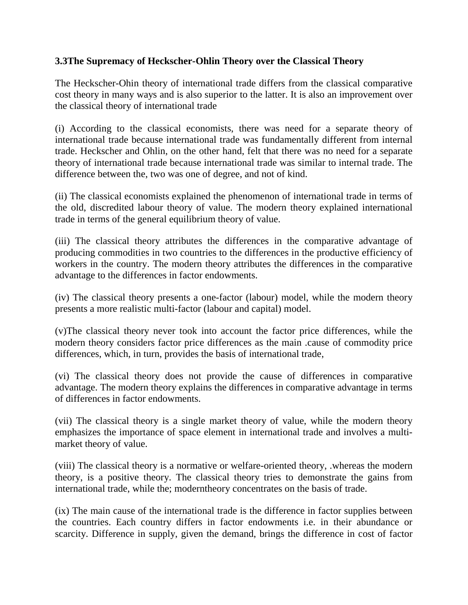# **3.3The Supremacy of Heckscher-Ohlin Theory over the Classical Theory**

The Heckscher-Ohin theory of international trade differs from the classical comparative cost theory in many ways and is also superior to the latter. It is also an improvement over the classical theory of international trade

(i) According to the classical economists, there was need for a separate theory of international trade because international trade was fundamentally different from internal trade. Heckscher and Ohlin, on the other hand, felt that there was no need for a separate theory of international trade because international trade was similar to internal trade. The difference between the, two was one of degree, and not of kind.

(ii) The classical economists explained the phenomenon of international trade in terms of the old, discredited labour theory of value. The modern theory explained international trade in terms of the general equilibrium theory of value.

(iii) The classical theory attributes the differences in the comparative advantage of producing commodities in two countries to the differences in the productive efficiency of workers in the country. The modern theory attributes the differences in the comparative advantage to the differences in factor endowments.

(iv) The classical theory presents a one-factor (labour) model, while the modern theory presents a more realistic multi-factor (labour and capital) model.

(v)The classical theory never took into account the factor price differences, while the modern theory considers factor price differences as the main .cause of commodity price differences, which, in turn, provides the basis of international trade,

(vi) The classical theory does not provide the cause of differences in comparative advantage. The modern theory explains the differences in comparative advantage in terms of differences in factor endowments.

(vii) The classical theory is a single market theory of value, while the modern theory emphasizes the importance of space element in international trade and involves a multimarket theory of value.

(viii) The classical theory is a normative or welfare-oriented theory, .whereas the modern theory, is a positive theory. The classical theory tries to demonstrate the gains from international trade, while the; moderntheory concentrates on the basis of trade.

(ix) The main cause of the international trade is the difference in factor supplies between the countries. Each country differs in factor endowments i.e. in their abundance or scarcity. Difference in supply, given the demand, brings the difference in cost of factor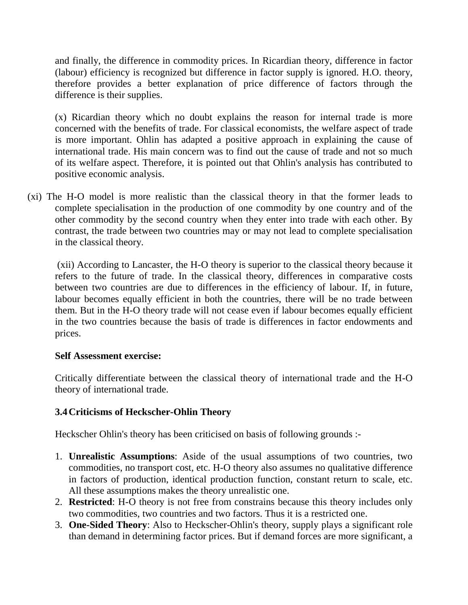and finally, the difference in commodity prices. In Ricardian theory, difference in factor (labour) efficiency is recognized but difference in factor supply is ignored. H.O. theory, therefore provides a better explanation of price difference of factors through the difference is their supplies.

(x) Ricardian theory which no doubt explains the reason for internal trade is more concerned with the benefits of trade. For classical economists, the welfare aspect of trade is more important. Ohlin has adapted a positive approach in explaining the cause of international trade. His main concern was to find out the cause of trade and not so much of its welfare aspect. Therefore, it is pointed out that Ohlin's analysis has contributed to positive economic analysis.

(xi) The H-O model is more realistic than the classical theory in that the former leads to complete specialisation in the production of one commodity by one country and of the other commodity by the second country when they enter into trade with each other. By contrast, the trade between two countries may or may not lead to complete specialisation in the classical theory.

 (xii) According to Lancaster, the H-O theory is superior to the classical theory because it refers to the future of trade. In the classical theory, differences in comparative costs between two countries are due to differences in the efficiency of labour. If, in future, labour becomes equally efficient in both the countries, there will be no trade between them. But in the H-O theory trade will not cease even if labour becomes equally efficient in the two countries because the basis of trade is differences in factor endowments and prices.

### **Self Assessment exercise:**

Critically differentiate between the classical theory of international trade and the H-O theory of international trade.

## **3.4Criticisms of Heckscher-Ohlin Theory**

Heckscher Ohlin's theory has been criticised on basis of following grounds :-

- 1. **Unrealistic Assumptions**: Aside of the usual assumptions of two countries, two commodities, no transport cost, etc. H-O theory also assumes no qualitative difference in factors of production, identical production function, constant return to scale, etc. All these assumptions makes the theory unrealistic one.
- 2. **Restricted**: H-O theory is not free from constrains because this theory includes only two commodities, two countries and two factors. Thus it is a restricted one.
- 3. **One-Sided Theory**: Also to Heckscher-Ohlin's theory, supply plays a significant role than demand in determining factor prices. But if demand forces are more significant, a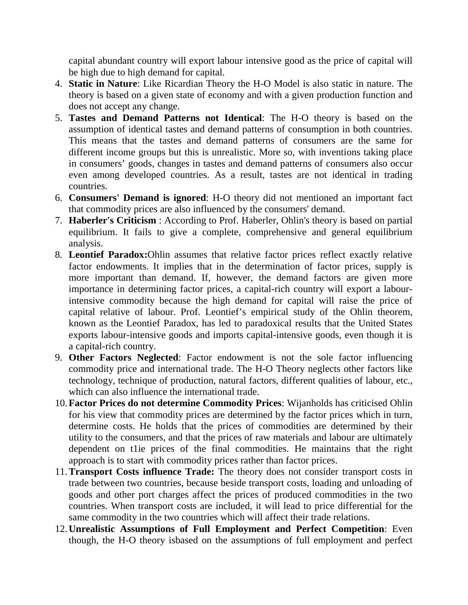capital abundant country will export labour intensive good as the price of capital will be high due to high demand for capital.

- 4. **Static in Nature**: Like Ricardian Theory the H-O Model is also static in nature. The theory is based on a given state of economy and with a given production function and does not accept any change.
- 5. **Tastes and Demand Patterns not Identical**: The H-O theory is based on the assumption of identical tastes and demand patterns of consumption in both countries. This means that the tastes and demand patterns of consumers are the same for different income groups but this is unrealistic. More so, with inventions taking place in consumers' goods, changes in tastes and demand patterns of consumers also occur even among developed countries. As a result, tastes are not identical in trading countries.
- 6. **Consumers' Demand is ignored**: H-O theory did not mentioned an important fact that commodity prices are also influenced by the consumers' demand.
- 7. **Haberler's Criticism** : According to Prof. Haberler, Ohlin's theory is based on partial equilibrium. It fails to give a complete, comprehensive and general equilibrium analysis.
- 8. **Leontief Paradox:**Ohlin assumes that relative factor prices reflect exactly relative factor endowments. It implies that in the determination of factor prices, supply is more important than demand. If, however, the demand factors are given more importance in determining factor prices, a capital-rich country will export a labourintensive commodity because the high demand for capital will raise the price of capital relative of labour. Prof. Leontief's empirical study of the Ohlin theorem, known as the Leontief Paradox, has led to paradoxical results that the United States exports labour-intensive goods and imports capital-intensive goods, even though it is a capital-rich country.
- 9. **Other Factors Neglected**: Factor endowment is not the sole factor influencing commodity price and international trade. The H-O Theory neglects other factors like technology, technique of production, natural factors, different qualities of labour, etc., which can also influence the international trade.
- 10.**Factor Prices do not determine Commodity Prices**: Wijanholds has criticised Ohlin for his view that commodity prices are determined by the factor prices which in turn, determine costs. He holds that the prices of commodities are determined by their utility to the consumers, and that the prices of raw materials and labour are ultimately dependent on t1ie prices of the final commodities. He maintains that the right approach is to start with commodity prices rather than factor prices.
- 11.**Transport Costs influence Trade:** The theory does not consider transport costs in trade between two countries, because beside transport costs, loading and unloading of goods and other port charges affect the prices of produced commodities in the two countries. When transport costs are included, it will lead to price differential for the same commodity in the two countries which will affect their trade relations.
- 12.**Unrealistic Assumptions of Full Employment and Perfect Competition**: Even though, the H-O theory isbased on the assumptions of full employment and perfect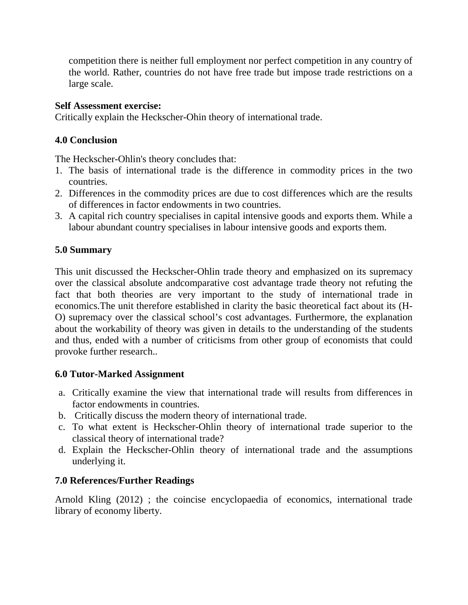competition there is neither full employment nor perfect competition in any country of the world. Rather, countries do not have free trade but impose trade restrictions on a large scale.

### **Self Assessment exercise:**

Critically explain the Heckscher-Ohin theory of international trade.

# **4.0 Conclusion**

The Heckscher-Ohlin's theory concludes that:

- 1. The basis of international trade is the difference in commodity prices in the two countries.
- 2. Differences in the commodity prices are due to cost differences which are the results of differences in factor endowments in two countries.
- 3. A capital rich country specialises in capital intensive goods and exports them. While a labour abundant country specialises in labour intensive goods and exports them.

# **5.0 Summary**

This unit discussed the Heckscher-Ohlin trade theory and emphasized on its supremacy over the classical absolute andcomparative cost advantage trade theory not refuting the fact that both theories are very important to the study of international trade in economics.The unit therefore established in clarity the basic theoretical fact about its (H-O) supremacy over the classical school's cost advantages. Furthermore, the explanation about the workability of theory was given in details to the understanding of the students and thus, ended with a number of criticisms from other group of economists that could provoke further research..

## **6.0 Tutor-Marked Assignment**

- a. Critically examine the view that international trade will results from differences in factor endowments in countries.
- b. Critically discuss the modern theory of international trade.
- c. To what extent is Heckscher-Ohlin theory of international trade superior to the classical theory of international trade?
- d. Explain the Heckscher-Ohlin theory of international trade and the assumptions underlying it.

# **7.0 References/Further Readings**

Arnold Kling (2012) ; the coincise encyclopaedia of economics, international trade library of economy liberty.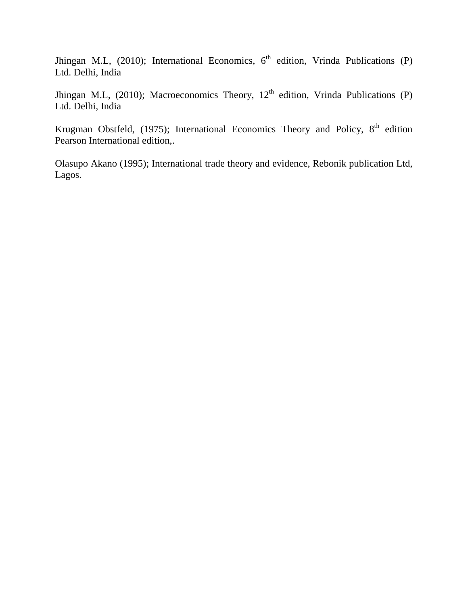Jhingan M.L, (2010); International Economics,  $6<sup>th</sup>$  edition, Vrinda Publications (P) Ltd. Delhi, India

Jhingan M.L, (2010); Macroeconomics Theory,  $12<sup>th</sup>$  edition, Vrinda Publications (P) Ltd. Delhi, India

Krugman Obstfeld, (1975); International Economics Theory and Policy,  $8<sup>th</sup>$  edition Pearson International edition,.

Olasupo Akano (1995); International trade theory and evidence, Rebonik publication Ltd, Lagos.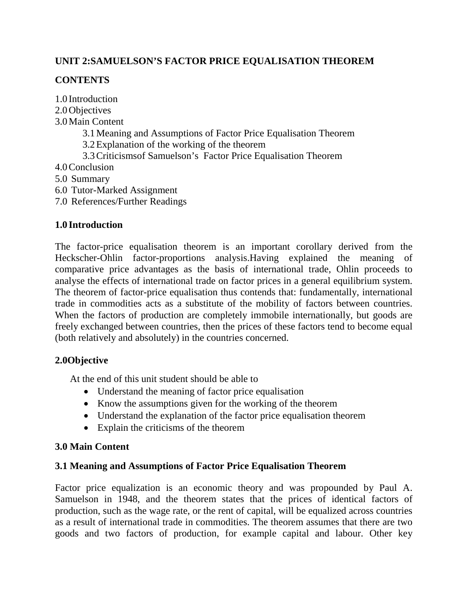# **UNIT 2:SAMUELSON'S FACTOR PRICE EQUALISATION THEOREM**

# **CONTENTS**

1.0 Introduction

2.0Objectives

3.0Main Content

3.1Meaning and Assumptions of Factor Price Equalisation Theorem

3.2Explanation of the working of the theorem

3.3Criticismsof Samuelson's Factor Price Equalisation Theorem

4.0Conclusion

5.0 Summary

6.0 Tutor-Marked Assignment

7.0 References/Further Readings

## **1.0 Introduction**

The factor-price equalisation theorem is an important corollary derived from the Heckscher-Ohlin factor-proportions analysis.Having explained the meaning of comparative price advantages as the basis of international trade, Ohlin proceeds to analyse the effects of international trade on factor prices in a general equilibrium system. The theorem of factor-price equalisation thus contends that: fundamentally, international trade in commodities acts as a substitute of the mobility of factors between countries. When the factors of production are completely immobile internationally, but goods are freely exchanged between countries, then the prices of these factors tend to become equal (both relatively and absolutely) in the countries concerned.

## **2.0Objective**

At the end of this unit student should be able to

- Understand the meaning of factor price equalisation
- Know the assumptions given for the working of the theorem
- Understand the explanation of the factor price equalisation theorem
- Explain the criticisms of the theorem

## **3.0 Main Content**

## **3.1 Meaning and Assumptions of Factor Price Equalisation Theorem**

Factor price equalization is an [economic](https://en.wikipedia.org/wiki/Economics) theory and was propounded by [Paul A.](https://en.wikipedia.org/wiki/Paul_A._Samuelson)  [Samuelson](https://en.wikipedia.org/wiki/Paul_A._Samuelson) in 1948, and the theorem states that the prices of identical [factors of](https://en.wikipedia.org/wiki/Factors_of_production)  [production,](https://en.wikipedia.org/wiki/Factors_of_production) such as the wage rate, or the rent of capital, will be equalized across countries as a result of international trade in commodities. The theorem assumes that there are two goods and two factors of production, for example capital and labour. Other key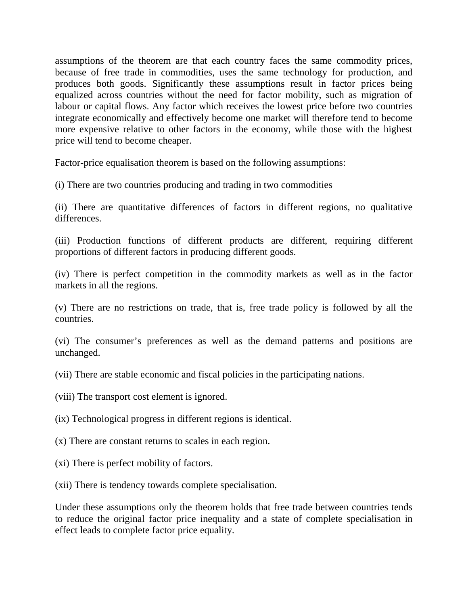assumptions of the theorem are that each country faces the same commodity prices, because of free trade in commodities, uses the same technology for production, and produces both goods. Significantly these assumptions result in factor prices being equalized across countries without the need for factor mobility, such as migration of labour or capital flows. Any factor which receives the lowest price before two countries integrate economically and effectively become one market will therefore tend to become more expensive relative to other factors in the economy, while those with the highest price will tend to become cheaper.

Factor-price equalisation theorem is based on the following assumptions:

(i) There are two countries producing and trading in two commodities

(ii) There are quantitative differences of factors in different regions, no qualitative differences.

(iii) Production functions of different products are different, requiring different proportions of different factors in producing different goods.

(iv) There is perfect competition in the commodity markets as well as in the factor markets in all the regions.

(v) There are no restrictions on trade, that is, free trade policy is followed by all the countries.

(vi) The consumer's preferences as well as the demand patterns and positions are unchanged.

(vii) There are stable economic and fiscal policies in the participating nations.

(viii) The transport cost element is ignored.

(ix) Technological progress in different regions is identical.

(x) There are constant returns to scales in each region.

(xi) There is perfect mobility of factors.

(xii) There is tendency towards complete specialisation.

Under these assumptions only the theorem holds that free trade between countries tends to reduce the original factor price inequality and a state of complete specialisation in effect leads to complete factor price equality.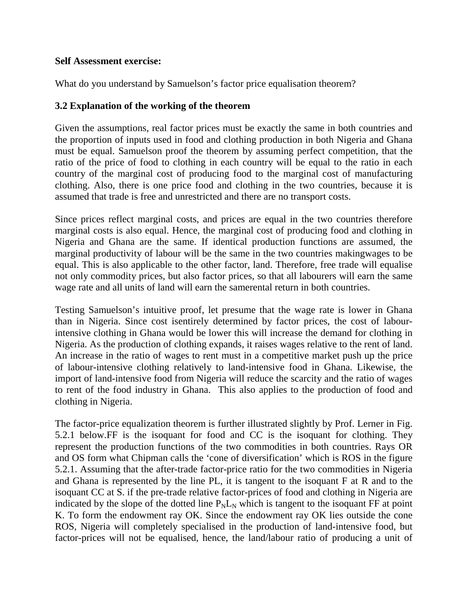### **Self Assessment exercise:**

What do you understand by Samuelson's factor price equalisation theorem?

# **3.2 Explanation of the working of the theorem**

Given the assumptions, real factor prices must be exactly the same in both countries and the proportion of inputs used in food and clothing production in both Nigeria and Ghana must be equal. Samuelson proof the theorem by assuming perfect competition, that the ratio of the price of food to clothing in each country will be equal to the ratio in each country of the marginal cost of producing food to the marginal cost of manufacturing clothing. Also, there is one price food and clothing in the two countries, because it is assumed that trade is free and unrestricted and there are no transport costs.

Since prices reflect marginal costs, and prices are equal in the two countries therefore marginal costs is also equal. Hence, the marginal cost of producing food and clothing in Nigeria and Ghana are the same. If identical production functions are assumed, the marginal productivity of labour will be the same in the two countries makingwages to be equal. This is also applicable to the other factor, land. Therefore, free trade will equalise not only commodity prices, but also factor prices, so that all labourers will earn the same wage rate and all units of land will earn the samerental return in both countries.

Testing Samuelson's intuitive proof, let presume that the wage rate is lower in Ghana than in Nigeria. Since cost isentirely determined by factor prices, the cost of labourintensive clothing in Ghana would be lower this will increase the demand for clothing in Nigeria. As the production of clothing expands, it raises wages relative to the rent of land. An increase in the ratio of wages to rent must in a competitive market push up the price of labour-intensive clothing relatively to land-intensive food in Ghana. Likewise, the import of land-intensive food from Nigeria will reduce the scarcity and the ratio of wages to rent of the food industry in Ghana. This also applies to the production of food and clothing in Nigeria.

The factor-price equalization theorem is further illustrated slightly by Prof. Lerner in Fig. 5.2.1 below.FF is the isoquant for food and CC is the isoquant for clothing. They represent the production functions of the two commodities in both countries. Rays OR and OS form what Chipman calls the 'cone of diversification' which is ROS in the figure 5.2.1. Assuming that the after-trade factor-price ratio for the two commodities in Nigeria and Ghana is represented by the line PL, it is tangent to the isoquant F at R and to the isoquant CC at S. if the pre-trade relative factor-prices of food and clothing in Nigeria are indicated by the slope of the dotted line  $P_N L_N$  which is tangent to the isoquant FF at point K. To form the endowment ray OK. Since the endowment ray OK lies outside the cone ROS, Nigeria will completely specialised in the production of land-intensive food, but factor-prices will not be equalised, hence, the land/labour ratio of producing a unit of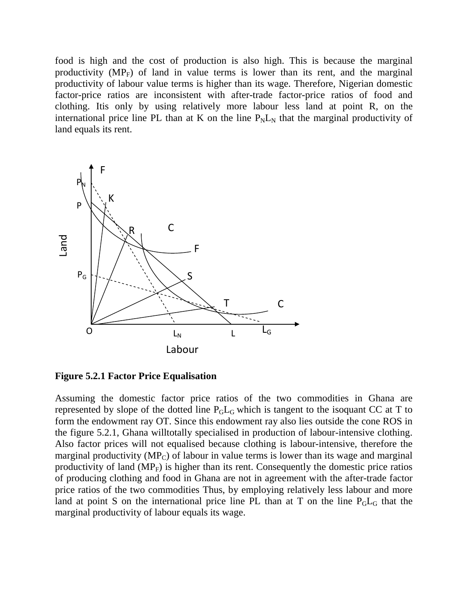food is high and the cost of production is also high. This is because the marginal productivity  $(MP_F)$  of land in value terms is lower than its rent, and the marginal productivity of labour value terms is higher than its wage. Therefore, Nigerian domestic factor-price ratios are inconsistent with after-trade factor-price ratios of food and clothing. Itis only by using relatively more labour less land at point R, on the international price line PL than at K on the line  $P_N L_N$  that the marginal productivity of land equals its rent.



**Figure 5.2.1 Factor Price Equalisation**

Assuming the domestic factor price ratios of the two commodities in Ghana are represented by slope of the dotted line  $P_GL_G$  which is tangent to the isoquant CC at T to form the endowment ray OT. Since this endowment ray also lies outside the cone ROS in the figure 5.2.1, Ghana willtotally specialised in production of labour-intensive clothing. Also factor prices will not equalised because clothing is labour-intensive, therefore the marginal productivity  $(MP_C)$  of labour in value terms is lower than its wage and marginal productivity of land  $(MP_F)$  is higher than its rent. Consequently the domestic price ratios of producing clothing and food in Ghana are not in agreement with the after-trade factor price ratios of the two commodities Thus, by employing relatively less labour and more land at point S on the international price line PL than at T on the line  $P_GL_G$  that the marginal productivity of labour equals its wage.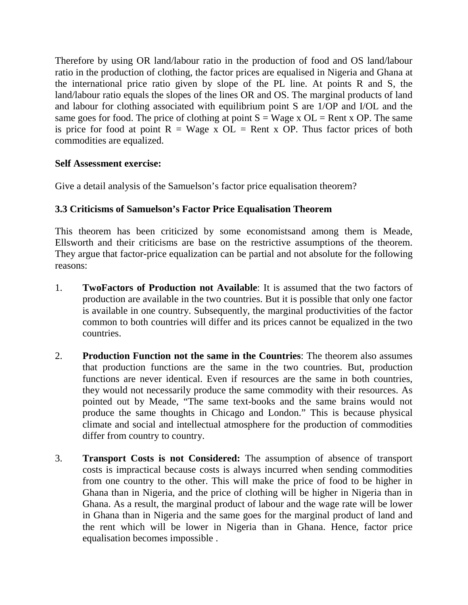Therefore by using OR land/labour ratio in the production of food and OS land/labour ratio in the production of clothing, the factor prices are equalised in Nigeria and Ghana at the international price ratio given by slope of the PL line. At points R and S, the land/labour ratio equals the slopes of the lines OR and OS. The marginal products of land and labour for clothing associated with equilibrium point S are 1/OP and I/OL and the same goes for food. The price of clothing at point  $S = Wage \times OL =$  Rent x OP. The same is price for food at point  $R = Wage \times OL =$  Rent x OP. Thus factor prices of both commodities are equalized.

# **Self Assessment exercise:**

Give a detail analysis of the Samuelson's factor price equalisation theorem?

# **3.3 Criticisms of Samuelson's Factor Price Equalisation Theorem**

This theorem has been criticized by some economistsand among them is Meade, Ellsworth and their criticisms are base on the restrictive assumptions of the theorem. They argue that factor-price equalization can be partial and not absolute for the following reasons:

- 1. **TwoFactors of Production not Available**: It is assumed that the two factors of production are available in the two countries. But it is possible that only one factor is available in one country. Subsequently, the marginal productivities of the factor common to both countries will differ and its prices cannot be equalized in the two countries.
- 2. **Production Function not the same in the Countries**: The theorem also assumes that production functions are the same in the two countries. But, production functions are never identical. Even if resources are the same in both countries, they would not necessarily produce the same commodity with their resources. As pointed out by Meade, "The same text-books and the same brains would not produce the same thoughts in Chicago and London." This is because physical climate and social and intellectual atmosphere for the production of commodities differ from country to country.
- 3. **Transport Costs is not Considered:** The assumption of absence of transport costs is impractical because costs is always incurred when sending commodities from one country to the other. This will make the price of food to be higher in Ghana than in Nigeria, and the price of clothing will be higher in Nigeria than in Ghana. As a result, the marginal product of labour and the wage rate will be lower in Ghana than in Nigeria and the same goes for the marginal product of land and the rent which will be lower in Nigeria than in Ghana. Hence, factor price equalisation becomes impossible .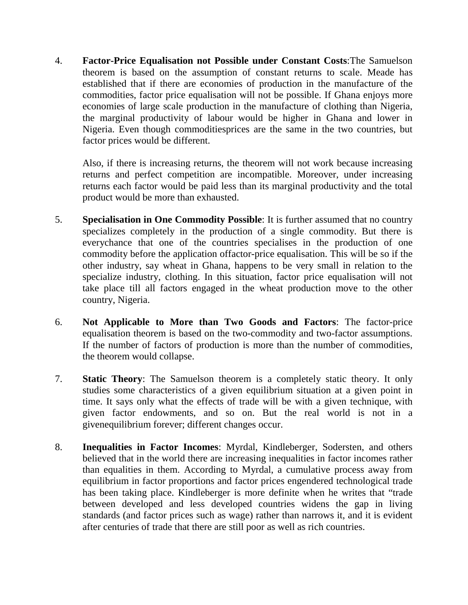4. **Factor-Price Equalisation not Possible under Constant Costs**:The Samuelson theorem is based on the assumption of constant returns to scale. Meade has established that if there are economies of production in the manufacture of the commodities, factor price equalisation will not be possible. If Ghana enjoys more economies of large scale production in the manufacture of clothing than Nigeria, the marginal productivity of labour would be higher in Ghana and lower in Nigeria. Even though commoditiesprices are the same in the two countries, but factor prices would be different.

Also, if there is increasing returns, the theorem will not work because increasing returns and perfect competition are incompatible. Moreover, under increasing returns each factor would be paid less than its marginal productivity and the total product would be more than exhausted.

- 5. **Specialisation in One Commodity Possible**: It is further assumed that no country specializes completely in the production of a single commodity. But there is everychance that one of the countries specialises in the production of one commodity before the application offactor-price equalisation. This will be so if the other industry, say wheat in Ghana, happens to be very small in relation to the specialize industry, clothing. In this situation, factor price equalisation will not take place till all factors engaged in the wheat production move to the other country, Nigeria.
- 6. **Not Applicable to More than Two Goods and Factors**: The factor-price equalisation theorem is based on the two-commodity and two-factor assumptions. If the number of factors of production is more than the number of commodities, the theorem would collapse.
- 7. **Static Theory**: The Samuelson theorem is a completely static theory. It only studies some characteristics of a given equilibrium situation at a given point in time. It says only what the effects of trade will be with a given technique, with given factor endowments, and so on. But the real world is not in a givenequilibrium forever; different changes occur.
- 8. **Inequalities in Factor Incomes**: Myrdal, Kindleberger, Sodersten, and others believed that in the world there are increasing inequalities in factor incomes rather than equalities in them. According to Myrdal, a cumulative process away from equilibrium in factor proportions and factor prices engendered technological trade has been taking place. Kindleberger is more definite when he writes that "trade between developed and less developed countries widens the gap in living standards (and factor prices such as wage) rather than narrows it, and it is evident after centuries of trade that there are still poor as well as rich countries.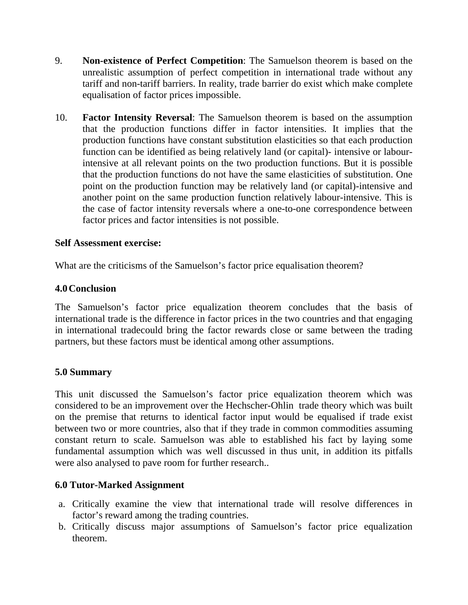- 9. **Non-existence of Perfect Competition**: The Samuelson theorem is based on the unrealistic assumption of perfect competition in international trade without any tariff and non-tariff barriers. In reality, trade barrier do exist which make complete equalisation of factor prices impossible.
- 10. **Factor Intensity Reversal**: The Samuelson theorem is based on the assumption that the production functions differ in factor intensities. It implies that the production functions have constant substitution elasticities so that each production function can be identified as being relatively land (or capital)- intensive or labourintensive at all relevant points on the two production functions. But it is possible that the production functions do not have the same elasticities of substitution. One point on the production function may be relatively land (or capital)-intensive and another point on the same production function relatively labour-intensive. This is the case of factor intensity reversals where a one-to-one correspondence between factor prices and factor intensities is not possible.

### **Self Assessment exercise:**

What are the criticisms of the Samuelson's factor price equalisation theorem?

### **4.0Conclusion**

The Samuelson's factor price equalization theorem concludes that the basis of international trade is the difference in factor prices in the two countries and that engaging in international tradecould bring the factor rewards close or same between the trading partners, but these factors must be identical among other assumptions.

### **5.0 Summary**

This unit discussed the Samuelson's factor price equalization theorem which was considered to be an improvement over the Hechscher-Ohlin trade theory which was built on the premise that returns to identical factor input would be equalised if trade exist between two or more countries, also that if they trade in common commodities assuming constant return to scale. Samuelson was able to established his fact by laying some fundamental assumption which was well discussed in thus unit, in addition its pitfalls were also analysed to pave room for further research..

### **6.0 Tutor-Marked Assignment**

- a. Critically examine the view that international trade will resolve differences in factor's reward among the trading countries.
- b. Critically discuss major assumptions of Samuelson's factor price equalization theorem.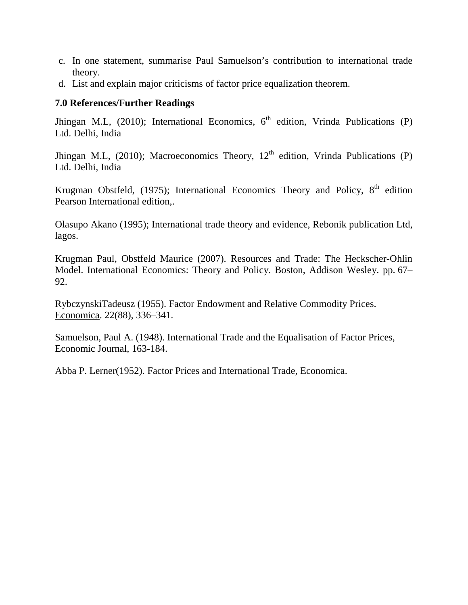- c. In one statement, summarise Paul Samuelson's contribution to international trade theory.
- d. List and explain major criticisms of factor price equalization theorem.

### **7.0 References/Further Readings**

Jhingan M.L, (2010); International Economics,  $6<sup>th</sup>$  edition, Vrinda Publications (P) Ltd. Delhi, India

Jhingan M.L, (2010); Macroeconomics Theory,  $12<sup>th</sup>$  edition, Vrinda Publications (P) Ltd. Delhi, India

Krugman Obstfeld, (1975); International Economics Theory and Policy,  $8<sup>th</sup>$  edition Pearson International edition,.

Olasupo Akano (1995); International trade theory and evidence, Rebonik publication Ltd, lagos.

[Krugman Paul,](https://en.wikipedia.org/wiki/Paul_Krugman) [Obstfeld](https://en.wikipedia.org/wiki/Maurice_Obstfeld) Maurice (2007). Resources and Trade: The Heckscher-Ohlin Model. International Economics: Theory and Policy. Boston, Addison Wesley. pp. 67– 92.

RybczynskiTadeusz (1955). Factor Endowment and Relative Commodity Prices. [Economica.](https://en.wikipedia.org/wiki/Economica) 22(88), 336–341.

Samuelson, Paul A. (1948). International Trade and the Equalisation of Factor Prices, [Economic Journal,](https://en.wikipedia.org/wiki/Economic_Journal) 163-184.

[Abba P. Lerner\(](https://en.wikipedia.org/wiki/Abba_P._Lerner)1952). Factor Prices and International Trade, Economica.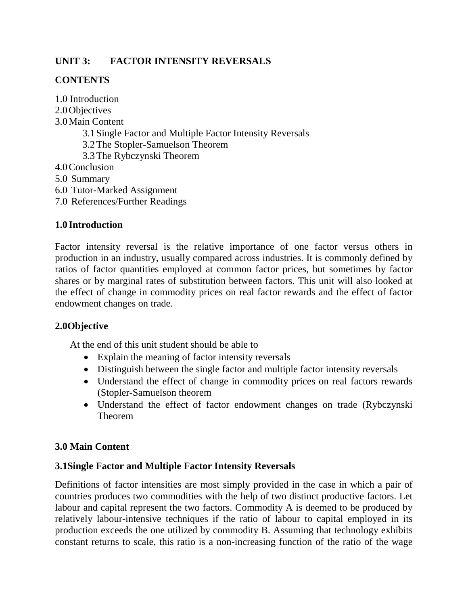# **UNIT 3: FACTOR INTENSITY REVERSALS**

# **CONTENTS**

1.0 Introduction 2.0Objectives 3.0Main Content 3.1 Single Factor and Multiple Factor Intensity Reversals 3.2The Stopler-Samuelson Theorem 3.3The Rybczynski Theorem 4.0Conclusion 5.0 Summary 6.0 Tutor-Marked Assignment 7.0 References/Further Readings

# **1.0 Introduction**

Factor intensity reversal is the relative importance of one factor versus others in production in an industry, usually compared across industries. It is commonly defined by ratios of factor quantities employed at common factor prices, but sometimes by factor shares or by marginal rates of substitution between factors. This unit will also looked at the effect of change in commodity prices on real factor rewards and the effect of factor endowment changes on trade.

# **2.0Objective**

At the end of this unit student should be able to

- Explain the meaning of factor intensity reversals
- Distinguish between the single factor and multiple factor intensity reversals
- Understand the effect of change in commodity prices on real factors rewards (Stopler-Samuelson theorem
- Understand the effect of factor endowment changes on trade (Rybczynski Theorem

# **3.0 Main Content**

## **3.1Single Factor and Multiple Factor Intensity Reversals**

Definitions of factor intensities are most simply provided in the case in which a pair of countries produces two commodities with the help of two distinct productive factors. Let labour and capital represent the two factors. Commodity A is deemed to be produced by relatively labour-intensive techniques if the ratio of labour to capital employed in its production exceeds the one utilized by commodity B. Assuming that technology exhibits constant returns to scale, this ratio is a non-increasing function of the ratio of the wage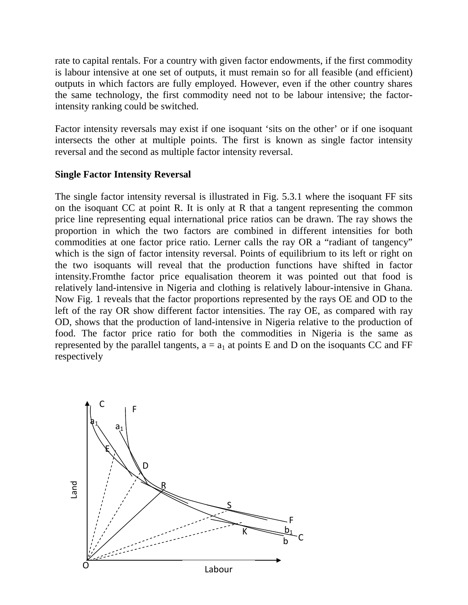rate to capital rentals. For a country with given factor endowments, if the first commodity is labour intensive at one set of outputs, it must remain so for all feasible (and efficient) outputs in which factors are fully employed. However, even if the other country shares the same technology, the first commodity need not to be labour intensive; the factorintensity ranking could be switched.

Factor intensity reversals may exist if one isoquant 'sits on the other' or if one isoquant intersects the other at multiple points. The first is known as single factor intensity reversal and the second as multiple factor intensity reversal.

## **Single Factor Intensity Reversal**

The single factor intensity reversal is illustrated in Fig. 5.3.1 where the isoquant FF sits on the isoquant CC at point R. It is only at R that a tangent representing the common price line representing equal international price ratios can be drawn. The ray shows the proportion in which the two factors are combined in different intensities for both commodities at one factor price ratio. Lerner calls the ray OR a "radiant of tangency" which is the sign of factor intensity reversal. Points of equilibrium to its left or right on the two isoquants will reveal that the production functions have shifted in factor intensity.Fromthe factor price equalisation theorem it was pointed out that food is relatively land-intensive in Nigeria and clothing is relatively labour-intensive in Ghana. Now Fig. 1 reveals that the factor proportions represented by the rays OE and OD to the left of the ray OR show different factor intensities. The ray OE, as compared with ray OD, shows that the production of land-intensive in Nigeria relative to the production of food. The factor price ratio for both the commodities in Nigeria is the same as represented by the parallel tangents,  $a = a_1$  at points E and D on the isoquants CC and FF respectively

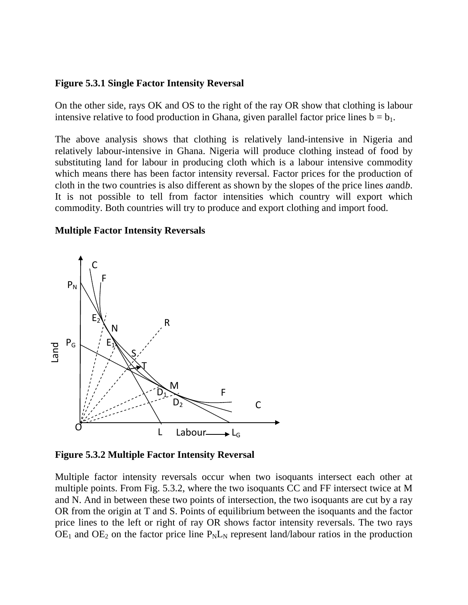#### **Figure 5.3.1 Single Factor Intensity Reversal**

On the other side, rays OK and OS to the right of the ray OR show that clothing is labour intensive relative to food production in Ghana, given parallel factor price lines  $b = b_1$ .

The above analysis shows that clothing is relatively land-intensive in Nigeria and relatively labour-intensive in Ghana. Nigeria will produce clothing instead of food by substituting land for labour in producing cloth which is a labour intensive commodity which means there has been factor intensity reversal. Factor prices for the production of cloth in the two countries is also different as shown by the slopes of the price lines *a*and*b*. It is not possible to tell from factor intensities which country will export which commodity. Both countries will try to produce and export clothing and import food.

#### **Multiple Factor Intensity Reversals**



**Figure 5.3.2 Multiple Factor Intensity Reversal**

Multiple factor intensity reversals occur when two isoquants intersect each other at multiple points. From Fig. 5.3.2, where the two isoquants CC and FF intersect twice at M and N. And in between these two points of intersection, the two isoquants are cut by a ray OR from the origin at T and S. Points of equilibrium between the isoquants and the factor price lines to the left or right of ray OR shows factor intensity reversals. The two rays  $OE<sub>1</sub>$  and  $OE<sub>2</sub>$  on the factor price line  $P<sub>N</sub>L<sub>N</sub>$  represent land/labour ratios in the production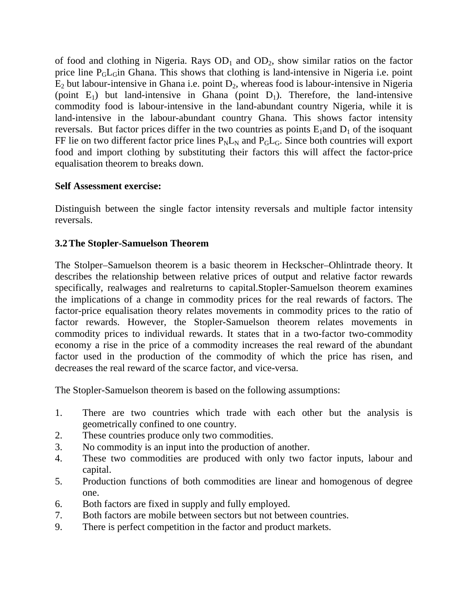of food and clothing in Nigeria. Rays  $OD_1$  and  $OD_2$ , show similar ratios on the factor price line  $P_G L_G$ in Ghana. This shows that clothing is land-intensive in Nigeria i.e. point  $E_2$  but labour-intensive in Ghana i.e. point  $D_2$ , whereas food is labour-intensive in Nigeria (point  $E_1$ ) but land-intensive in Ghana (point  $D_1$ ). Therefore, the land-intensive commodity food is labour-intensive in the land-abundant country Nigeria, while it is land-intensive in the labour-abundant country Ghana. This shows factor intensity reversals. But factor prices differ in the two countries as points  $E_1$  and  $D_1$  of the isoquant FF lie on two different factor price lines  $P_N L_N$  and  $P_G L_G$ . Since both countries will export food and import clothing by substituting their factors this will affect the factor-price equalisation theorem to breaks down.

### **Self Assessment exercise:**

Distinguish between the single factor intensity reversals and multiple factor intensity reversals.

## **3.2The Stopler-Samuelson Theorem**

The Stolper–Samuelson theorem is a basic [theorem](https://en.wikipedia.org/wiki/Theorem) in [Heckscher–Ohlintrade](https://en.wikipedia.org/wiki/Heckscher%E2%80%93Ohlin_model) theory. It describes the relationship between relative prices of output and relative [factor](https://en.wikipedia.org/wiki/Factors_of_production) rewards specifically, [realwages](https://en.wikipedia.org/wiki/Real_versus_nominal_value_%28economics%29) and [realr](https://en.wikipedia.org/wiki/Real_versus_nominal_value_%28economics%29)eturns to capital.Stopler-Samuelson theorem examines the implications of a change in commodity prices for the real rewards of factors. The factor-price equalisation theory relates movements in commodity prices to the ratio of factor rewards. However, the Stopler-Samuelson theorem relates movements in commodity prices to individual rewards. It states that in a two-factor two-commodity economy a rise in the price of a commodity increases the real reward of the abundant factor used in the production of the commodity of which the price has risen, and decreases the real reward of the scarce factor, and vice-versa.

The Stopler-Samuelson theorem is based on the following assumptions:

- 1. There are two countries which trade with each other but the analysis is geometrically confined to one country.
- 2. These countries produce only two commodities.
- 3. No commodity is an input into the production of another.
- 4. These two commodities are produced with only two factor inputs, labour and capital.
- 5. Production functions of both commodities are linear and homogenous of degree one.
- 6. Both factors are fixed in supply and fully employed.
- 7. Both factors are mobile between sectors but not between countries.
- 9. There is perfect competition in the factor and product markets.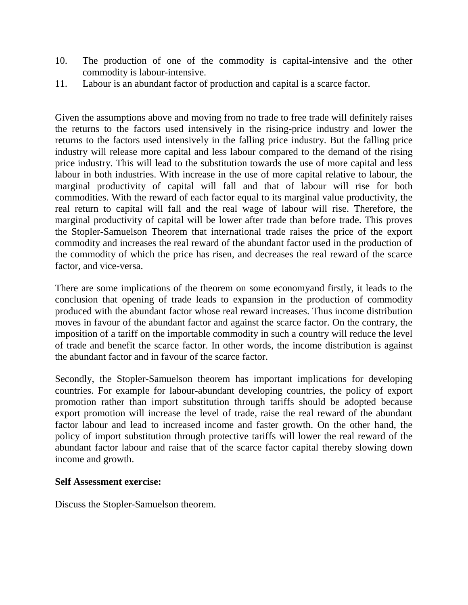- 10. The production of one of the commodity is capital-intensive and the other commodity is labour-intensive.
- 11. Labour is an abundant factor of production and capital is a scarce factor.

Given the assumptions above and moving from no trade to free trade will definitely raises the returns to the factors used intensively in the rising-price industry and lower the returns to the factors used intensively in the falling price industry. But the falling price industry will release more capital and less labour compared to the demand of the rising price industry. This will lead to the substitution towards the use of more capital and less labour in both industries. With increase in the use of more capital relative to labour, the marginal productivity of capital will fall and that of labour will rise for both commodities. With the reward of each factor equal to its marginal value productivity, the real return to capital will fall and the real wage of labour will rise. Therefore, the marginal productivity of capital will be lower after trade than before trade. This proves the Stopler-Samuelson Theorem that international trade raises the price of the export commodity and increases the real reward of the abundant factor used in the production of the commodity of which the price has risen, and decreases the real reward of the scarce factor, and vice-versa.

There are some implications of the theorem on some economyand firstly, it leads to the conclusion that opening of trade leads to expansion in the production of commodity produced with the abundant factor whose real reward increases. Thus income distribution moves in favour of the abundant factor and against the scarce factor. On the contrary, the imposition of a tariff on the importable commodity in such a country will reduce the level of trade and benefit the scarce factor. In other words, the income distribution is against the abundant factor and in favour of the scarce factor.

Secondly, the Stopler-Samuelson theorem has important implications for developing countries. For example for labour-abundant developing countries, the policy of export promotion rather than import substitution through tariffs should be adopted because export promotion will increase the level of trade, raise the real reward of the abundant factor labour and lead to increased income and faster growth. On the other hand, the policy of import substitution through protective tariffs will lower the real reward of the abundant factor labour and raise that of the scarce factor capital thereby slowing down income and growth.

### **Self Assessment exercise:**

Discuss the Stopler-Samuelson theorem.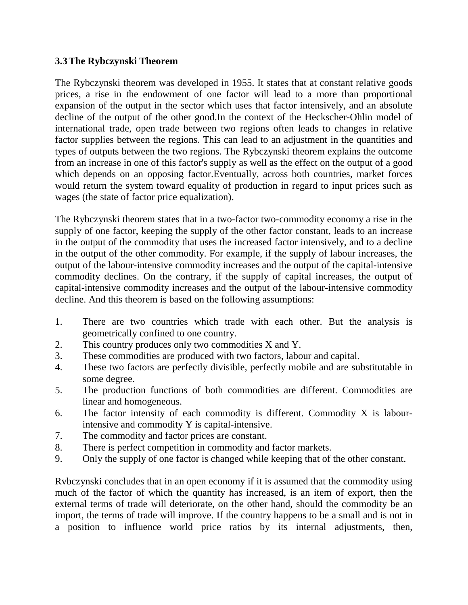## **3.3The Rybczynski Theorem**

The Rybczynski theorem was developed in 1955. It states that at constant relative goods prices, a rise in the endowment of one factor will lead to a more than proportional expansion of the output in the sector which uses that factor intensively, and an absolute decline of the output of the other good.In the context of the [Heckscher-Ohlin model](https://en.wikipedia.org/wiki/Heckscher%E2%80%93Ohlin_model) of [international trade,](https://en.wikipedia.org/wiki/International_trade) open trade between two regions often leads to changes in relative factor supplies between the regions. This can lead to an adjustment in the quantities and types of outputs between the two regions. The Rybczynski theorem explains the outcome from an increase in one of this factor's supply as well as the effect on the output of a good which depends on an opposing factor.Eventually, across both countries, market forces would return the system toward equality of production in regard to input prices such as wages (the state of [factor price equalization\)](https://en.wikipedia.org/wiki/Factor_price_equalization).

The Rybczynski theorem states that in a two-factor two-commodity economy a rise in the supply of one factor, keeping the supply of the other factor constant, leads to an increase in the output of the commodity that uses the increased factor intensively, and to a decline in the output of the other commodity. For example, if the supply of labour increases, the output of the labour-intensive commodity increases and the output of the capital-intensive commodity declines. On the contrary, if the supply of capital increases, the output of capital-intensive commodity increases and the output of the labour-intensive commodity decline. And this theorem is based on the following assumptions:

- 1. There are two countries which trade with each other. But the analysis is geometrically confined to one country.
- 2. This country produces only two commodities X and Y.
- 3. These commodities are produced with two factors, labour and capital.
- 4. These two factors are perfectly divisible, perfectly mobile and are substitutable in some degree.
- 5. The production functions of both commodities are different. Commodities are linear and homogeneous.
- 6. The factor intensity of each commodity is different. Commodity X is labourintensive and commodity Y is capital-intensive.
- 7. The commodity and factor prices are constant.
- 8. There is perfect competition in commodity and factor markets.
- 9. Only the supply of one factor is changed while keeping that of the other constant.

Rvbczynski concludes that in an open economy if it is assumed that the commodity using much of the factor of which the quantity has increased, is an item of export, then the external terms of trade will deteriorate, on the other hand, should the commodity be an import, the terms of trade will improve. If the country happens to be a small and is not in a position to influence world price ratios by its internal adjustments, then,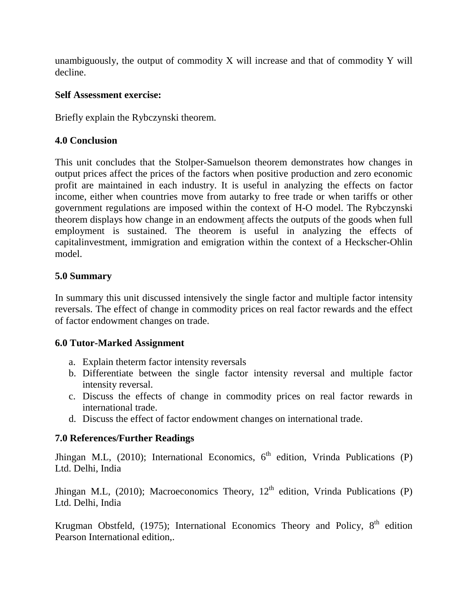unambiguously, the output of commodity X will increase and that of commodity Y will decline.

## **Self Assessment exercise:**

Briefly explain the Rybczynski theorem.

# **4.0 Conclusion**

This unit concludes that the Stolper-Samuelson theorem demonstrates how changes in output prices affect the prices of the factors when positive production and zero economic profit are maintained in each industry. It is useful in analyzing the effects on factor income, either when countries move from autarky to free trade or when tariffs or other government regulations are imposed within the context of H-O model. The Rybczynski theorem displays how change in an [endowment](https://en.wikipedia.org/wiki/Financial_endowment) affects the outputs of the goods when full [employment](https://en.wikipedia.org/wiki/Employment) is sustained. The theorem is useful in analyzing the effects of [capitali](https://en.wikipedia.org/wiki/Capital_%28economics%29)nvestment, [immigration](https://en.wikipedia.org/wiki/Immigration) and [emigration](https://en.wikipedia.org/wiki/Emigration) within the context of a Heckscher-Ohlin model.

# **5.0 Summary**

In summary this unit discussed intensively the single factor and multiple factor intensity reversals. The effect of change in commodity prices on real factor rewards and the effect of factor endowment changes on trade.

# **6.0 Tutor-Marked Assignment**

- a. Explain theterm factor intensity reversals
- b. Differentiate between the single factor intensity reversal and multiple factor intensity reversal.
- c. Discuss the effects of change in commodity prices on real factor rewards in international trade.
- d. Discuss the effect of factor endowment changes on international trade.

# **7.0 References/Further Readings**

Jhingan M.L, (2010); International Economics,  $6<sup>th</sup>$  edition, Vrinda Publications (P) Ltd. Delhi, India

Jhingan M.L, (2010); Macroeconomics Theory,  $12<sup>th</sup>$  edition, Vrinda Publications (P) Ltd. Delhi, India

Krugman Obstfeld, (1975); International Economics Theory and Policy,  $8<sup>th</sup>$  edition Pearson International edition,.